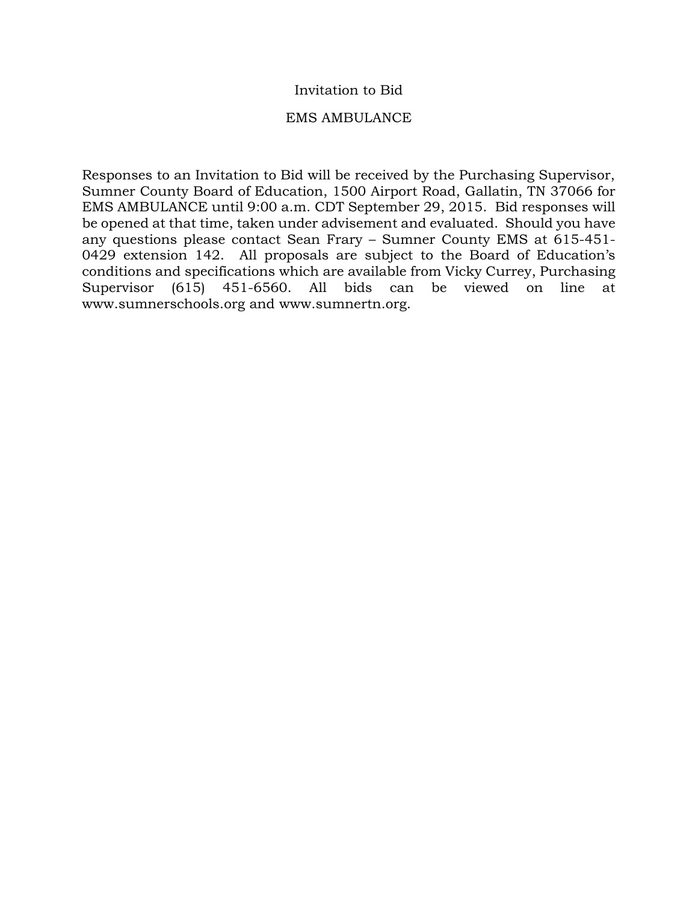### Invitation to Bid

### EMS AMBULANCE

Responses to an Invitation to Bid will be received by the Purchasing Supervisor, Sumner County Board of Education, 1500 Airport Road, Gallatin, TN 37066 for EMS AMBULANCE until 9:00 a.m. CDT September 29, 2015. Bid responses will be opened at that time, taken under advisement and evaluated. Should you have any questions please contact Sean Frary – Sumner County EMS at 615-451- 0429 extension 142. All proposals are subject to the Board of Education's conditions and specifications which are available from Vicky Currey, Purchasing Supervisor (615) 451-6560. All bids can be viewed on line at www.sumnerschools.org and www.sumnertn.org.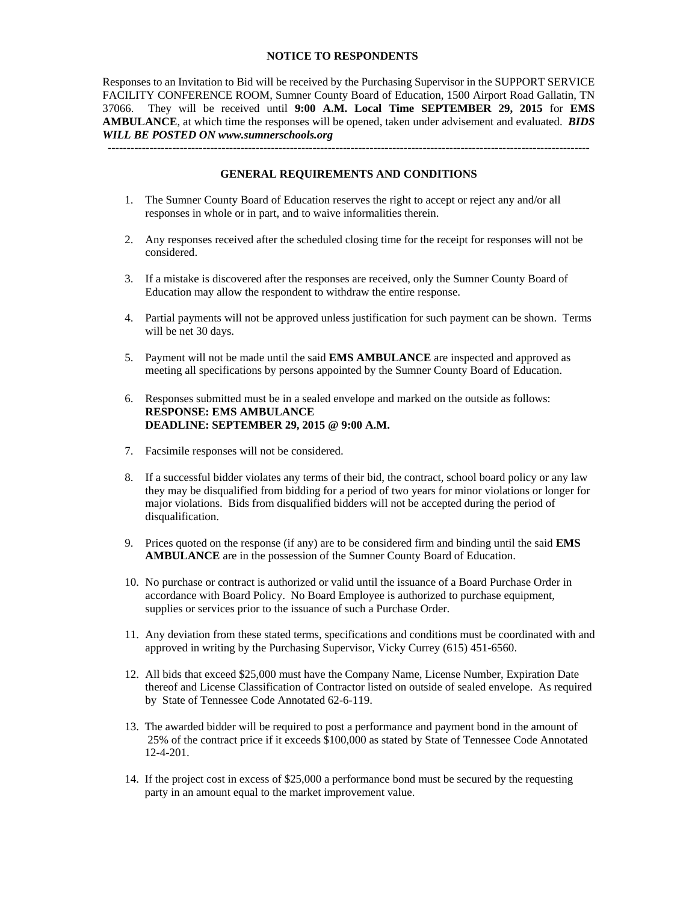#### **NOTICE TO RESPONDENTS**

Responses to an Invitation to Bid will be received by the Purchasing Supervisor in the SUPPORT SERVICE FACILITY CONFERENCE ROOM, Sumner County Board of Education, 1500 Airport Road Gallatin, TN 37066. They will be received until **9:00 A.M. Local Time SEPTEMBER 29, 2015** for **EMS AMBULANCE**, at which time the responses will be opened, taken under advisement and evaluated. *BIDS WILL BE POSTED ON www.sumnerschools.org* 

**GENERAL REQUIREMENTS AND CONDITIONS** 

-------------------------------------------------------------------------------------------------------------------------------

- 1. The Sumner County Board of Education reserves the right to accept or reject any and/or all responses in whole or in part, and to waive informalities therein.
- 2. Any responses received after the scheduled closing time for the receipt for responses will not be considered.
- 3. If a mistake is discovered after the responses are received, only the Sumner County Board of Education may allow the respondent to withdraw the entire response.
- 4. Partial payments will not be approved unless justification for such payment can be shown. Terms will be net 30 days.
- 5. Payment will not be made until the said **EMS AMBULANCE** are inspected and approved as meeting all specifications by persons appointed by the Sumner County Board of Education.
- 6. Responses submitted must be in a sealed envelope and marked on the outside as follows: **RESPONSE: EMS AMBULANCE DEADLINE: SEPTEMBER 29, 2015 @ 9:00 A.M.**
- 7. Facsimile responses will not be considered.
- 8. If a successful bidder violates any terms of their bid, the contract, school board policy or any law they may be disqualified from bidding for a period of two years for minor violations or longer for major violations. Bids from disqualified bidders will not be accepted during the period of disqualification.
- 9. Prices quoted on the response (if any) are to be considered firm and binding until the said **EMS AMBULANCE** are in the possession of the Sumner County Board of Education.
- 10. No purchase or contract is authorized or valid until the issuance of a Board Purchase Order in accordance with Board Policy. No Board Employee is authorized to purchase equipment, supplies or services prior to the issuance of such a Purchase Order.
- 11. Any deviation from these stated terms, specifications and conditions must be coordinated with and approved in writing by the Purchasing Supervisor, Vicky Currey (615) 451-6560.
- 12. All bids that exceed \$25,000 must have the Company Name, License Number, Expiration Date thereof and License Classification of Contractor listed on outside of sealed envelope. As required by State of Tennessee Code Annotated 62-6-119.
- 13. The awarded bidder will be required to post a performance and payment bond in the amount of 25% of the contract price if it exceeds \$100,000 as stated by State of Tennessee Code Annotated 12-4-201.
- 14. If the project cost in excess of \$25,000 a performance bond must be secured by the requesting party in an amount equal to the market improvement value.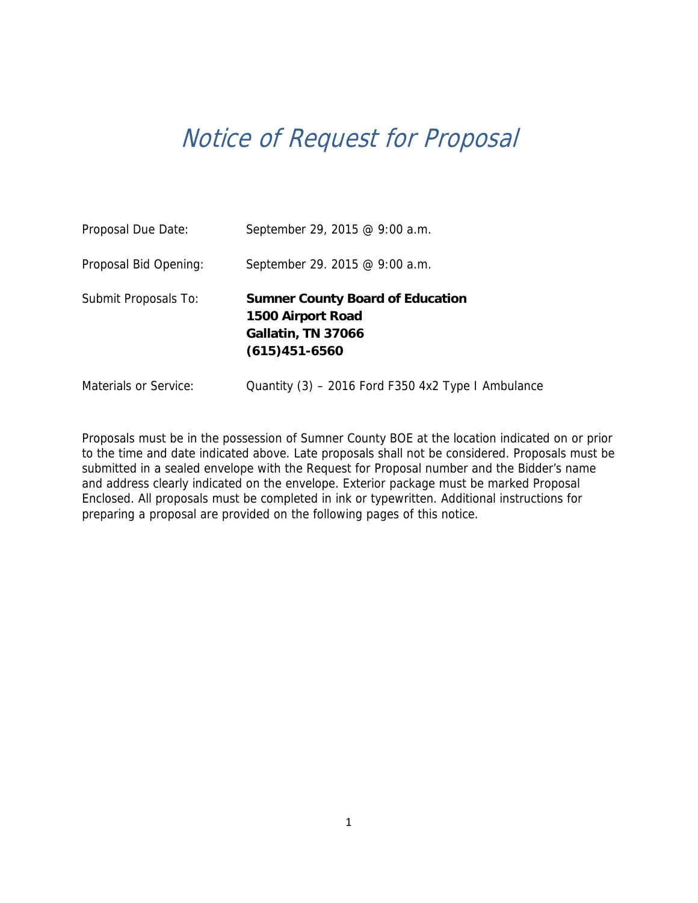# Notice of Request for Proposal

| Proposal Due Date:    | September 29, 2015 @ 9:00 a.m.                                                                        |
|-----------------------|-------------------------------------------------------------------------------------------------------|
| Proposal Bid Opening: | September 29. 2015 @ 9:00 a.m.                                                                        |
| Submit Proposals To:  | <b>Sumner County Board of Education</b><br>1500 Airport Road<br>Gallatin, TN 37066<br>$(615)451-6560$ |
| Materials or Service: | Quantity (3) – 2016 Ford F350 4x2 Type I Ambulance                                                    |

Proposals must be in the possession of Sumner County BOE at the location indicated on or prior to the time and date indicated above. Late proposals shall not be considered. Proposals must be submitted in a sealed envelope with the Request for Proposal number and the Bidder's name and address clearly indicated on the envelope. Exterior package must be marked Proposal Enclosed. All proposals must be completed in ink or typewritten. Additional instructions for preparing a proposal are provided on the following pages of this notice.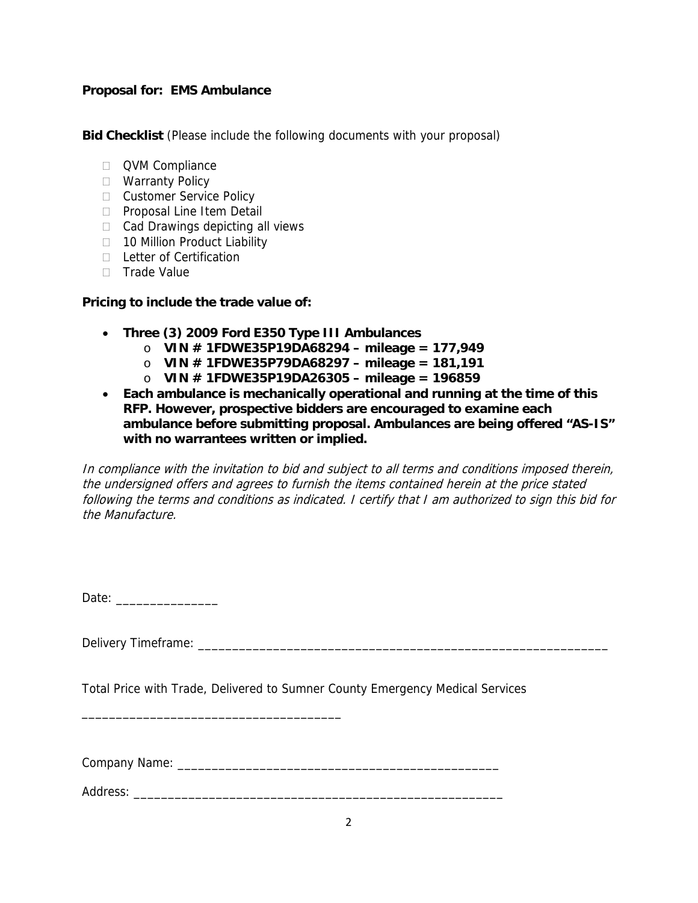### **Proposal for: EMS Ambulance**

**Bid Checklist** (Please include the following documents with your proposal)

- **QVM Compliance**
- □ Warranty Policy
- **Customer Service Policy**
- **Proposal Line Item Detail**
- $\Box$  Cad Drawings depicting all views
- □ 10 Million Product Liability
- D Letter of Certification
- $\Box$  Trade Value

### **Pricing to include the trade value of:**

- **Three (3) 2009 Ford E350 Type III Ambulances** 
	- o **VIN # 1FDWE35P19DA68294 mileage = 177,949**
	- o **VIN # 1FDWE35P79DA68297 mileage = 181,191**
	- o **VIN # 1FDWE35P19DA26305 mileage = 196859**
- **Each ambulance is mechanically operational and running at the time of this RFP. However, prospective bidders are encouraged to examine each ambulance before submitting proposal. Ambulances are being offered "AS-IS" with no warrantees written or implied.**

In compliance with the invitation to bid and subject to all terms and conditions imposed therein, the undersigned offers and agrees to furnish the items contained herein at the price stated following the terms and conditions as indicated. I certify that I am authorized to sign this bid for the Manufacture.

| Dat<br>۱۵ter |  |  |
|--------------|--|--|
|--------------|--|--|

Delivery Timeframe:  $\Box$ 

Total Price with Trade, Delivered to Sumner County Emergency Medical Services

Company Name: \_\_\_\_\_\_\_\_\_\_\_\_\_\_\_\_\_\_\_\_\_\_\_\_\_\_\_\_\_\_\_\_\_\_\_\_\_\_\_\_\_\_\_\_\_\_\_

\_\_\_\_\_\_\_\_\_\_\_\_\_\_\_\_\_\_\_\_\_\_\_\_\_\_\_\_\_\_\_\_\_\_\_\_\_\_

Address: \_\_\_\_\_\_\_\_\_\_\_\_\_\_\_\_\_\_\_\_\_\_\_\_\_\_\_\_\_\_\_\_\_\_\_\_\_\_\_\_\_\_\_\_\_\_\_\_\_\_\_\_\_\_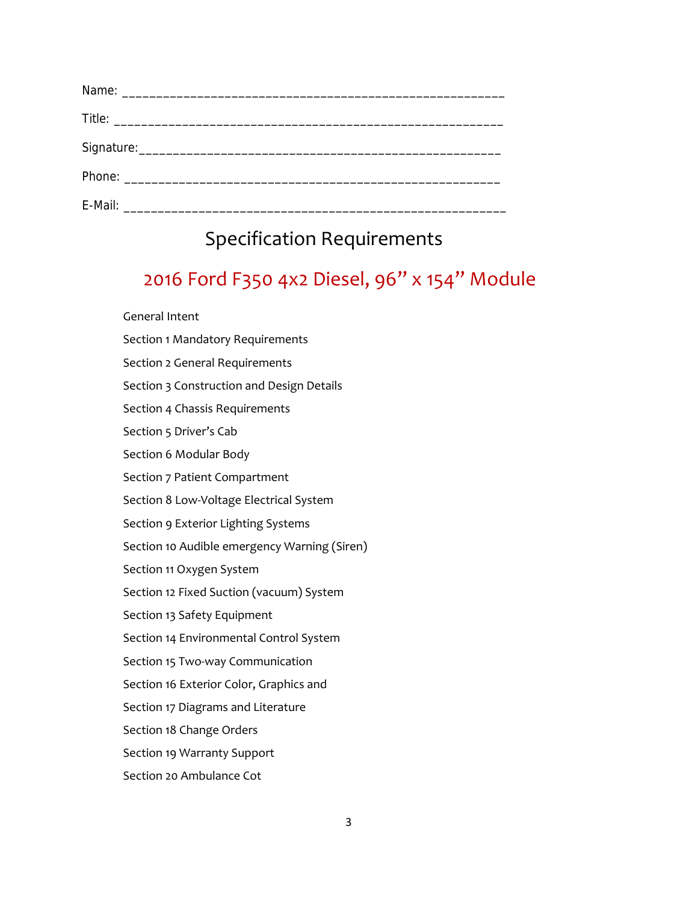## Specification Requirements

# 2016 Ford F350 4x2 Diesel, 96" x 154" Module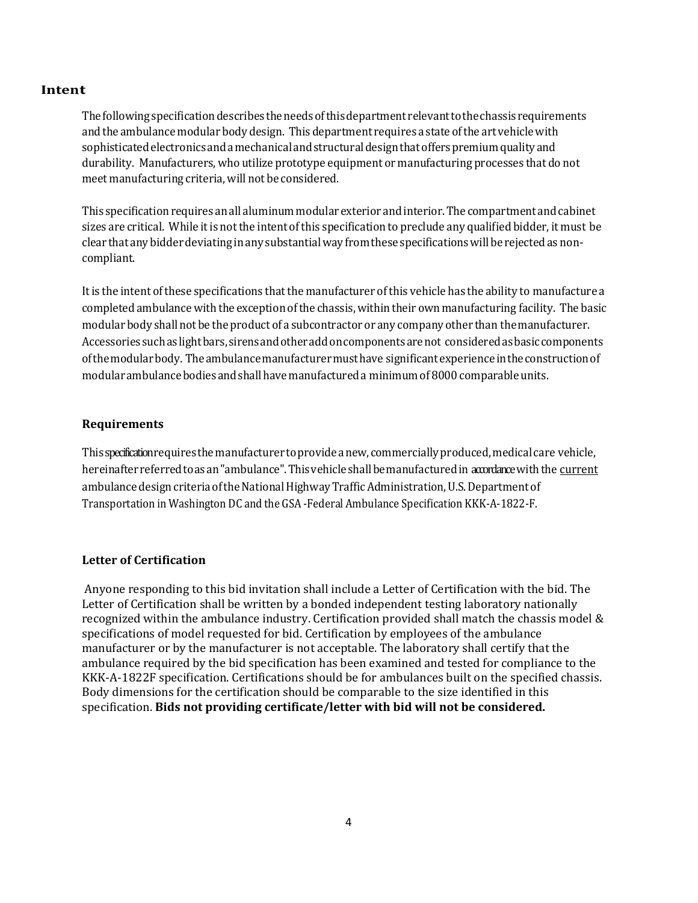#### **Intent**

The following specification describes the needs of this department relevant to the chassis requirements and the ambulance modular body design. This department requires a state of the art vehicle with sophisticated electronics and a mechanical and structural design that offers premium quality and durability. Manufacturers, who utilize prototype equipment or manufacturing processes that do not meet manufacturing criteria, will not be considered.

This specification requires an all aluminum modular exterior and interior. The compartment and cabinet sizes are critical. While it is not the intent of this specification to preclude any qualified bidder, it must be clear that any bidder deviating in any substantial way from these specifications will be rejected as noncompliant.

It is the intent of these specifications that the manufacturer of this vehicle has the ability to manufacture a completed ambulance with the exception of the chassis, within their own manufacturing facility. The basic modular body shall not be the product of a subcontractor or any company other than the manufacturer. Accessories such as light bars, sirens and other add on components are not considered as basic components of the modular body. The ambulance manufacturer must have significant experience in the construction of modular ambulance bodies and shall have manufactured a minimum of 8000 comparable units.

#### **Requirements**

This specification requires the manufacturer to provide a new, commercially produced, medical care vehicle, hereinafter referred to as an "ambulance". This vehicle shall be manufactured in accordance with the current ambulance design criteria of the National Highway Traffic Administration, U.S. Department of Transportation in Washington DC and the GSA -Federal Ambulance Specification KKK-A-1822-F.

#### **Letter of Certification**

Anyone responding to this bid invitation shall include a Letter of Certification with the bid. The Letter of Certification shall be written by a bonded independent testing laboratory nationally recognized within the ambulance industry. Certification provided shall match the chassis model  $\&$ specifications of model requested for bid. Certification by employees of the ambulance manufacturer or by the manufacturer is not acceptable. The laboratory shall certify that the ambulance required by the bid specification has been examined and tested for compliance to the KKK-A-1822F specification. Certifications should be for ambulances built on the specified chassis. Body dimensions for the certification should be comparable to the size identified in this specification. **Bids not providing certificate/letter with bid will not be considered.**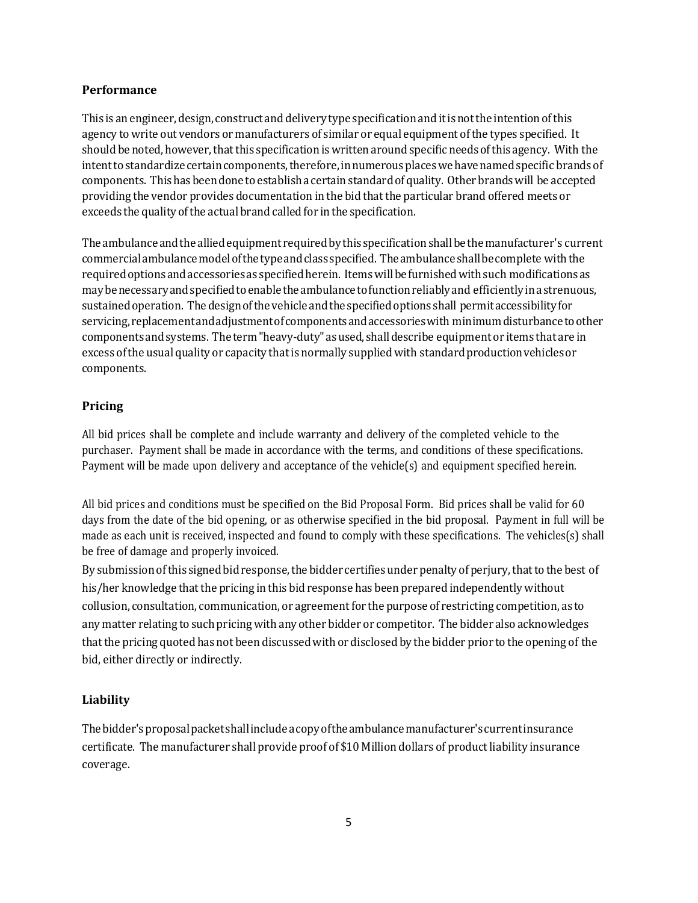#### **Performance**

This is an engineer, design, construct and delivery type specification and it is not the intention of this agency to write out vendors or manufacturers of similar or equal equipment of the types specified. It should be noted, however, that this specification is written around specific needs of this agency. With the intent to standardize certain components, therefore, in numerous places we have named specific brands of components. This has been done to establish a certain standard of quality. Other brands will be accepted providing the vendor provides documentation in the bid that the particular brand offered meets or exceeds the quality of the actual brand called for in the specification.

The ambulance and the allied equipment required by this specification shall be the manufacturer's current commercial ambulance model of the type and class specified. The ambulance shall be complete with the required options and accessories as specified herein. Items will be furnished with such modifications as may be necessary and specified to enable the ambulance to function reliably and efficiently in a strenuous, sustained operation. The design of the vehicle and the specified options shall permit accessibility for servicing, replacement and adjustment of components and accessories with minimum disturbance to other components and systems. The term "heavy-duty" as used, shall describe equipment or items that are in excess of the usual quality or capacity that is normally supplied with standard production vehicles or components.

#### **Pricing**

All bid prices shall be complete and include warranty and delivery of the completed vehicle to the purchaser. Payment shall be made in accordance with the terms, and conditions of these specifications. Payment will be made upon delivery and acceptance of the vehicle(s) and equipment specified herein.

All bid prices and conditions must be specified on the Bid Proposal Form. Bid prices shall be valid for 60 days from the date of the bid opening, or as otherwise specified in the bid proposal. Payment in full will be made as each unit is received, inspected and found to comply with these specifications. The vehicles(s) shall be free of damage and properly invoiced.

By submission of this signed bid response, the bidder certifies under penalty of perjury, that to the best of his/her knowledge that the pricing in this bid response has been prepared independently without collusion, consultation, communication, or agreement for the purpose of restricting competition, as to any matter relating to such pricing with any other bidder or competitor. The bidder also acknowledges that the pricing quoted has not been discussed with or disclosed by the bidder prior to the opening of the bid, either directly or indirectly.

#### **Liability**

The bidder's proposal packet shall include a copy of the ambulance manufacturer's current insurance certificate. The manufacturer shall provide proof of \$10 Million dollars of product liability insurance coverage.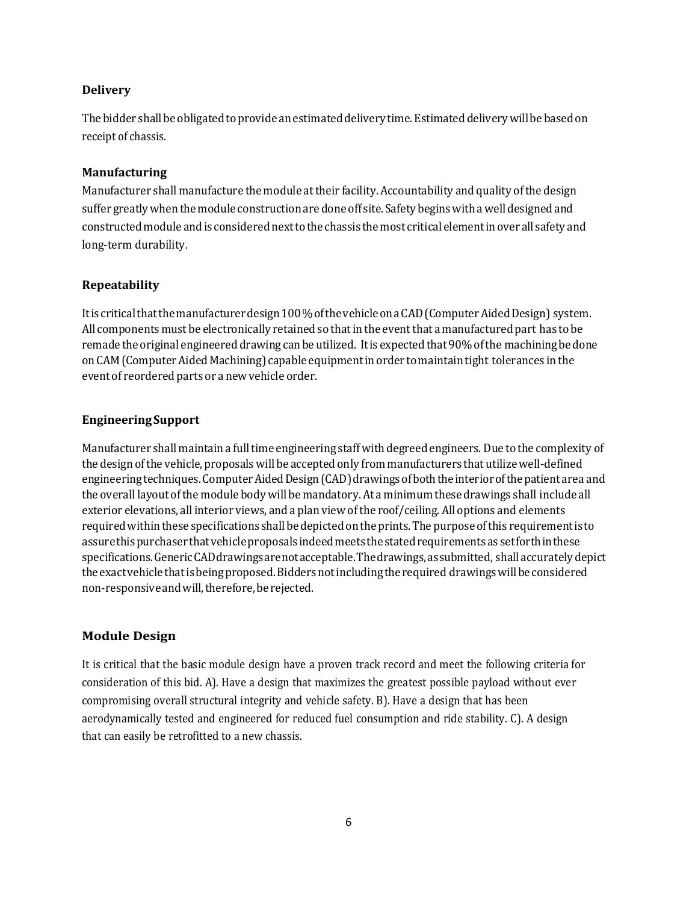#### **Delivery**

The bidder shall be obligated to provide an estimated delivery time. Estimated delivery will be based on receipt of chassis.

#### **Manufacturing**

Manufacturer shall manufacture the module at their facility. Accountability and quality of the design suffer greatly when the module construction are done off site. Safety begins with a well designed and constructed module and is considered next to the chassis the most critical element in over all safety and long-term durability.

#### **Repeatability**

It is critical that the manufacturer design 100 % of the vehicle on a CAD (Computer Aided Design) system. All components must be electronically retained so that in the event that a manufactured part has to be remade the original engineered drawing can be utilized. It is expected that 90% of the machining be done on CAM (Computer Aided Machining) capable equipment in order to maintain tight tolerances in the event of reordered parts or a new vehicle order.

#### **EngineeringSupport**

Manufacturer shall maintain a full time engineering staff with degreed engineers. Due to the complexity of the design of the vehicle, proposals will be accepted only from manufacturers that utilize well-defined engineering techniques. Computer Aided Design (CAD) drawings of both the interior of the patient area and the overall layout of the module body will be mandatory. At a minimum these drawings shall include all exterior elevations, all interior views, and a plan view of the roof/ceiling. All options and elements required within these specifications shall be depicted on the prints. The purpose of this requirement is to assure this purchaser that vehicle proposals indeed meets the stated requirements as set forth in these specifications. Generic CAD drawings are not acceptable. The drawings, as submitted, shall accurately depict the exact vehicle that is being proposed. Bidders not including the required drawings will be considered non-responsive and will, therefore, be rejected.

#### **Module Design**

It is critical that the basic module design have a proven track record and meet the following criteria for consideration of this bid. A). Have a design that maximizes the greatest possible payload without ever compromising overall structural integrity and vehicle safety. B). Have a design that has been aerodynamically tested and engineered for reduced fuel consumption and ride stability. C). A design that can easily be retrofitted to a new chassis.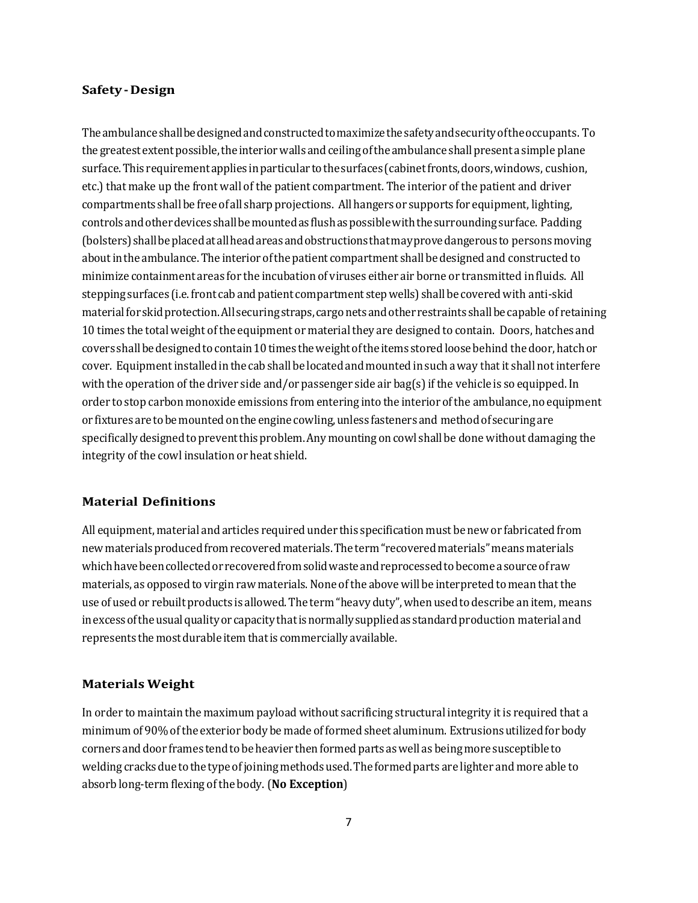#### **Safety ‐ Design**

The ambulance shall be designed and constructed to maximize the safety and security of the occupants. To the greatest extent possible, the interior walls and ceiling of the ambulance shall present a simple plane surface. This requirement applies in particular to the surfaces (cabinet fronts, doors, windows, cushion, etc.) that make up the front wall of the patient compartment. The interior of the patient and driver compartments shall be free of all sharp projections. All hangers or supports for equipment, lighting, controls and other devices shall be mounted as flush as possible with the surrounding surface. Padding (bolsters) shall be placed at all head areas and obstructions that may prove dangerous to persons moving about in the ambulance. The interior of the patient compartment shall be designed and constructed to minimize containment areas for the incubation of viruses either air borne or transmitted in fluids. All stepping surfaces (i.e. front cab and patient compartment step wells) shall be covered with anti-skid material for skid protection. All securing straps, cargo nets and other restraints shall be capable of retaining 10 times the total weight of the equipment or material they are designed to contain. Doors, hatches and covers shall be designed to contain 10 times the weight of the items stored loose behind the door, hatch or cover. Equipment installed in the cab shall be located and mounted in such a way that it shall not interfere with the operation of the driver side and/or passenger side air bag(s) if the vehicle is so equipped. In order to stop carbon monoxide emissions from entering into the interior of the ambulance, no equipment or fixtures are to be mounted on the engine cowling, unless fasteners and method of securing are specifically designed to prevent this problem. Any mounting on cowl shall be done without damaging the integrity of the cowl insulation or heat shield.

#### **Material Definitions**

All equipment, material and articles required under this specification must be new or fabricated from new materials produced from recovered materials. The term "recovered materials" means materials which have been collected or recovered from solid waste and reprocessed to become a source of raw materials, as opposed to virgin raw materials. None of the above will be interpreted to mean that the use of used or rebuilt products is allowed. The term "heavy duty", when used to describe an item, means in excess of the usual quality or capacity that is normally supplied as standard production material and represents the most durable item that is commercially available.

#### **Materials Weight**

In order to maintain the maximum payload without sacrificing structural integrity it is required that a minimum of 90% of the exterior body be made of formed sheet aluminum. Extrusions utilized for body corners and door frames tend to be heavier then formed parts as well as being more susceptible to welding cracks due to the type of joining methods used. The formed parts are lighter and more able to absorb long-term flexing of the body. (No **Exception**)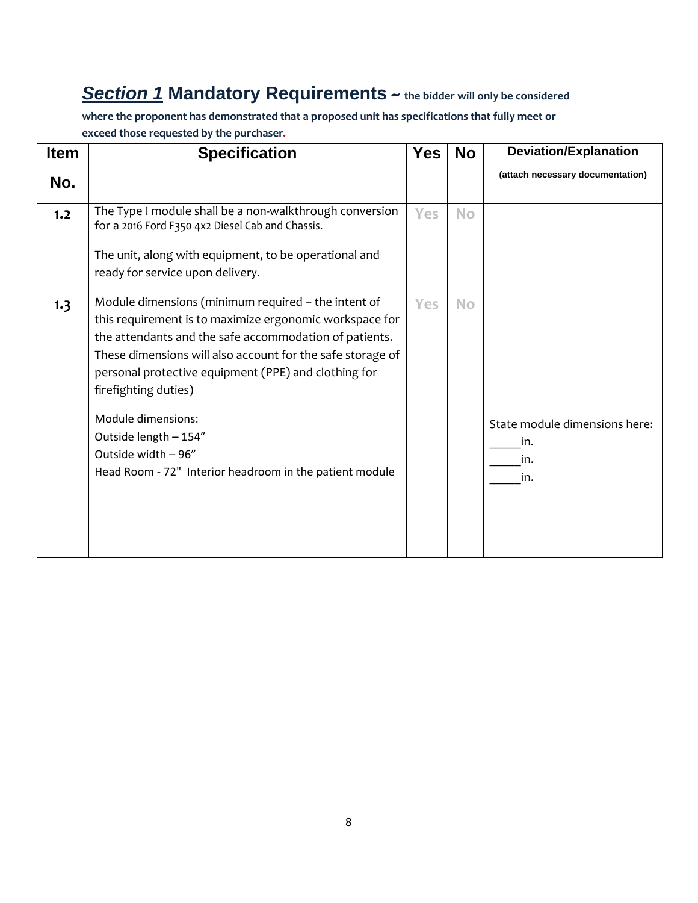## *Section 1* **Mandatory Requirements ~ the bidder will only be considered**

**where the proponent has demonstrated that a proposed unit has specifications that fully meet or exceed those requested by the purchaser.**

| <b>Item</b> | <b>Specification</b>                                                                                                                                                                                                                                                                                                                                                  | <b>Yes</b> | <b>No</b> | <b>Deviation/Explanation</b>     |
|-------------|-----------------------------------------------------------------------------------------------------------------------------------------------------------------------------------------------------------------------------------------------------------------------------------------------------------------------------------------------------------------------|------------|-----------|----------------------------------|
| No.         |                                                                                                                                                                                                                                                                                                                                                                       |            |           | (attach necessary documentation) |
| 1.2         | The Type I module shall be a non-walkthrough conversion<br>for a 2016 Ford F350 4x2 Diesel Cab and Chassis.<br>The unit, along with equipment, to be operational and                                                                                                                                                                                                  | Yes        | <b>No</b> |                                  |
|             | ready for service upon delivery.                                                                                                                                                                                                                                                                                                                                      |            |           |                                  |
| 1.3         | Module dimensions (minimum required - the intent of<br>this requirement is to maximize ergonomic workspace for<br>the attendants and the safe accommodation of patients.<br>These dimensions will also account for the safe storage of<br>personal protective equipment (PPE) and clothing for<br>firefighting duties)<br>Module dimensions:<br>Outside length - 154" | Yes        | <b>No</b> | State module dimensions here:    |
|             | Outside width - 96"<br>Head Room - 72" Interior headroom in the patient module                                                                                                                                                                                                                                                                                        |            |           | in.<br>in.<br>in.                |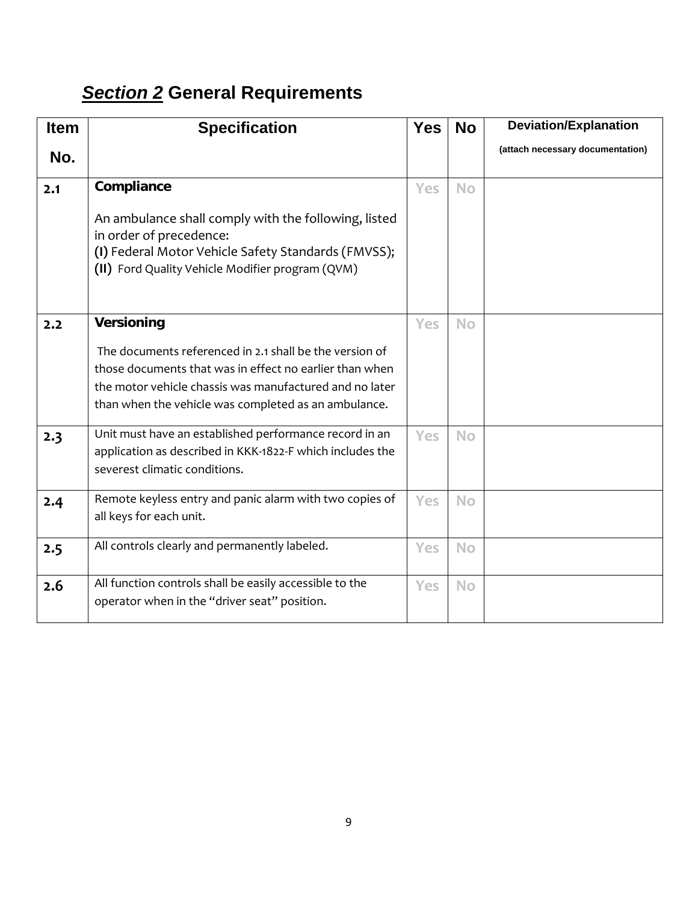# *Section 2* **General Requirements**

| <b>Item</b> | <b>Specification</b>                                                                                                                                                                                                                  | <b>Yes</b> | <b>No</b> | <b>Deviation/Explanation</b>     |
|-------------|---------------------------------------------------------------------------------------------------------------------------------------------------------------------------------------------------------------------------------------|------------|-----------|----------------------------------|
| No.         |                                                                                                                                                                                                                                       |            |           | (attach necessary documentation) |
| 2.1         | Compliance                                                                                                                                                                                                                            | <b>Yes</b> | <b>No</b> |                                  |
|             | An ambulance shall comply with the following, listed<br>in order of precedence:<br>(I) Federal Motor Vehicle Safety Standards (FMVSS);<br>(II) Ford Quality Vehicle Modifier program (QVM)                                            |            |           |                                  |
| 2.2         | <b>Versioning</b>                                                                                                                                                                                                                     | <b>Yes</b> | <b>No</b> |                                  |
|             | The documents referenced in 2.1 shall be the version of<br>those documents that was in effect no earlier than when<br>the motor vehicle chassis was manufactured and no later<br>than when the vehicle was completed as an ambulance. |            |           |                                  |
| 2.3         | Unit must have an established performance record in an<br>application as described in KKK-1822-F which includes the<br>severest climatic conditions.                                                                                  | <b>Yes</b> | <b>No</b> |                                  |
| 2.4         | Remote keyless entry and panic alarm with two copies of<br>all keys for each unit.                                                                                                                                                    | Yes        | <b>No</b> |                                  |
| 2.5         | All controls clearly and permanently labeled.                                                                                                                                                                                         | Yes        | <b>No</b> |                                  |
| 2.6         | All function controls shall be easily accessible to the<br>operator when in the "driver seat" position.                                                                                                                               | Yes        | <b>No</b> |                                  |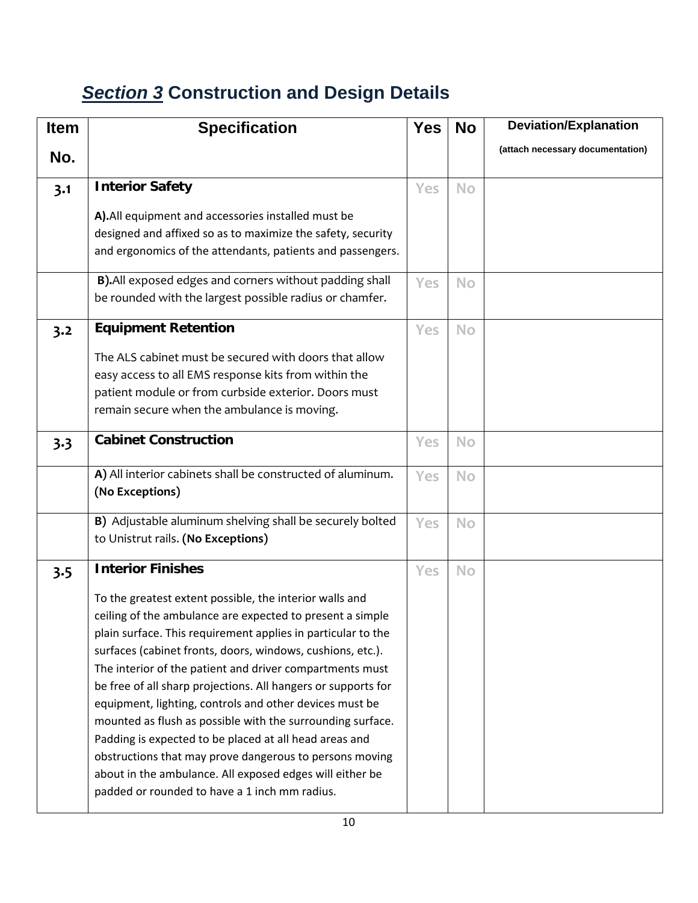# *Section 3* **Construction and Design Details**

| <b>Item</b> | <b>Specification</b>                                                          | <b>Yes</b> | <b>No</b> | <b>Deviation/Explanation</b>     |
|-------------|-------------------------------------------------------------------------------|------------|-----------|----------------------------------|
| No.         |                                                                               |            |           | (attach necessary documentation) |
|             |                                                                               |            |           |                                  |
| 3.1         | <b>Interior Safety</b>                                                        | <b>Yes</b> | <b>No</b> |                                  |
|             | A). All equipment and accessories installed must be                           |            |           |                                  |
|             | designed and affixed so as to maximize the safety, security                   |            |           |                                  |
|             | and ergonomics of the attendants, patients and passengers.                    |            |           |                                  |
|             | B). All exposed edges and corners without padding shall                       | <b>Yes</b> | <b>No</b> |                                  |
|             | be rounded with the largest possible radius or chamfer.                       |            |           |                                  |
| 3.2         | <b>Equipment Retention</b>                                                    | <b>Yes</b> | <b>No</b> |                                  |
|             | The ALS cabinet must be secured with doors that allow                         |            |           |                                  |
|             | easy access to all EMS response kits from within the                          |            |           |                                  |
|             | patient module or from curbside exterior. Doors must                          |            |           |                                  |
|             | remain secure when the ambulance is moving.                                   |            |           |                                  |
| 3.3         | <b>Cabinet Construction</b>                                                   | Yes        | <b>No</b> |                                  |
|             |                                                                               |            |           |                                  |
|             | A) All interior cabinets shall be constructed of aluminum.<br>(No Exceptions) | Yes        | <b>No</b> |                                  |
|             |                                                                               |            |           |                                  |
|             | B) Adjustable aluminum shelving shall be securely bolted                      | Yes        | <b>No</b> |                                  |
|             | to Unistrut rails. (No Exceptions)                                            |            |           |                                  |
| 3.5         | <b>Interior Finishes</b>                                                      | Yes        | <b>No</b> |                                  |
|             | To the greatest extent possible, the interior walls and                       |            |           |                                  |
|             | ceiling of the ambulance are expected to present a simple                     |            |           |                                  |
|             | plain surface. This requirement applies in particular to the                  |            |           |                                  |
|             | surfaces (cabinet fronts, doors, windows, cushions, etc.).                    |            |           |                                  |
|             | The interior of the patient and driver compartments must                      |            |           |                                  |
|             | be free of all sharp projections. All hangers or supports for                 |            |           |                                  |
|             | equipment, lighting, controls and other devices must be                       |            |           |                                  |
|             | mounted as flush as possible with the surrounding surface.                    |            |           |                                  |
|             | Padding is expected to be placed at all head areas and                        |            |           |                                  |
|             | obstructions that may prove dangerous to persons moving                       |            |           |                                  |
|             | about in the ambulance. All exposed edges will either be                      |            |           |                                  |
|             | padded or rounded to have a 1 inch mm radius.                                 |            |           |                                  |
|             |                                                                               |            |           |                                  |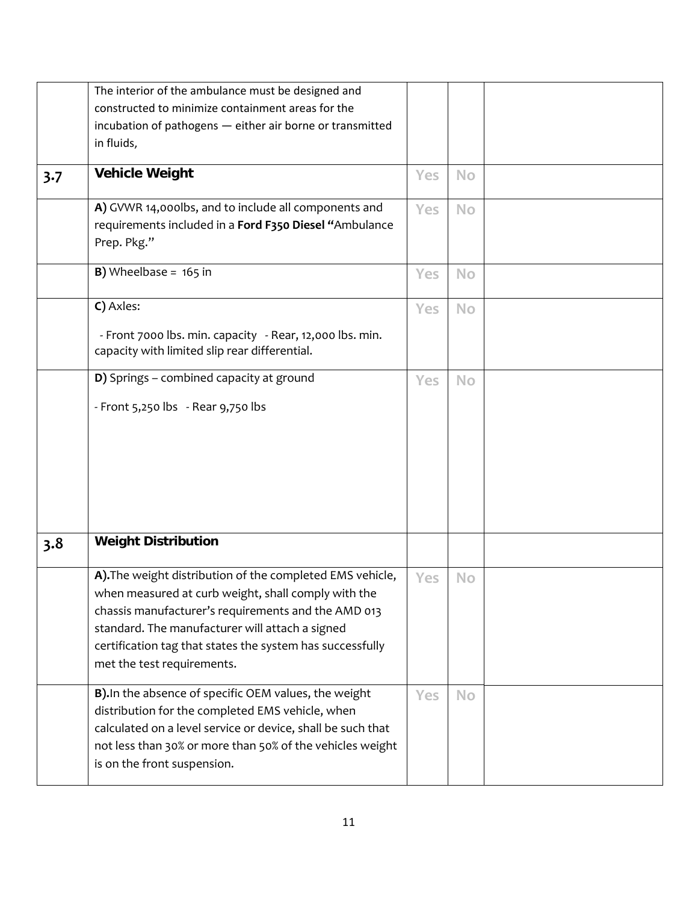|     | The interior of the ambulance must be designed and          |     |           |  |
|-----|-------------------------------------------------------------|-----|-----------|--|
|     | constructed to minimize containment areas for the           |     |           |  |
|     | incubation of pathogens - either air borne or transmitted   |     |           |  |
|     | in fluids,                                                  |     |           |  |
| 3.7 | <b>Vehicle Weight</b>                                       | Yes | <b>No</b> |  |
|     |                                                             |     |           |  |
|     | A) GVWR 14,000lbs, and to include all components and        | Yes | <b>No</b> |  |
|     | requirements included in a Ford F350 Diesel "Ambulance      |     |           |  |
|     | Prep. Pkg."                                                 |     |           |  |
|     | <b>B)</b> Wheelbase = $165$ in                              | Yes | <b>No</b> |  |
|     |                                                             |     |           |  |
|     | C) Axles:                                                   | Yes | <b>No</b> |  |
|     | - Front 7000 lbs. min. capacity - Rear, 12,000 lbs. min.    |     |           |  |
|     | capacity with limited slip rear differential.               |     |           |  |
|     | D) Springs - combined capacity at ground                    | Yes | <b>No</b> |  |
|     | - Front 5,250 lbs - Rear 9,750 lbs                          |     |           |  |
|     |                                                             |     |           |  |
|     |                                                             |     |           |  |
|     |                                                             |     |           |  |
|     |                                                             |     |           |  |
|     |                                                             |     |           |  |
|     |                                                             |     |           |  |
|     |                                                             |     |           |  |
| 3.8 | <b>Weight Distribution</b>                                  |     |           |  |
|     | A). The weight distribution of the completed EMS vehicle,   | Yes | <b>No</b> |  |
|     | when measured at curb weight, shall comply with the         |     |           |  |
|     | chassis manufacturer's requirements and the AMD 013         |     |           |  |
|     | standard. The manufacturer will attach a signed             |     |           |  |
|     | certification tag that states the system has successfully   |     |           |  |
|     | met the test requirements.                                  |     |           |  |
|     | B). In the absence of specific OEM values, the weight       | Yes | <b>No</b> |  |
|     | distribution for the completed EMS vehicle, when            |     |           |  |
|     | calculated on a level service or device, shall be such that |     |           |  |
|     | not less than 30% or more than 50% of the vehicles weight   |     |           |  |
|     | is on the front suspension.                                 |     |           |  |
|     |                                                             |     |           |  |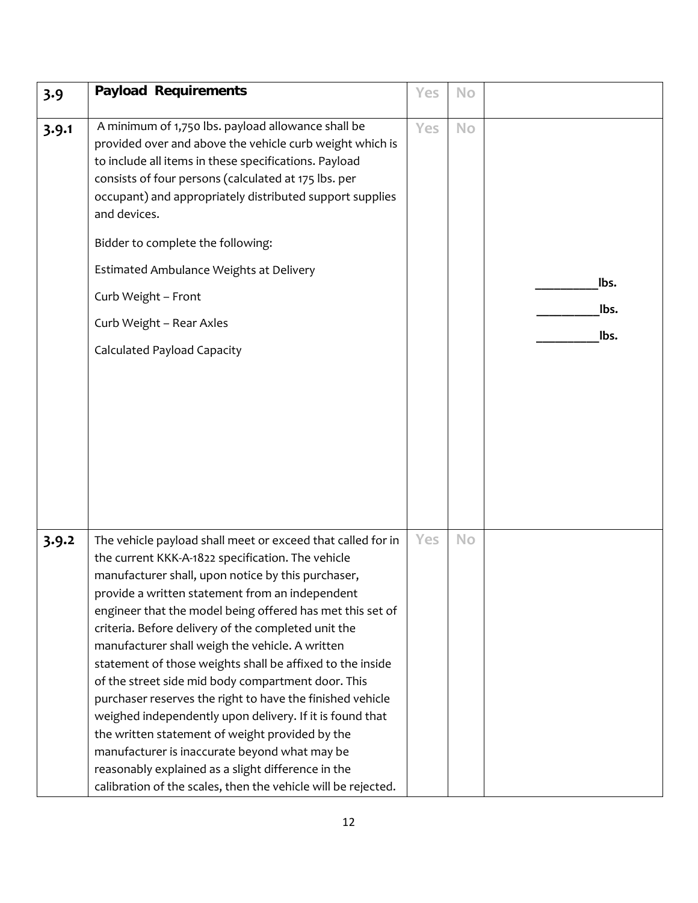| 3.9   | <b>Payload Requirements</b>                                                                                                                                                                                                                                                                                                                                                                                                                                                                                                                                                                                                                                                                                                                                                                                                                                             | Yes | <b>No</b> |                      |
|-------|-------------------------------------------------------------------------------------------------------------------------------------------------------------------------------------------------------------------------------------------------------------------------------------------------------------------------------------------------------------------------------------------------------------------------------------------------------------------------------------------------------------------------------------------------------------------------------------------------------------------------------------------------------------------------------------------------------------------------------------------------------------------------------------------------------------------------------------------------------------------------|-----|-----------|----------------------|
| 3.9.1 | A minimum of 1,750 lbs. payload allowance shall be<br>provided over and above the vehicle curb weight which is<br>to include all items in these specifications. Payload<br>consists of four persons (calculated at 175 lbs. per<br>occupant) and appropriately distributed support supplies<br>and devices.<br>Bidder to complete the following:<br>Estimated Ambulance Weights at Delivery<br>Curb Weight - Front<br>Curb Weight - Rear Axles<br><b>Calculated Payload Capacity</b>                                                                                                                                                                                                                                                                                                                                                                                    | Yes | No        | lbs.<br>lbs.<br>lbs. |
| 3.9.2 | The vehicle payload shall meet or exceed that called for in<br>the current KKK-A-1822 specification. The vehicle<br>manufacturer shall, upon notice by this purchaser,<br>provide a written statement from an independent<br>engineer that the model being offered has met this set of<br>criteria. Before delivery of the completed unit the<br>manufacturer shall weigh the vehicle. A written<br>statement of those weights shall be affixed to the inside<br>of the street side mid body compartment door. This<br>purchaser reserves the right to have the finished vehicle<br>weighed independently upon delivery. If it is found that<br>the written statement of weight provided by the<br>manufacturer is inaccurate beyond what may be<br>reasonably explained as a slight difference in the<br>calibration of the scales, then the vehicle will be rejected. | Yes | <b>No</b> |                      |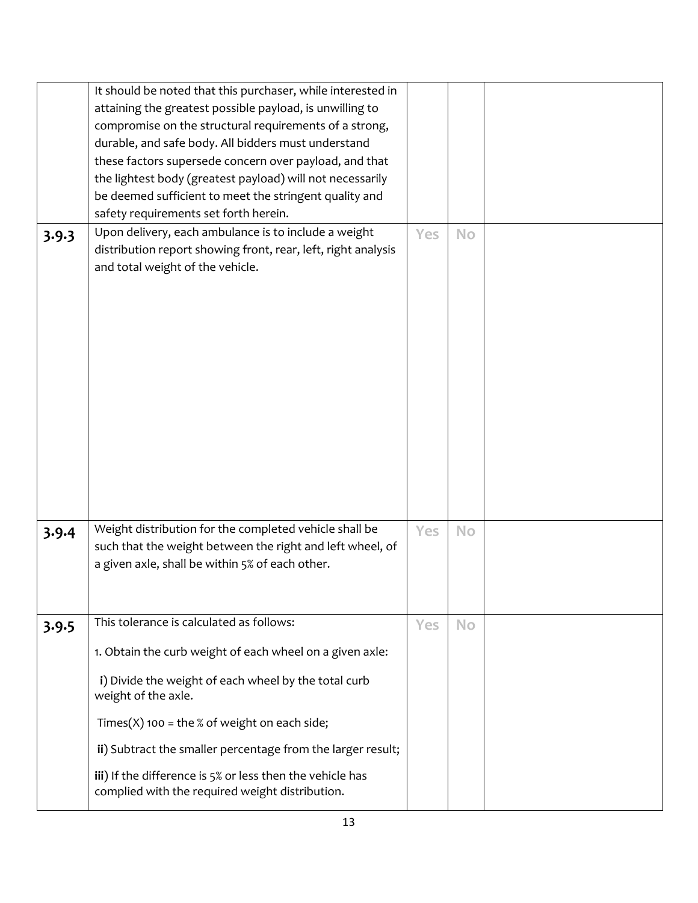|       | It should be noted that this purchaser, while interested in<br>attaining the greatest possible payload, is unwilling to<br>compromise on the structural requirements of a strong,<br>durable, and safe body. All bidders must understand<br>these factors supersede concern over payload, and that<br>the lightest body (greatest payload) will not necessarily<br>be deemed sufficient to meet the stringent quality and<br>safety requirements set forth herein. |     |           |  |
|-------|--------------------------------------------------------------------------------------------------------------------------------------------------------------------------------------------------------------------------------------------------------------------------------------------------------------------------------------------------------------------------------------------------------------------------------------------------------------------|-----|-----------|--|
| 3.9.3 | Upon delivery, each ambulance is to include a weight<br>distribution report showing front, rear, left, right analysis<br>and total weight of the vehicle.                                                                                                                                                                                                                                                                                                          | Yes | <b>No</b> |  |
| 3.9.4 | Weight distribution for the completed vehicle shall be<br>such that the weight between the right and left wheel, of<br>a given axle, shall be within 5% of each other.                                                                                                                                                                                                                                                                                             | Yes | <b>No</b> |  |
| 3.9.5 | This tolerance is calculated as follows:<br>1. Obtain the curb weight of each wheel on a given axle:<br>i) Divide the weight of each wheel by the total curb<br>weight of the axle.<br>Times(X) 100 = the % of weight on each side;<br>ii) Subtract the smaller percentage from the larger result;<br>iii) If the difference is 5% or less then the vehicle has<br>complied with the required weight distribution.                                                 | Yes | <b>No</b> |  |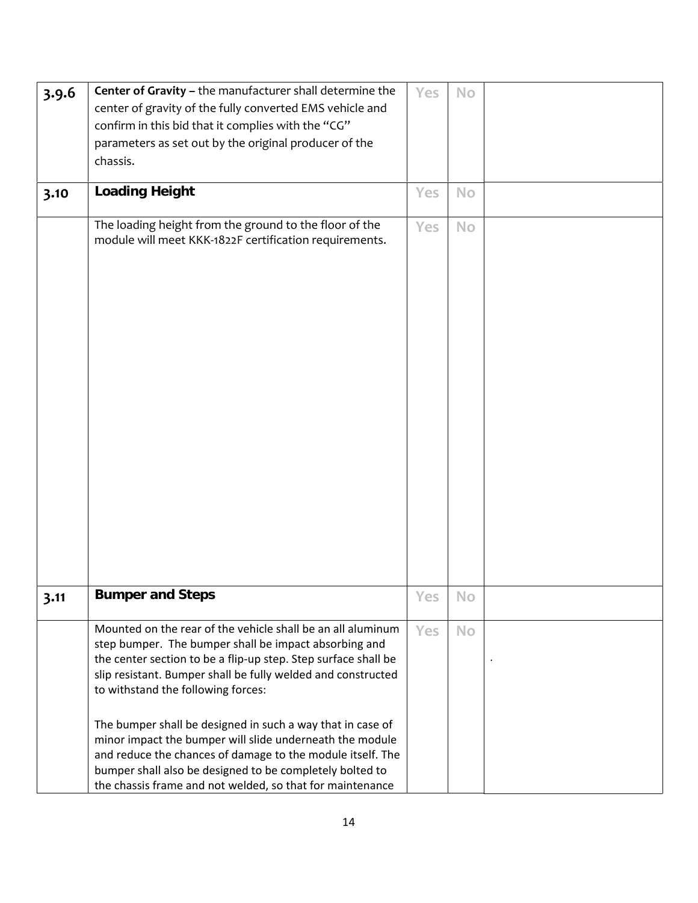| 3.9.6 | Center of Gravity - the manufacturer shall determine the                                                         | Yes        | <b>No</b> |  |
|-------|------------------------------------------------------------------------------------------------------------------|------------|-----------|--|
|       | center of gravity of the fully converted EMS vehicle and                                                         |            |           |  |
|       | confirm in this bid that it complies with the "CG"                                                               |            |           |  |
|       | parameters as set out by the original producer of the                                                            |            |           |  |
|       | chassis.                                                                                                         |            |           |  |
|       |                                                                                                                  |            |           |  |
| 3.10  | <b>Loading Height</b>                                                                                            | Yes        | <b>No</b> |  |
|       | The loading height from the ground to the floor of the<br>module will meet KKK-1822F certification requirements. | Yes        | <b>No</b> |  |
|       |                                                                                                                  |            |           |  |
|       |                                                                                                                  |            |           |  |
| 3.11  | <b>Bumper and Steps</b>                                                                                          | Yes        | <b>No</b> |  |
|       | Mounted on the rear of the vehicle shall be an all aluminum                                                      | <b>Yes</b> | No        |  |
|       | step bumper. The bumper shall be impact absorbing and                                                            |            |           |  |
|       | the center section to be a flip-up step. Step surface shall be                                                   |            |           |  |
|       | slip resistant. Bumper shall be fully welded and constructed                                                     |            |           |  |
|       | to withstand the following forces:                                                                               |            |           |  |
|       | The bumper shall be designed in such a way that in case of                                                       |            |           |  |
|       | minor impact the bumper will slide underneath the module                                                         |            |           |  |
|       | and reduce the chances of damage to the module itself. The                                                       |            |           |  |
|       | bumper shall also be designed to be completely bolted to                                                         |            |           |  |
|       | the chassis frame and not welded, so that for maintenance                                                        |            |           |  |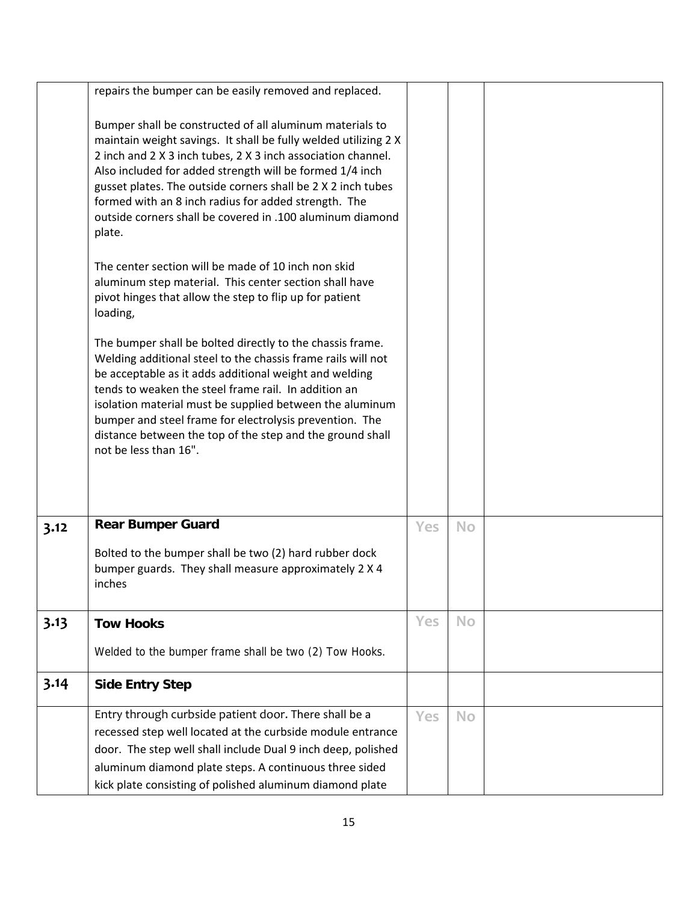|      | repairs the bumper can be easily removed and replaced.                                                                                                                                                                                                                                                                                                                                                                                                   |            |           |  |
|------|----------------------------------------------------------------------------------------------------------------------------------------------------------------------------------------------------------------------------------------------------------------------------------------------------------------------------------------------------------------------------------------------------------------------------------------------------------|------------|-----------|--|
|      | Bumper shall be constructed of all aluminum materials to<br>maintain weight savings. It shall be fully welded utilizing 2 X<br>2 inch and 2 X 3 inch tubes, 2 X 3 inch association channel.<br>Also included for added strength will be formed 1/4 inch<br>gusset plates. The outside corners shall be 2 X 2 inch tubes<br>formed with an 8 inch radius for added strength. The<br>outside corners shall be covered in .100 aluminum diamond<br>plate.   |            |           |  |
|      | The center section will be made of 10 inch non skid<br>aluminum step material. This center section shall have<br>pivot hinges that allow the step to flip up for patient<br>loading,                                                                                                                                                                                                                                                                     |            |           |  |
|      | The bumper shall be bolted directly to the chassis frame.<br>Welding additional steel to the chassis frame rails will not<br>be acceptable as it adds additional weight and welding<br>tends to weaken the steel frame rail. In addition an<br>isolation material must be supplied between the aluminum<br>bumper and steel frame for electrolysis prevention. The<br>distance between the top of the step and the ground shall<br>not be less than 16". |            |           |  |
|      |                                                                                                                                                                                                                                                                                                                                                                                                                                                          |            |           |  |
| 3.12 | <b>Rear Bumper Guard</b>                                                                                                                                                                                                                                                                                                                                                                                                                                 | <b>Yes</b> | <b>No</b> |  |
|      | Bolted to the bumper shall be two (2) hard rubber dock<br>bumper guards. They shall measure approximately 2 X 4<br>inches                                                                                                                                                                                                                                                                                                                                |            |           |  |
| 3.13 | <b>Tow Hooks</b>                                                                                                                                                                                                                                                                                                                                                                                                                                         | Yes        | <b>No</b> |  |
|      | Welded to the bumper frame shall be two (2) Tow Hooks.                                                                                                                                                                                                                                                                                                                                                                                                   |            |           |  |
| 3.14 | <b>Side Entry Step</b>                                                                                                                                                                                                                                                                                                                                                                                                                                   |            |           |  |
|      | Entry through curbside patient door. There shall be a<br>recessed step well located at the curbside module entrance<br>door. The step well shall include Dual 9 inch deep, polished<br>aluminum diamond plate steps. A continuous three sided<br>kick plate consisting of polished aluminum diamond plate                                                                                                                                                | Yes        | <b>No</b> |  |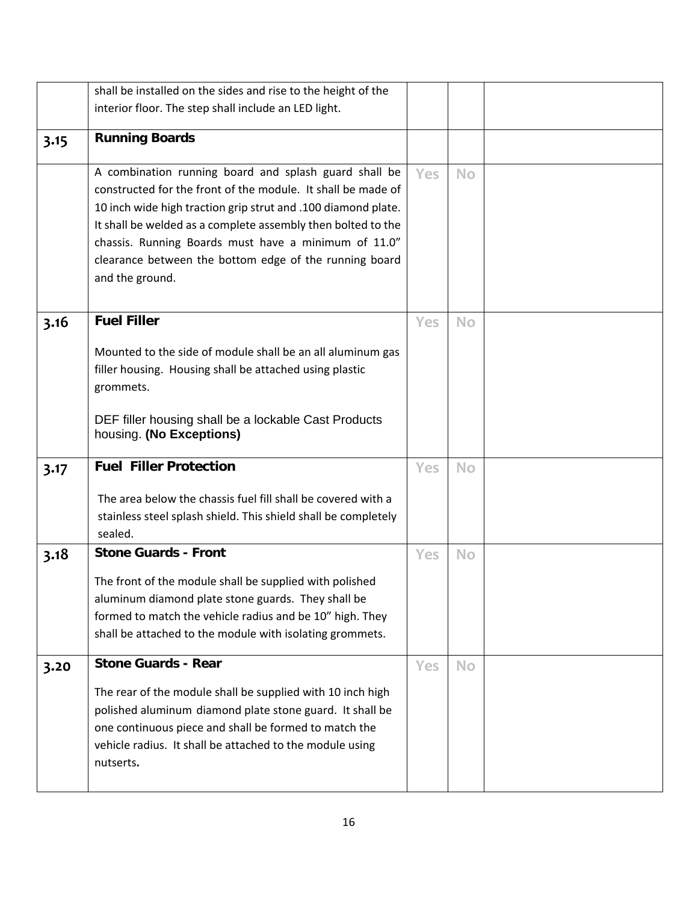|      | shall be installed on the sides and rise to the height of the                                                                                                                                                                                                                                                                                                                               |     |           |  |
|------|---------------------------------------------------------------------------------------------------------------------------------------------------------------------------------------------------------------------------------------------------------------------------------------------------------------------------------------------------------------------------------------------|-----|-----------|--|
|      | interior floor. The step shall include an LED light.                                                                                                                                                                                                                                                                                                                                        |     |           |  |
| 3.15 | <b>Running Boards</b>                                                                                                                                                                                                                                                                                                                                                                       |     |           |  |
|      | A combination running board and splash guard shall be<br>constructed for the front of the module. It shall be made of<br>10 inch wide high traction grip strut and .100 diamond plate.<br>It shall be welded as a complete assembly then bolted to the<br>chassis. Running Boards must have a minimum of 11.0"<br>clearance between the bottom edge of the running board<br>and the ground. | Yes | <b>No</b> |  |
| 3.16 | <b>Fuel Filler</b><br>Mounted to the side of module shall be an all aluminum gas<br>filler housing. Housing shall be attached using plastic<br>grommets.<br>DEF filler housing shall be a lockable Cast Products<br>housing. (No Exceptions)                                                                                                                                                | Yes | <b>No</b> |  |
| 3.17 | <b>Fuel Filler Protection</b>                                                                                                                                                                                                                                                                                                                                                               | Yes | <b>No</b> |  |
|      | The area below the chassis fuel fill shall be covered with a<br>stainless steel splash shield. This shield shall be completely<br>sealed.                                                                                                                                                                                                                                                   |     |           |  |
| 3.18 | <b>Stone Guards - Front</b>                                                                                                                                                                                                                                                                                                                                                                 | Yes | <b>No</b> |  |
|      | The front of the module shall be supplied with polished<br>aluminum diamond plate stone guards. They shall be<br>formed to match the vehicle radius and be 10" high. They<br>shall be attached to the module with isolating grommets.                                                                                                                                                       |     |           |  |
| 3.20 | <b>Stone Guards - Rear</b>                                                                                                                                                                                                                                                                                                                                                                  | Yes | <b>No</b> |  |
|      | The rear of the module shall be supplied with 10 inch high<br>polished aluminum diamond plate stone guard. It shall be<br>one continuous piece and shall be formed to match the<br>vehicle radius. It shall be attached to the module using<br>nutserts.                                                                                                                                    |     |           |  |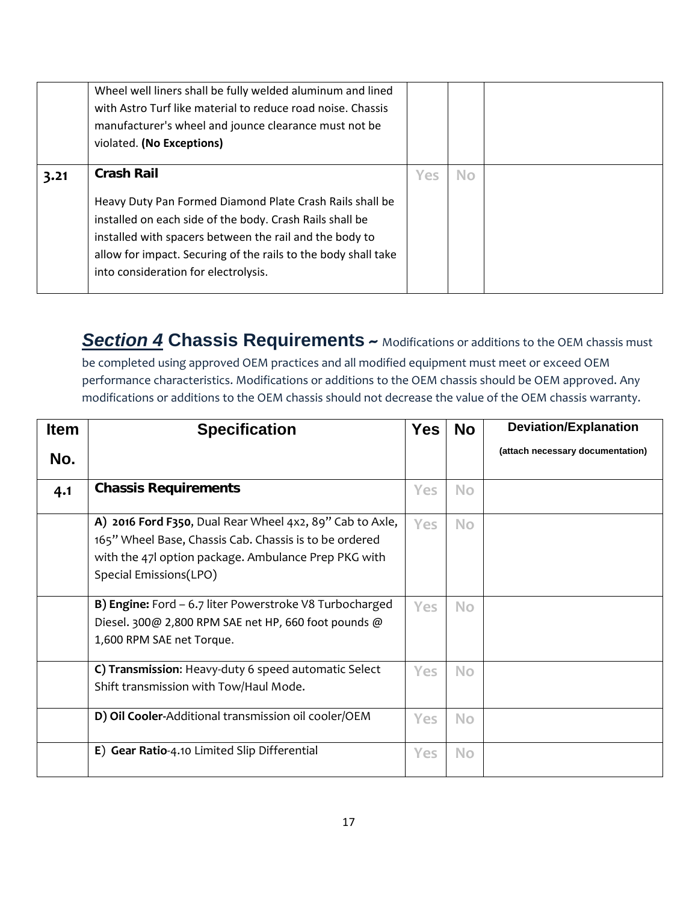|      | Wheel well liners shall be fully welded aluminum and lined<br>with Astro Turf like material to reduce road noise. Chassis<br>manufacturer's wheel and jounce clearance must not be<br>violated. (No Exceptions)                                                                                                |     |     |  |
|------|----------------------------------------------------------------------------------------------------------------------------------------------------------------------------------------------------------------------------------------------------------------------------------------------------------------|-----|-----|--|
| 3.21 | <b>Crash Rail</b><br>Heavy Duty Pan Formed Diamond Plate Crash Rails shall be<br>installed on each side of the body. Crash Rails shall be<br>installed with spacers between the rail and the body to<br>allow for impact. Securing of the rails to the body shall take<br>into consideration for electrolysis. | Yes | No. |  |

**Section 4 Chassis Requirements**  $\sim$  Modifications or additions to the OEM chassis must be completed using approved OEM practices and all modified equipment must meet or exceed OEM performance characteristics. Modifications or additions to the OEM chassis should be OEM approved. Any

modifications or additions to the OEM chassis should not decrease the value of the OEM chassis warranty.

| <b>Item</b> | <b>Specification</b>                                                                                                                                                                                 | <b>Yes</b> | <b>No</b> | <b>Deviation/Explanation</b>     |
|-------------|------------------------------------------------------------------------------------------------------------------------------------------------------------------------------------------------------|------------|-----------|----------------------------------|
| No.         |                                                                                                                                                                                                      |            |           | (attach necessary documentation) |
| 4.1         | <b>Chassis Requirements</b>                                                                                                                                                                          | Yes        | <b>No</b> |                                  |
|             | A) 2016 Ford F350, Dual Rear Wheel 4x2, 89" Cab to Axle,<br>165" Wheel Base, Chassis Cab. Chassis is to be ordered<br>with the 47 loption package. Ambulance Prep PKG with<br>Special Emissions(LPO) | <b>Yes</b> | <b>No</b> |                                  |
|             | <b>B) Engine:</b> Ford - 6.7 liter Powerstroke V8 Turbocharged<br>Diesel. 300@ 2,800 RPM SAE net HP, 660 foot pounds @<br>1,600 RPM SAE net Torque.                                                  | Yes        | <b>No</b> |                                  |
|             | C) Transmission: Heavy-duty 6 speed automatic Select<br>Shift transmission with Tow/Haul Mode.                                                                                                       | <b>Yes</b> | <b>No</b> |                                  |
|             | D) Oil Cooler-Additional transmission oil cooler/OEM                                                                                                                                                 | Yes        | <b>No</b> |                                  |
|             | E) Gear Ratio-4.10 Limited Slip Differential                                                                                                                                                         | Yes        | <b>No</b> |                                  |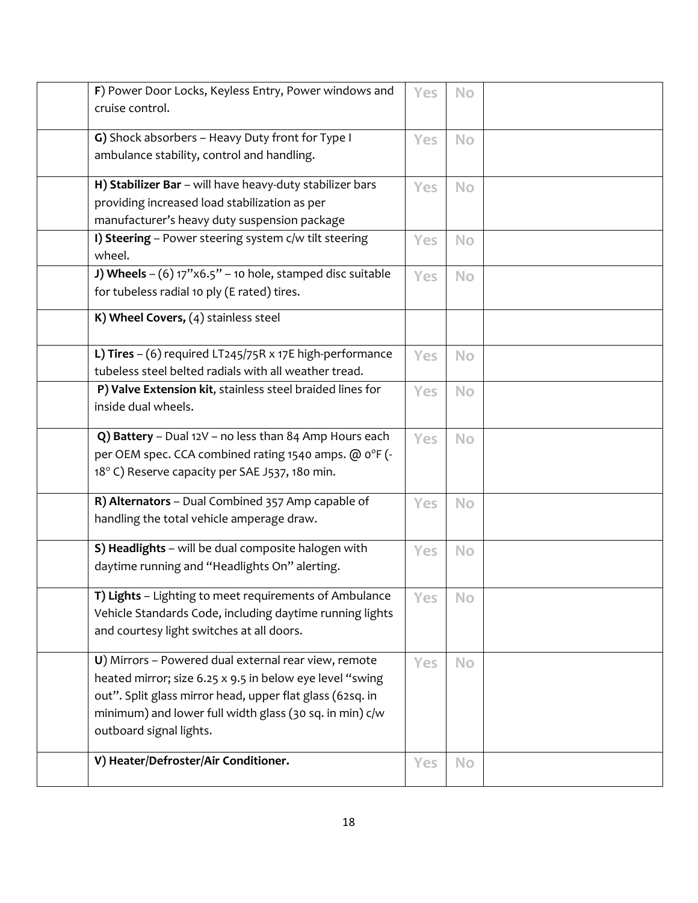| F) Power Door Locks, Keyless Entry, Power windows and<br>cruise control.                                                                                                                                                                                            | Yes | No        |  |
|---------------------------------------------------------------------------------------------------------------------------------------------------------------------------------------------------------------------------------------------------------------------|-----|-----------|--|
| G) Shock absorbers - Heavy Duty front for Type I<br>ambulance stability, control and handling.                                                                                                                                                                      | Yes | <b>No</b> |  |
| H) Stabilizer Bar - will have heavy-duty stabilizer bars<br>providing increased load stabilization as per<br>manufacturer's heavy duty suspension package                                                                                                           | Yes | No        |  |
| I) Steering - Power steering system c/w tilt steering<br>wheel.                                                                                                                                                                                                     | Yes | No        |  |
| J) Wheels $-(6)$ 17"x6.5" - 10 hole, stamped disc suitable<br>for tubeless radial 10 ply (E rated) tires.                                                                                                                                                           | Yes | <b>No</b> |  |
| K) Wheel Covers, (4) stainless steel                                                                                                                                                                                                                                |     |           |  |
| L) Tires $-$ (6) required LT245/75R x 17E high-performance<br>tubeless steel belted radials with all weather tread.                                                                                                                                                 | Yes | <b>No</b> |  |
| P) Valve Extension kit, stainless steel braided lines for<br>inside dual wheels.                                                                                                                                                                                    | Yes | <b>No</b> |  |
| Q) Battery - Dual 12V - no less than 84 Amp Hours each<br>per OEM spec. CCA combined rating 1540 amps. @ 0°F (-<br>18° C) Reserve capacity per SAE J537, 180 min.                                                                                                   | Yes | <b>No</b> |  |
| R) Alternators - Dual Combined 357 Amp capable of<br>handling the total vehicle amperage draw.                                                                                                                                                                      | Yes | <b>No</b> |  |
| S) Headlights - will be dual composite halogen with<br>daytime running and "Headlights On" alerting.                                                                                                                                                                | Yes | <b>No</b> |  |
| T) Lights - Lighting to meet requirements of Ambulance<br>Vehicle Standards Code, including daytime running lights<br>and courtesy light switches at all doors.                                                                                                     | Yes | <b>No</b> |  |
| U) Mirrors - Powered dual external rear view, remote<br>heated mirror; size 6.25 x 9.5 in below eye level "swing<br>out". Split glass mirror head, upper flat glass (62sq. in<br>minimum) and lower full width glass (30 sq. in min) c/w<br>outboard signal lights. | Yes | <b>No</b> |  |
| V) Heater/Defroster/Air Conditioner.                                                                                                                                                                                                                                | Yes | <b>No</b> |  |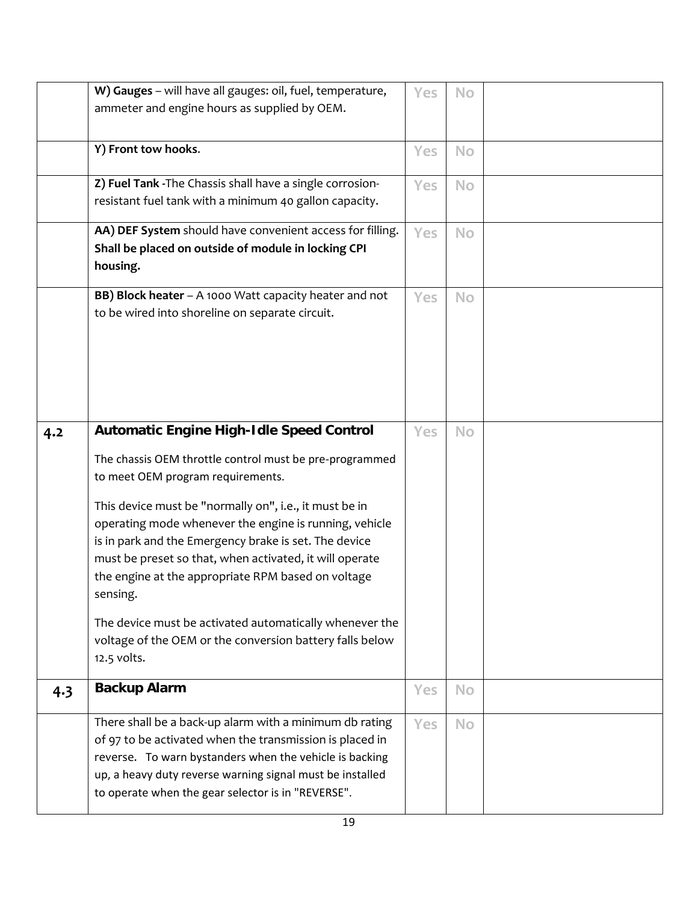|     | W) Gauges - will have all gauges: oil, fuel, temperature, | Yes | No        |  |
|-----|-----------------------------------------------------------|-----|-----------|--|
|     | ammeter and engine hours as supplied by OEM.              |     |           |  |
|     |                                                           |     |           |  |
|     | Y) Front tow hooks.                                       | Yes | <b>No</b> |  |
|     |                                                           |     |           |  |
|     | Z) Fuel Tank - The Chassis shall have a single corrosion- | Yes | <b>No</b> |  |
|     | resistant fuel tank with a minimum 40 gallon capacity.    |     |           |  |
|     | AA) DEF System should have convenient access for filling. | Yes | <b>No</b> |  |
|     | Shall be placed on outside of module in locking CPI       |     |           |  |
|     | housing.                                                  |     |           |  |
|     | BB) Block heater - A 1000 Watt capacity heater and not    | Yes | <b>No</b> |  |
|     | to be wired into shoreline on separate circuit.           |     |           |  |
|     |                                                           |     |           |  |
|     |                                                           |     |           |  |
|     |                                                           |     |           |  |
|     |                                                           |     |           |  |
|     |                                                           |     |           |  |
| 4.2 | <b>Automatic Engine High-Idle Speed Control</b>           | Yes | <b>No</b> |  |
|     | The chassis OEM throttle control must be pre-programmed   |     |           |  |
|     | to meet OEM program requirements.                         |     |           |  |
|     | This device must be "normally on", i.e., it must be in    |     |           |  |
|     | operating mode whenever the engine is running, vehicle    |     |           |  |
|     | is in park and the Emergency brake is set. The device     |     |           |  |
|     | must be preset so that, when activated, it will operate   |     |           |  |
|     | the engine at the appropriate RPM based on voltage        |     |           |  |
|     | sensing.                                                  |     |           |  |
|     | The device must be activated automatically whenever the   |     |           |  |
|     | voltage of the OEM or the conversion battery falls below  |     |           |  |
|     | 12.5 volts.                                               |     |           |  |
|     | <b>Backup Alarm</b>                                       | Yes | No        |  |
| 4.3 |                                                           |     |           |  |
|     | There shall be a back-up alarm with a minimum db rating   | Yes | <b>No</b> |  |
|     | of 97 to be activated when the transmission is placed in  |     |           |  |
|     | reverse. To warn bystanders when the vehicle is backing   |     |           |  |
|     | up, a heavy duty reverse warning signal must be installed |     |           |  |
|     | to operate when the gear selector is in "REVERSE".        |     |           |  |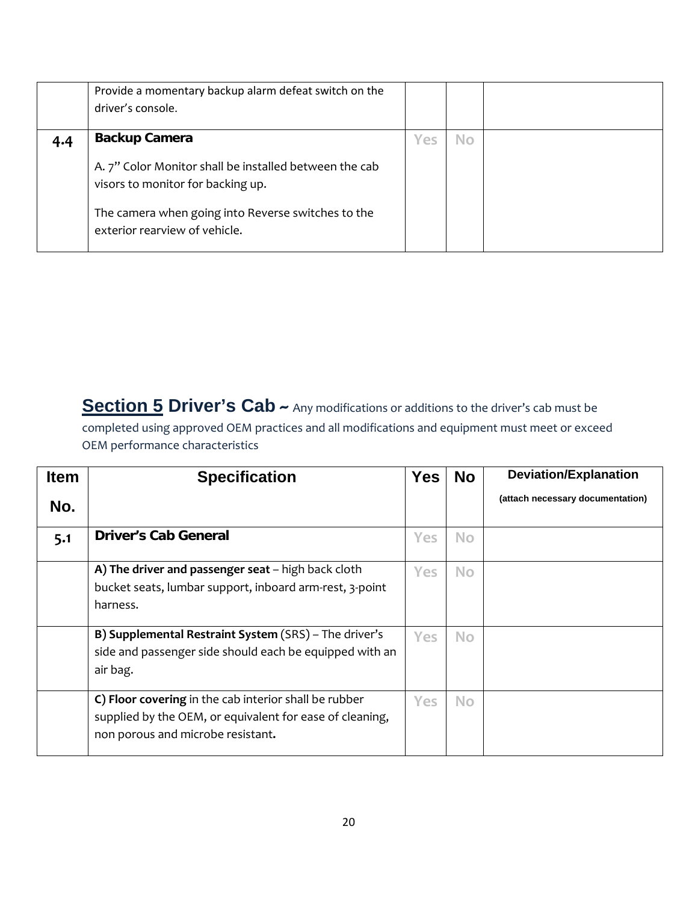|     | Provide a momentary backup alarm defeat switch on the<br>driver's console.                  |     |           |  |
|-----|---------------------------------------------------------------------------------------------|-----|-----------|--|
| 4.4 | <b>Backup Camera</b>                                                                        | Yes | <b>No</b> |  |
|     | A. 7" Color Monitor shall be installed between the cab<br>visors to monitor for backing up. |     |           |  |
|     | The camera when going into Reverse switches to the<br>exterior rearview of vehicle.         |     |           |  |

**Section 5 Driver's Cab**  $\sim$  Any modifications or additions to the driver's cab must be completed using approved OEM practices and all modifications and equipment must meet or exceed OEM performance characteristics

| <b>Item</b> | <b>Specification</b>                                     | <b>Yes</b> | <b>No</b> | <b>Deviation/Explanation</b>     |
|-------------|----------------------------------------------------------|------------|-----------|----------------------------------|
| No.         |                                                          |            |           | (attach necessary documentation) |
| 5.1         | <b>Driver's Cab General</b>                              | Yes        | <b>No</b> |                                  |
|             | A) The driver and passenger seat - high back cloth       | <b>Yes</b> | <b>No</b> |                                  |
|             | bucket seats, lumbar support, inboard arm-rest, 3-point  |            |           |                                  |
|             | harness.                                                 |            |           |                                  |
|             | B) Supplemental Restraint System (SRS) - The driver's    | Yes        | <b>No</b> |                                  |
|             | side and passenger side should each be equipped with an  |            |           |                                  |
|             | air bag.                                                 |            |           |                                  |
|             | C) Floor covering in the cab interior shall be rubber    | Yes.       | <b>No</b> |                                  |
|             | supplied by the OEM, or equivalent for ease of cleaning, |            |           |                                  |
|             | non porous and microbe resistant.                        |            |           |                                  |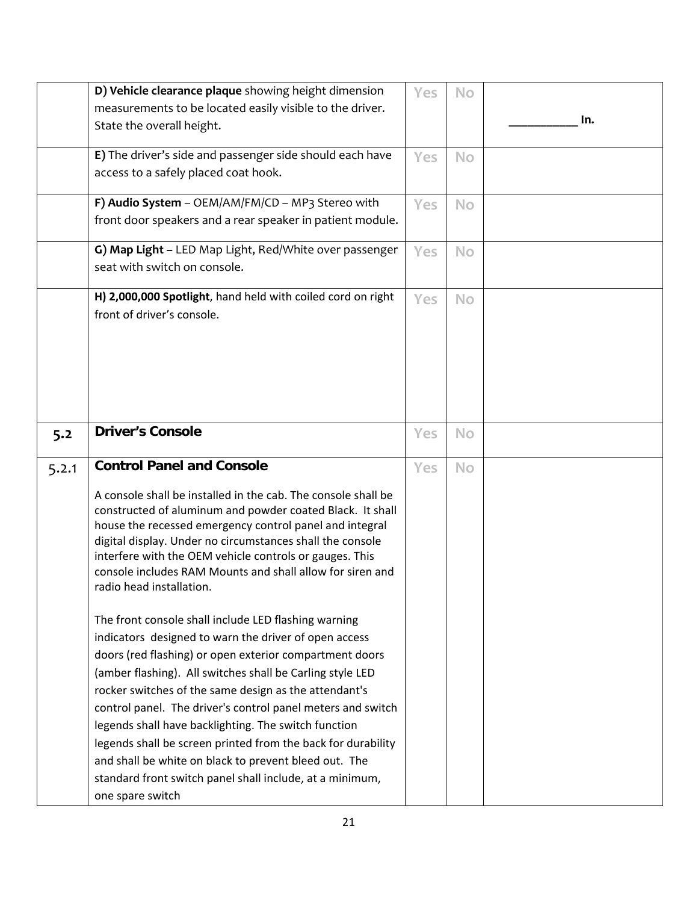|       | D) Vehicle clearance plaque showing height dimension                                                                 | Yes        | <b>No</b> |     |
|-------|----------------------------------------------------------------------------------------------------------------------|------------|-----------|-----|
|       | measurements to be located easily visible to the driver.                                                             |            |           |     |
|       | State the overall height.                                                                                            |            |           | In. |
|       | E) The driver's side and passenger side should each have                                                             |            |           |     |
|       | access to a safely placed coat hook.                                                                                 | Yes        | <b>No</b> |     |
|       |                                                                                                                      |            |           |     |
|       | F) Audio System - OEM/AM/FM/CD - MP3 Stereo with                                                                     | <b>Yes</b> | <b>No</b> |     |
|       | front door speakers and a rear speaker in patient module.                                                            |            |           |     |
|       |                                                                                                                      |            |           |     |
|       | G) Map Light - LED Map Light, Red/White over passenger                                                               | Yes        | <b>No</b> |     |
|       | seat with switch on console.                                                                                         |            |           |     |
|       | H) 2,000,000 Spotlight, hand held with coiled cord on right                                                          | Yes        | <b>No</b> |     |
|       | front of driver's console.                                                                                           |            |           |     |
|       |                                                                                                                      |            |           |     |
|       |                                                                                                                      |            |           |     |
|       |                                                                                                                      |            |           |     |
|       |                                                                                                                      |            |           |     |
|       |                                                                                                                      |            |           |     |
|       |                                                                                                                      |            |           |     |
| 5.2   | <b>Driver's Console</b>                                                                                              | Yes        | No        |     |
| 5.2.1 | <b>Control Panel and Console</b>                                                                                     | Yes        | <b>No</b> |     |
|       |                                                                                                                      |            |           |     |
|       | A console shall be installed in the cab. The console shall be                                                        |            |           |     |
|       | constructed of aluminum and powder coated Black. It shall                                                            |            |           |     |
|       | house the recessed emergency control panel and integral<br>digital display. Under no circumstances shall the console |            |           |     |
|       | interfere with the OEM vehicle controls or gauges. This                                                              |            |           |     |
|       | console includes RAM Mounts and shall allow for siren and                                                            |            |           |     |
|       | radio head installation.                                                                                             |            |           |     |
|       |                                                                                                                      |            |           |     |
|       | The front console shall include LED flashing warning                                                                 |            |           |     |
|       | indicators designed to warn the driver of open access                                                                |            |           |     |
|       | doors (red flashing) or open exterior compartment doors                                                              |            |           |     |
|       | (amber flashing). All switches shall be Carling style LED                                                            |            |           |     |
|       | rocker switches of the same design as the attendant's                                                                |            |           |     |
|       | control panel. The driver's control panel meters and switch                                                          |            |           |     |
|       | legends shall have backlighting. The switch function                                                                 |            |           |     |
|       | legends shall be screen printed from the back for durability                                                         |            |           |     |
|       | and shall be white on black to prevent bleed out. The                                                                |            |           |     |
|       | standard front switch panel shall include, at a minimum,                                                             |            |           |     |
|       | one spare switch                                                                                                     |            |           |     |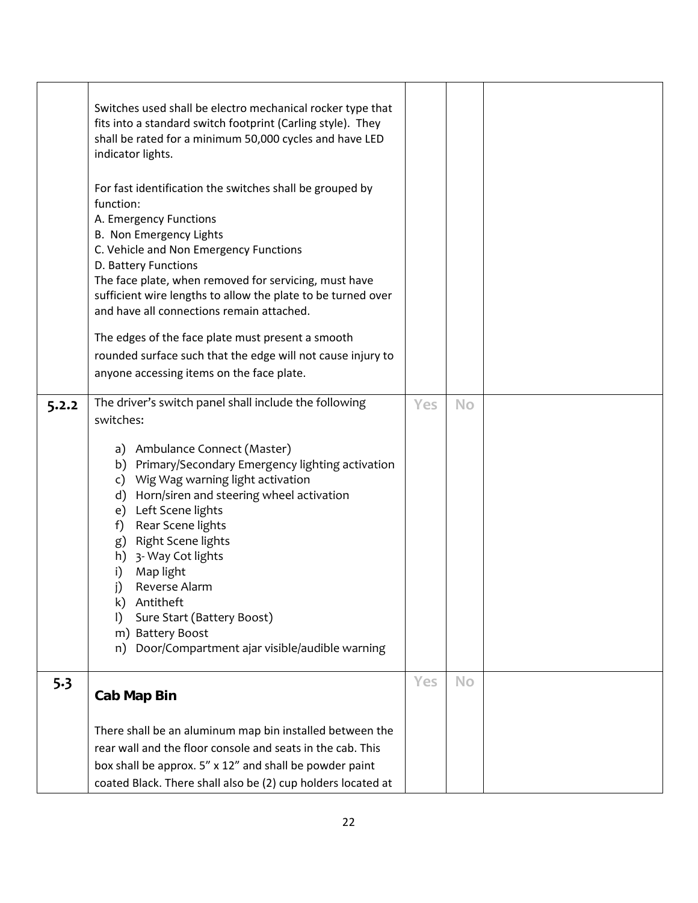|       | Switches used shall be electro mechanical rocker type that<br>fits into a standard switch footprint (Carling style). They<br>shall be rated for a minimum 50,000 cycles and have LED<br>indicator lights.<br>For fast identification the switches shall be grouped by<br>function:<br>A. Emergency Functions<br>B. Non Emergency Lights<br>C. Vehicle and Non Emergency Functions<br>D. Battery Functions<br>The face plate, when removed for servicing, must have<br>sufficient wire lengths to allow the plate to be turned over<br>and have all connections remain attached.<br>The edges of the face plate must present a smooth<br>rounded surface such that the edge will not cause injury to<br>anyone accessing items on the face plate. |     |           |  |
|-------|--------------------------------------------------------------------------------------------------------------------------------------------------------------------------------------------------------------------------------------------------------------------------------------------------------------------------------------------------------------------------------------------------------------------------------------------------------------------------------------------------------------------------------------------------------------------------------------------------------------------------------------------------------------------------------------------------------------------------------------------------|-----|-----------|--|
|       |                                                                                                                                                                                                                                                                                                                                                                                                                                                                                                                                                                                                                                                                                                                                                  |     |           |  |
| 5.2.2 | The driver's switch panel shall include the following                                                                                                                                                                                                                                                                                                                                                                                                                                                                                                                                                                                                                                                                                            | Yes | <b>No</b> |  |
|       | switches:                                                                                                                                                                                                                                                                                                                                                                                                                                                                                                                                                                                                                                                                                                                                        |     |           |  |
|       | a) Ambulance Connect (Master)<br>b) Primary/Secondary Emergency lighting activation<br>c) Wig Wag warning light activation<br>d) Horn/siren and steering wheel activation<br>e) Left Scene lights<br>Rear Scene lights<br>f)<br>g) Right Scene lights<br>h) 3- Way Cot lights<br>i)<br>Map light<br>j)<br>Reverse Alarm<br>Antitheft<br>k)<br>Sure Start (Battery Boost)<br>$\vert$<br>m) Battery Boost<br>Door/Compartment ajar visible/audible warning<br>n)                                                                                                                                                                                                                                                                                   |     |           |  |
| 5.3   |                                                                                                                                                                                                                                                                                                                                                                                                                                                                                                                                                                                                                                                                                                                                                  | Yes | <b>No</b> |  |
|       | <b>Cab Map Bin</b>                                                                                                                                                                                                                                                                                                                                                                                                                                                                                                                                                                                                                                                                                                                               |     |           |  |
|       | There shall be an aluminum map bin installed between the<br>rear wall and the floor console and seats in the cab. This<br>box shall be approx. 5" x 12" and shall be powder paint<br>coated Black. There shall also be (2) cup holders located at                                                                                                                                                                                                                                                                                                                                                                                                                                                                                                |     |           |  |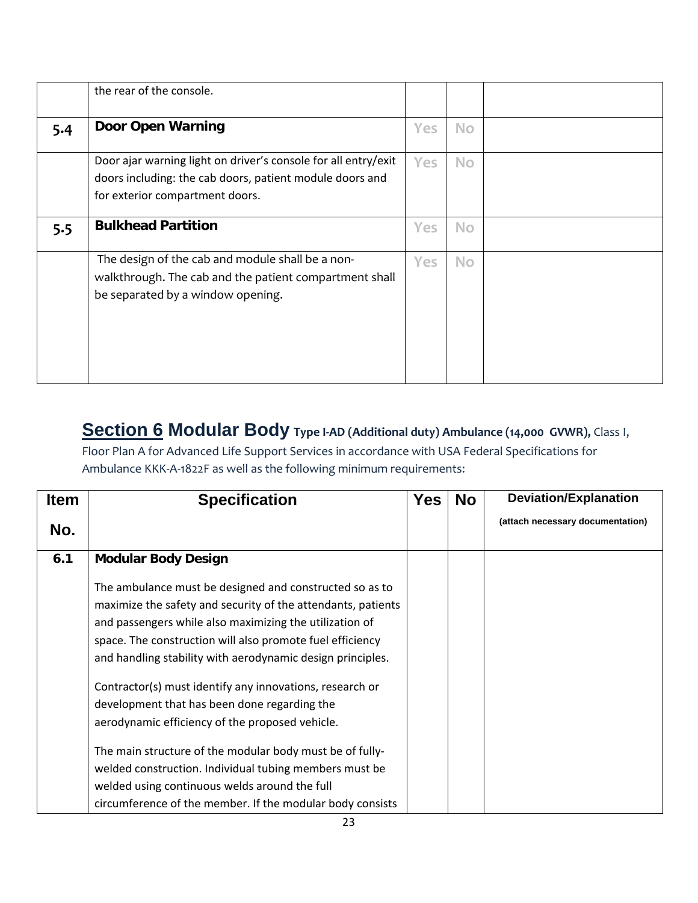|     | the rear of the console.                                                                                                                                      |            |           |  |
|-----|---------------------------------------------------------------------------------------------------------------------------------------------------------------|------------|-----------|--|
| 5.4 | <b>Door Open Warning</b>                                                                                                                                      | Yes        | <b>No</b> |  |
|     | Door ajar warning light on driver's console for all entry/exit<br>doors including: the cab doors, patient module doors and<br>for exterior compartment doors. | <b>Yes</b> | <b>No</b> |  |
| 5.5 | <b>Bulkhead Partition</b>                                                                                                                                     | Yes        | <b>No</b> |  |
|     | The design of the cab and module shall be a non-<br>walkthrough. The cab and the patient compartment shall<br>be separated by a window opening.               | <b>Yes</b> | <b>No</b> |  |

### **Section 6 Modular Body Type <sup>I</sup>‐AD (Additional duty) Ambulance (14,000 GVWR),** Class I,

Floor Plan A for Advanced Life Support Services in accordance with USA Federal Specifications for Ambulance KKK‐A‐1822F as well as the following minimum requirements:

| (attach necessary documentation) |
|----------------------------------|
|                                  |
|                                  |
|                                  |
|                                  |
|                                  |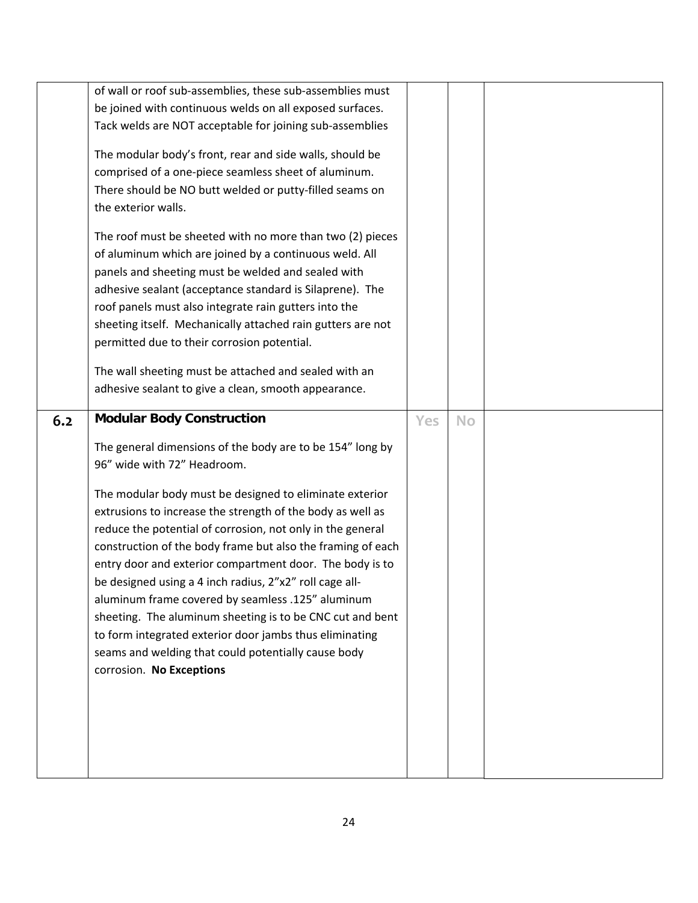|     | of wall or roof sub-assemblies, these sub-assemblies must<br>be joined with continuous welds on all exposed surfaces.<br>Tack welds are NOT acceptable for joining sub-assemblies<br>The modular body's front, rear and side walls, should be<br>comprised of a one-piece seamless sheet of aluminum.<br>There should be NO butt welded or putty-filled seams on<br>the exterior walls.<br>The roof must be sheeted with no more than two (2) pieces<br>of aluminum which are joined by a continuous weld. All<br>panels and sheeting must be welded and sealed with<br>adhesive sealant (acceptance standard is Silaprene). The<br>roof panels must also integrate rain gutters into the<br>sheeting itself. Mechanically attached rain gutters are not<br>permitted due to their corrosion potential. |     |           |  |
|-----|---------------------------------------------------------------------------------------------------------------------------------------------------------------------------------------------------------------------------------------------------------------------------------------------------------------------------------------------------------------------------------------------------------------------------------------------------------------------------------------------------------------------------------------------------------------------------------------------------------------------------------------------------------------------------------------------------------------------------------------------------------------------------------------------------------|-----|-----------|--|
|     | The wall sheeting must be attached and sealed with an<br>adhesive sealant to give a clean, smooth appearance.                                                                                                                                                                                                                                                                                                                                                                                                                                                                                                                                                                                                                                                                                           |     |           |  |
| 6.2 | <b>Modular Body Construction</b><br>The general dimensions of the body are to be 154" long by<br>96" wide with 72" Headroom.<br>The modular body must be designed to eliminate exterior<br>extrusions to increase the strength of the body as well as<br>reduce the potential of corrosion, not only in the general<br>construction of the body frame but also the framing of each<br>entry door and exterior compartment door. The body is to<br>be designed using a 4 inch radius, 2"x2" roll cage all-<br>aluminum frame covered by seamless .125" aluminum<br>sheeting. The aluminum sheeting is to be CNC cut and bent<br>to form integrated exterior door jambs thus eliminating<br>seams and welding that could potentially cause body<br>corrosion. No Exceptions                               | Yes | <b>No</b> |  |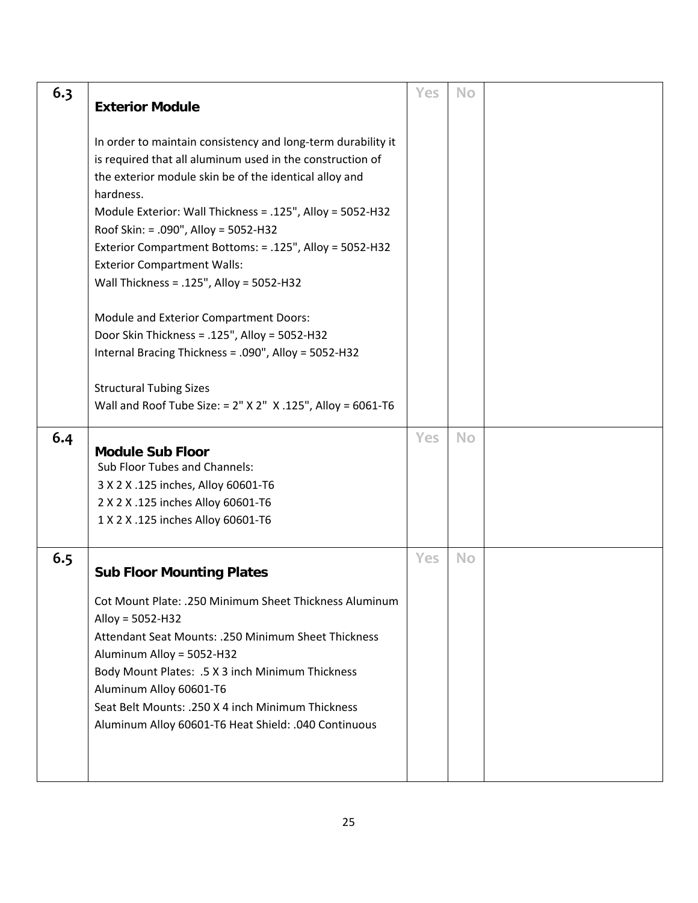| 6.3 | <b>Exterior Module</b>                                                                                                                                                                                                                                                                                                                                                                                                                             | Yes | <b>No</b> |  |
|-----|----------------------------------------------------------------------------------------------------------------------------------------------------------------------------------------------------------------------------------------------------------------------------------------------------------------------------------------------------------------------------------------------------------------------------------------------------|-----|-----------|--|
|     | In order to maintain consistency and long-term durability it<br>is required that all aluminum used in the construction of<br>the exterior module skin be of the identical alloy and<br>hardness.<br>Module Exterior: Wall Thickness = .125", Alloy = 5052-H32<br>Roof Skin: = .090", Alloy = 5052-H32<br>Exterior Compartment Bottoms: = .125", Alloy = 5052-H32<br><b>Exterior Compartment Walls:</b><br>Wall Thickness = .125", Alloy = 5052-H32 |     |           |  |
|     | Module and Exterior Compartment Doors:<br>Door Skin Thickness = .125", Alloy = 5052-H32<br>Internal Bracing Thickness = .090", Alloy = 5052-H32                                                                                                                                                                                                                                                                                                    |     |           |  |
|     | <b>Structural Tubing Sizes</b><br>Wall and Roof Tube Size: = $2''$ X $2''$ X .125", Alloy = 6061-T6                                                                                                                                                                                                                                                                                                                                                |     |           |  |
| 6.4 | <b>Module Sub Floor</b><br>Sub Floor Tubes and Channels:<br>3 X 2 X .125 inches, Alloy 60601-T6<br>2 X 2 X .125 inches Alloy 60601-T6<br>1 X 2 X .125 inches Alloy 60601-T6                                                                                                                                                                                                                                                                        | Yes | <b>No</b> |  |
| 6.5 | <b>Sub Floor Mounting Plates</b><br>Cot Mount Plate: .250 Minimum Sheet Thickness Aluminum<br>Alloy = 5052-H32<br>Attendant Seat Mounts: .250 Minimum Sheet Thickness<br>Aluminum Alloy = 5052-H32<br>Body Mount Plates: .5 X 3 inch Minimum Thickness<br>Aluminum Alloy 60601-T6<br>Seat Belt Mounts: .250 X 4 inch Minimum Thickness<br>Aluminum Alloy 60601-T6 Heat Shield: .040 Continuous                                                     | Yes | <b>No</b> |  |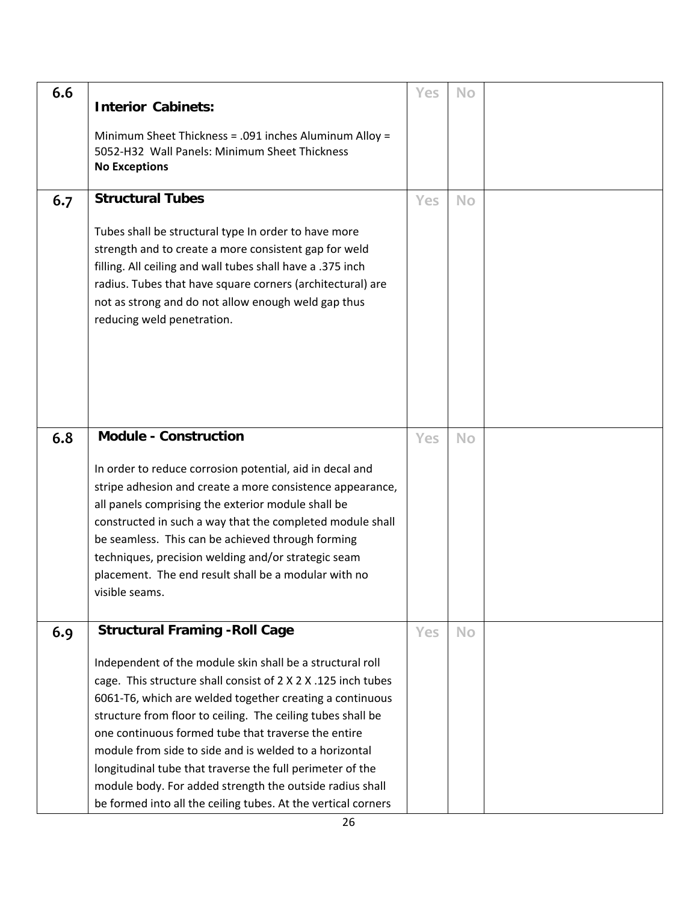| 6.6 | <b>Interior Cabinets:</b><br>Minimum Sheet Thickness = .091 inches Aluminum Alloy =<br>5052-H32 Wall Panels: Minimum Sheet Thickness<br><b>No Exceptions</b>                                                                                                                                                                                                                                                                                                                                                                                                     | Yes | <b>No</b> |  |
|-----|------------------------------------------------------------------------------------------------------------------------------------------------------------------------------------------------------------------------------------------------------------------------------------------------------------------------------------------------------------------------------------------------------------------------------------------------------------------------------------------------------------------------------------------------------------------|-----|-----------|--|
|     |                                                                                                                                                                                                                                                                                                                                                                                                                                                                                                                                                                  |     |           |  |
| 6.7 | <b>Structural Tubes</b><br>Tubes shall be structural type In order to have more<br>strength and to create a more consistent gap for weld<br>filling. All ceiling and wall tubes shall have a .375 inch<br>radius. Tubes that have square corners (architectural) are<br>not as strong and do not allow enough weld gap thus<br>reducing weld penetration.                                                                                                                                                                                                        | Yes | <b>No</b> |  |
| 6.8 | <b>Module - Construction</b>                                                                                                                                                                                                                                                                                                                                                                                                                                                                                                                                     | Yes | <b>No</b> |  |
|     | In order to reduce corrosion potential, aid in decal and<br>stripe adhesion and create a more consistence appearance,<br>all panels comprising the exterior module shall be<br>constructed in such a way that the completed module shall<br>be seamless. This can be achieved through forming<br>techniques, precision welding and/or strategic seam<br>placement. The end result shall be a modular with no<br>visible seams.                                                                                                                                   |     |           |  |
| 6.9 | <b>Structural Framing - Roll Cage</b>                                                                                                                                                                                                                                                                                                                                                                                                                                                                                                                            | Yes | <b>No</b> |  |
|     | Independent of the module skin shall be a structural roll<br>cage. This structure shall consist of 2 X 2 X .125 inch tubes<br>6061-T6, which are welded together creating a continuous<br>structure from floor to ceiling. The ceiling tubes shall be<br>one continuous formed tube that traverse the entire<br>module from side to side and is welded to a horizontal<br>longitudinal tube that traverse the full perimeter of the<br>module body. For added strength the outside radius shall<br>be formed into all the ceiling tubes. At the vertical corners |     |           |  |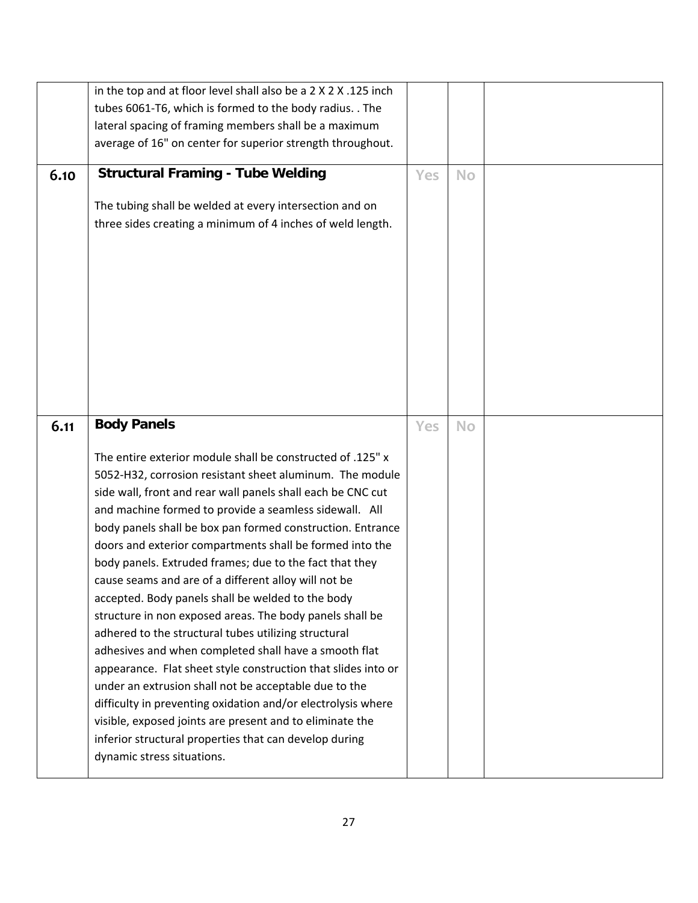|      | in the top and at floor level shall also be a 2 X 2 X .125 inch<br>tubes 6061-T6, which is formed to the body radius. . The<br>lateral spacing of framing members shall be a maximum<br>average of 16" on center for superior strength throughout.                                                                                                                                                                                                                                                                                                                                                                                                                                                                                                                                                                                                                                                                                                                                                                                                                                                 |     |           |  |
|------|----------------------------------------------------------------------------------------------------------------------------------------------------------------------------------------------------------------------------------------------------------------------------------------------------------------------------------------------------------------------------------------------------------------------------------------------------------------------------------------------------------------------------------------------------------------------------------------------------------------------------------------------------------------------------------------------------------------------------------------------------------------------------------------------------------------------------------------------------------------------------------------------------------------------------------------------------------------------------------------------------------------------------------------------------------------------------------------------------|-----|-----------|--|
| 6.10 | <b>Structural Framing - Tube Welding</b><br>The tubing shall be welded at every intersection and on<br>three sides creating a minimum of 4 inches of weld length.                                                                                                                                                                                                                                                                                                                                                                                                                                                                                                                                                                                                                                                                                                                                                                                                                                                                                                                                  | Yes | <b>No</b> |  |
| 6.11 | <b>Body Panels</b><br>The entire exterior module shall be constructed of .125" x<br>5052-H32, corrosion resistant sheet aluminum. The module<br>side wall, front and rear wall panels shall each be CNC cut<br>and machine formed to provide a seamless sidewall. All<br>body panels shall be box pan formed construction. Entrance<br>doors and exterior compartments shall be formed into the<br>body panels. Extruded frames; due to the fact that they<br>cause seams and are of a different alloy will not be<br>accepted. Body panels shall be welded to the body<br>structure in non exposed areas. The body panels shall be<br>adhered to the structural tubes utilizing structural<br>adhesives and when completed shall have a smooth flat<br>appearance. Flat sheet style construction that slides into or<br>under an extrusion shall not be acceptable due to the<br>difficulty in preventing oxidation and/or electrolysis where<br>visible, exposed joints are present and to eliminate the<br>inferior structural properties that can develop during<br>dynamic stress situations. | Yes | <b>No</b> |  |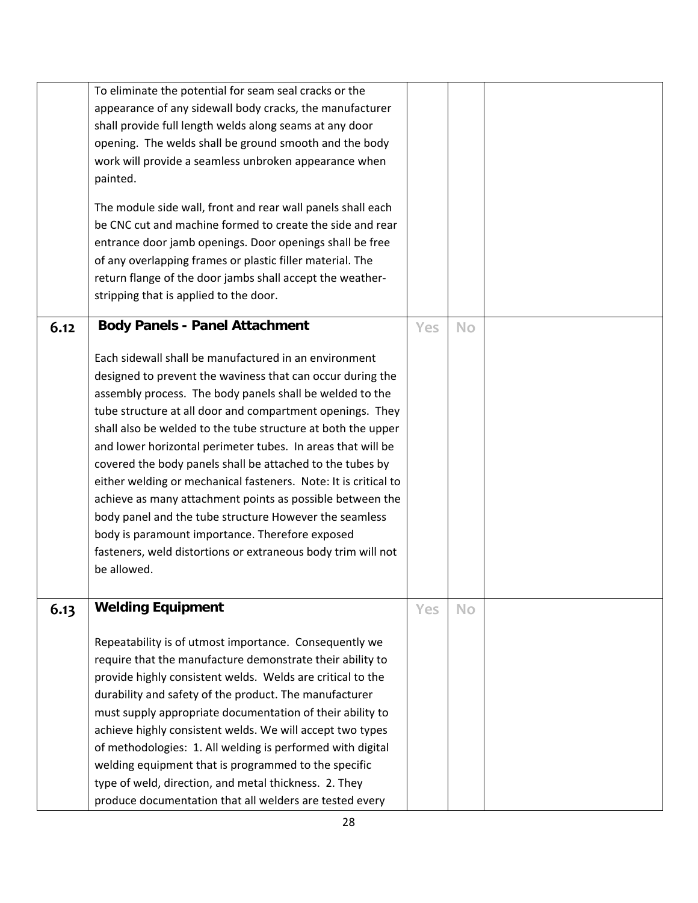|      | To eliminate the potential for seam seal cracks or the                                                              |            |           |  |
|------|---------------------------------------------------------------------------------------------------------------------|------------|-----------|--|
|      | appearance of any sidewall body cracks, the manufacturer                                                            |            |           |  |
|      | shall provide full length welds along seams at any door                                                             |            |           |  |
|      | opening. The welds shall be ground smooth and the body                                                              |            |           |  |
|      | work will provide a seamless unbroken appearance when                                                               |            |           |  |
|      | painted.                                                                                                            |            |           |  |
|      |                                                                                                                     |            |           |  |
|      | The module side wall, front and rear wall panels shall each                                                         |            |           |  |
|      | be CNC cut and machine formed to create the side and rear                                                           |            |           |  |
|      | entrance door jamb openings. Door openings shall be free                                                            |            |           |  |
|      | of any overlapping frames or plastic filler material. The                                                           |            |           |  |
|      | return flange of the door jambs shall accept the weather-                                                           |            |           |  |
|      | stripping that is applied to the door.                                                                              |            |           |  |
| 6.12 | <b>Body Panels - Panel Attachment</b>                                                                               | <b>Yes</b> | <b>No</b> |  |
|      |                                                                                                                     |            |           |  |
|      | Each sidewall shall be manufactured in an environment                                                               |            |           |  |
|      | designed to prevent the waviness that can occur during the                                                          |            |           |  |
|      | assembly process. The body panels shall be welded to the                                                            |            |           |  |
|      | tube structure at all door and compartment openings. They                                                           |            |           |  |
|      | shall also be welded to the tube structure at both the upper                                                        |            |           |  |
|      | and lower horizontal perimeter tubes. In areas that will be                                                         |            |           |  |
|      | covered the body panels shall be attached to the tubes by                                                           |            |           |  |
|      | either welding or mechanical fasteners. Note: It is critical to                                                     |            |           |  |
|      | achieve as many attachment points as possible between the                                                           |            |           |  |
|      | body panel and the tube structure However the seamless                                                              |            |           |  |
|      | body is paramount importance. Therefore exposed                                                                     |            |           |  |
|      | fasteners, weld distortions or extraneous body trim will not                                                        |            |           |  |
|      | be allowed.                                                                                                         |            |           |  |
|      |                                                                                                                     |            |           |  |
| 6.13 | <b>Welding Equipment</b>                                                                                            | Yes        | <b>No</b> |  |
|      | Repeatability is of utmost importance. Consequently we                                                              |            |           |  |
|      | require that the manufacture demonstrate their ability to                                                           |            |           |  |
|      | provide highly consistent welds. Welds are critical to the                                                          |            |           |  |
|      |                                                                                                                     |            |           |  |
|      | durability and safety of the product. The manufacturer<br>must supply appropriate documentation of their ability to |            |           |  |
|      |                                                                                                                     |            |           |  |
|      | achieve highly consistent welds. We will accept two types                                                           |            |           |  |
|      | of methodologies: 1. All welding is performed with digital                                                          |            |           |  |
|      | welding equipment that is programmed to the specific                                                                |            |           |  |
|      | type of weld, direction, and metal thickness. 2. They                                                               |            |           |  |
|      | produce documentation that all welders are tested every                                                             |            |           |  |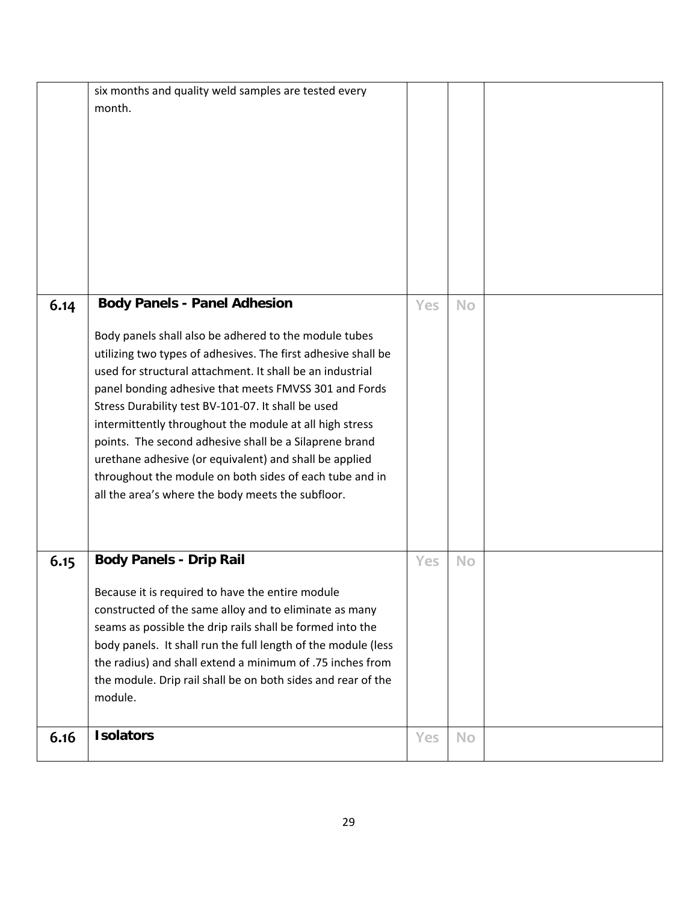|      | six months and quality weld samples are tested every<br>month.                                                            |     |           |  |
|------|---------------------------------------------------------------------------------------------------------------------------|-----|-----------|--|
|      |                                                                                                                           |     |           |  |
|      |                                                                                                                           |     |           |  |
|      |                                                                                                                           |     |           |  |
|      |                                                                                                                           |     |           |  |
|      |                                                                                                                           |     |           |  |
|      |                                                                                                                           |     |           |  |
|      |                                                                                                                           |     |           |  |
| 6.14 | <b>Body Panels - Panel Adhesion</b>                                                                                       | Yes | <b>No</b> |  |
|      |                                                                                                                           |     |           |  |
|      | Body panels shall also be adhered to the module tubes<br>utilizing two types of adhesives. The first adhesive shall be    |     |           |  |
|      | used for structural attachment. It shall be an industrial                                                                 |     |           |  |
|      | panel bonding adhesive that meets FMVSS 301 and Fords                                                                     |     |           |  |
|      | Stress Durability test BV-101-07. It shall be used                                                                        |     |           |  |
|      | intermittently throughout the module at all high stress                                                                   |     |           |  |
|      | points. The second adhesive shall be a Silaprene brand<br>urethane adhesive (or equivalent) and shall be applied          |     |           |  |
|      | throughout the module on both sides of each tube and in                                                                   |     |           |  |
|      | all the area's where the body meets the subfloor.                                                                         |     |           |  |
|      |                                                                                                                           |     |           |  |
|      |                                                                                                                           |     |           |  |
| 6.15 | <b>Body Panels - Drip Rail</b>                                                                                            | Yes | <b>No</b> |  |
|      | Because it is required to have the entire module                                                                          |     |           |  |
|      | constructed of the same alloy and to eliminate as many                                                                    |     |           |  |
|      | seams as possible the drip rails shall be formed into the                                                                 |     |           |  |
|      | body panels. It shall run the full length of the module (less                                                             |     |           |  |
|      | the radius) and shall extend a minimum of .75 inches from<br>the module. Drip rail shall be on both sides and rear of the |     |           |  |
|      | module.                                                                                                                   |     |           |  |
|      |                                                                                                                           |     |           |  |
| 6.16 | <b>Isolators</b>                                                                                                          | Yes | <b>No</b> |  |
|      |                                                                                                                           |     |           |  |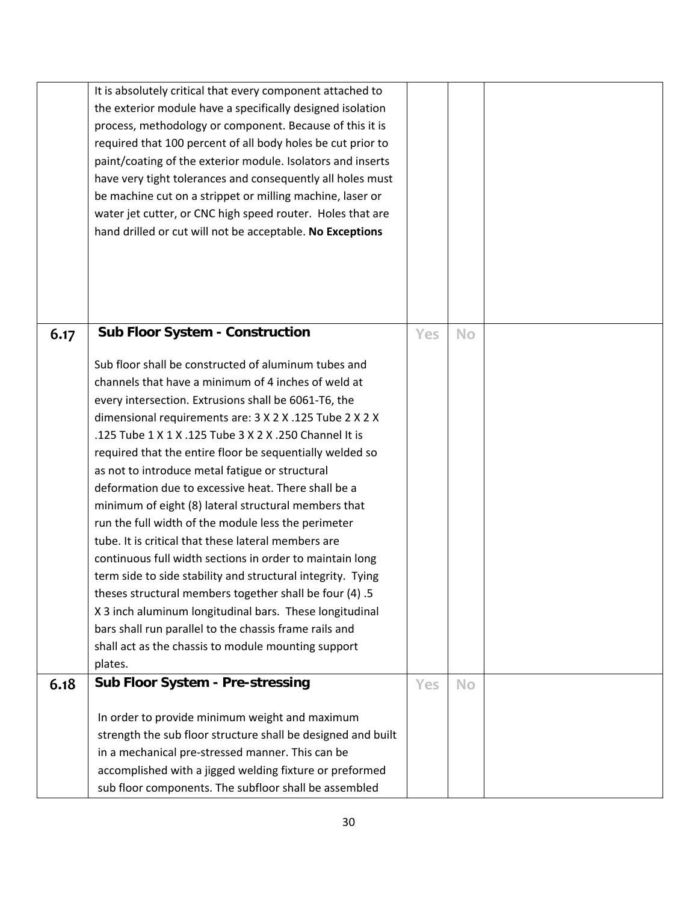|      | It is absolutely critical that every component attached to   |     |           |  |
|------|--------------------------------------------------------------|-----|-----------|--|
|      | the exterior module have a specifically designed isolation   |     |           |  |
|      | process, methodology or component. Because of this it is     |     |           |  |
|      | required that 100 percent of all body holes be cut prior to  |     |           |  |
|      | paint/coating of the exterior module. Isolators and inserts  |     |           |  |
|      | have very tight tolerances and consequently all holes must   |     |           |  |
|      | be machine cut on a strippet or milling machine, laser or    |     |           |  |
|      | water jet cutter, or CNC high speed router. Holes that are   |     |           |  |
|      | hand drilled or cut will not be acceptable. No Exceptions    |     |           |  |
|      |                                                              |     |           |  |
|      |                                                              |     |           |  |
|      |                                                              |     |           |  |
|      |                                                              |     |           |  |
|      |                                                              |     |           |  |
| 6.17 | <b>Sub Floor System - Construction</b>                       | Yes | <b>No</b> |  |
|      |                                                              |     |           |  |
|      | Sub floor shall be constructed of aluminum tubes and         |     |           |  |
|      | channels that have a minimum of 4 inches of weld at          |     |           |  |
|      | every intersection. Extrusions shall be 6061-T6, the         |     |           |  |
|      | dimensional requirements are: 3 X 2 X .125 Tube 2 X 2 X      |     |           |  |
|      | .125 Tube 1 X 1 X .125 Tube 3 X 2 X .250 Channel It is       |     |           |  |
|      | required that the entire floor be sequentially welded so     |     |           |  |
|      | as not to introduce metal fatigue or structural              |     |           |  |
|      | deformation due to excessive heat. There shall be a          |     |           |  |
|      | minimum of eight (8) lateral structural members that         |     |           |  |
|      | run the full width of the module less the perimeter          |     |           |  |
|      | tube. It is critical that these lateral members are          |     |           |  |
|      | continuous full width sections in order to maintain long     |     |           |  |
|      | term side to side stability and structural integrity. Tying  |     |           |  |
|      | theses structural members together shall be four (4) .5      |     |           |  |
|      | X 3 inch aluminum longitudinal bars. These longitudinal      |     |           |  |
|      | bars shall run parallel to the chassis frame rails and       |     |           |  |
|      | shall act as the chassis to module mounting support          |     |           |  |
|      | plates.                                                      |     |           |  |
| 6.18 | Sub Floor System - Pre-stressing                             | Yes | <b>No</b> |  |
|      |                                                              |     |           |  |
|      | In order to provide minimum weight and maximum               |     |           |  |
|      | strength the sub floor structure shall be designed and built |     |           |  |
|      | in a mechanical pre-stressed manner. This can be             |     |           |  |
|      | accomplished with a jigged welding fixture or preformed      |     |           |  |
|      | sub floor components. The subfloor shall be assembled        |     |           |  |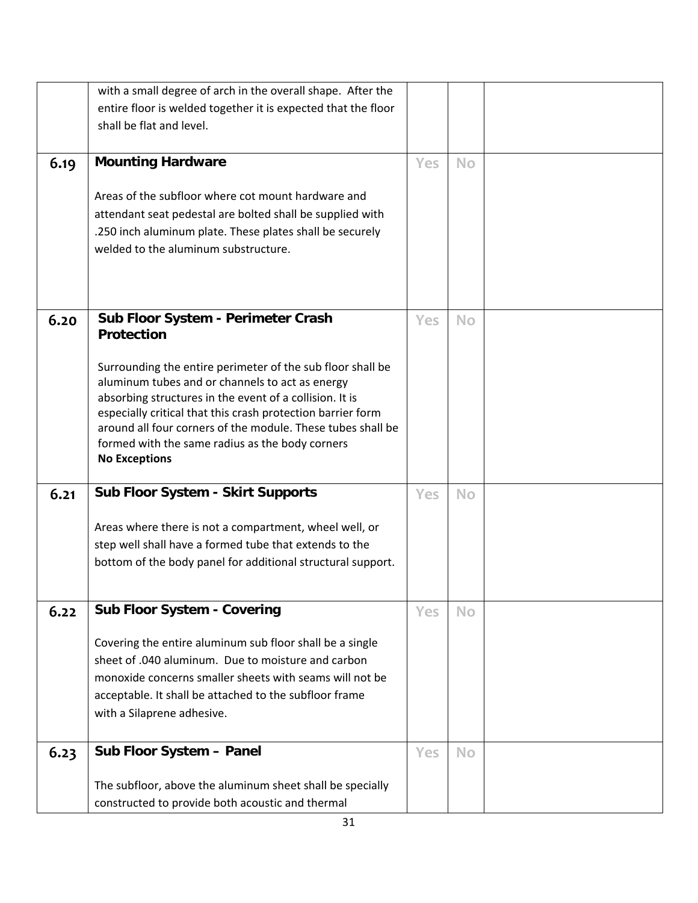| entire floor is welded together it is expected that the floor<br>shall be flat and level.<br><b>Mounting Hardware</b><br>6.19<br>Yes<br><b>No</b><br>Areas of the subfloor where cot mount hardware and<br>attendant seat pedestal are bolted shall be supplied with<br>.250 inch aluminum plate. These plates shall be securely<br>welded to the aluminum substructure.<br>Sub Floor System - Perimeter Crash<br>6.20<br>Yes<br><b>No</b><br><b>Protection</b><br>Surrounding the entire perimeter of the sub floor shall be<br>aluminum tubes and or channels to act as energy<br>absorbing structures in the event of a collision. It is<br>especially critical that this crash protection barrier form<br>around all four corners of the module. These tubes shall be<br>formed with the same radius as the body corners<br><b>No Exceptions</b><br>Sub Floor System - Skirt Supports<br>6.21<br>Yes<br><b>No</b><br>Areas where there is not a compartment, wheel well, or<br>step well shall have a formed tube that extends to the<br>bottom of the body panel for additional structural support.<br><b>Sub Floor System - Covering</b><br>6.22<br><b>No</b><br>Yes<br>Covering the entire aluminum sub floor shall be a single<br>sheet of .040 aluminum. Due to moisture and carbon<br>monoxide concerns smaller sheets with seams will not be<br>acceptable. It shall be attached to the subfloor frame | with a Silaprene adhesive.<br>Sub Floor System - Panel<br>6.23<br><b>Yes</b><br><b>No</b><br>The subfloor, above the aluminum sheet shall be specially | with a small degree of arch in the overall shape. After the |  |  |
|-------------------------------------------------------------------------------------------------------------------------------------------------------------------------------------------------------------------------------------------------------------------------------------------------------------------------------------------------------------------------------------------------------------------------------------------------------------------------------------------------------------------------------------------------------------------------------------------------------------------------------------------------------------------------------------------------------------------------------------------------------------------------------------------------------------------------------------------------------------------------------------------------------------------------------------------------------------------------------------------------------------------------------------------------------------------------------------------------------------------------------------------------------------------------------------------------------------------------------------------------------------------------------------------------------------------------------------------------------------------------------------------------------------------|--------------------------------------------------------------------------------------------------------------------------------------------------------|-------------------------------------------------------------|--|--|
|                                                                                                                                                                                                                                                                                                                                                                                                                                                                                                                                                                                                                                                                                                                                                                                                                                                                                                                                                                                                                                                                                                                                                                                                                                                                                                                                                                                                                   |                                                                                                                                                        |                                                             |  |  |
|                                                                                                                                                                                                                                                                                                                                                                                                                                                                                                                                                                                                                                                                                                                                                                                                                                                                                                                                                                                                                                                                                                                                                                                                                                                                                                                                                                                                                   |                                                                                                                                                        |                                                             |  |  |
|                                                                                                                                                                                                                                                                                                                                                                                                                                                                                                                                                                                                                                                                                                                                                                                                                                                                                                                                                                                                                                                                                                                                                                                                                                                                                                                                                                                                                   |                                                                                                                                                        |                                                             |  |  |
|                                                                                                                                                                                                                                                                                                                                                                                                                                                                                                                                                                                                                                                                                                                                                                                                                                                                                                                                                                                                                                                                                                                                                                                                                                                                                                                                                                                                                   |                                                                                                                                                        |                                                             |  |  |
|                                                                                                                                                                                                                                                                                                                                                                                                                                                                                                                                                                                                                                                                                                                                                                                                                                                                                                                                                                                                                                                                                                                                                                                                                                                                                                                                                                                                                   |                                                                                                                                                        |                                                             |  |  |
|                                                                                                                                                                                                                                                                                                                                                                                                                                                                                                                                                                                                                                                                                                                                                                                                                                                                                                                                                                                                                                                                                                                                                                                                                                                                                                                                                                                                                   |                                                                                                                                                        |                                                             |  |  |
|                                                                                                                                                                                                                                                                                                                                                                                                                                                                                                                                                                                                                                                                                                                                                                                                                                                                                                                                                                                                                                                                                                                                                                                                                                                                                                                                                                                                                   |                                                                                                                                                        |                                                             |  |  |
|                                                                                                                                                                                                                                                                                                                                                                                                                                                                                                                                                                                                                                                                                                                                                                                                                                                                                                                                                                                                                                                                                                                                                                                                                                                                                                                                                                                                                   |                                                                                                                                                        |                                                             |  |  |
|                                                                                                                                                                                                                                                                                                                                                                                                                                                                                                                                                                                                                                                                                                                                                                                                                                                                                                                                                                                                                                                                                                                                                                                                                                                                                                                                                                                                                   |                                                                                                                                                        |                                                             |  |  |
|                                                                                                                                                                                                                                                                                                                                                                                                                                                                                                                                                                                                                                                                                                                                                                                                                                                                                                                                                                                                                                                                                                                                                                                                                                                                                                                                                                                                                   |                                                                                                                                                        |                                                             |  |  |
|                                                                                                                                                                                                                                                                                                                                                                                                                                                                                                                                                                                                                                                                                                                                                                                                                                                                                                                                                                                                                                                                                                                                                                                                                                                                                                                                                                                                                   |                                                                                                                                                        |                                                             |  |  |
|                                                                                                                                                                                                                                                                                                                                                                                                                                                                                                                                                                                                                                                                                                                                                                                                                                                                                                                                                                                                                                                                                                                                                                                                                                                                                                                                                                                                                   |                                                                                                                                                        |                                                             |  |  |
|                                                                                                                                                                                                                                                                                                                                                                                                                                                                                                                                                                                                                                                                                                                                                                                                                                                                                                                                                                                                                                                                                                                                                                                                                                                                                                                                                                                                                   |                                                                                                                                                        |                                                             |  |  |
|                                                                                                                                                                                                                                                                                                                                                                                                                                                                                                                                                                                                                                                                                                                                                                                                                                                                                                                                                                                                                                                                                                                                                                                                                                                                                                                                                                                                                   |                                                                                                                                                        |                                                             |  |  |
|                                                                                                                                                                                                                                                                                                                                                                                                                                                                                                                                                                                                                                                                                                                                                                                                                                                                                                                                                                                                                                                                                                                                                                                                                                                                                                                                                                                                                   |                                                                                                                                                        |                                                             |  |  |
|                                                                                                                                                                                                                                                                                                                                                                                                                                                                                                                                                                                                                                                                                                                                                                                                                                                                                                                                                                                                                                                                                                                                                                                                                                                                                                                                                                                                                   |                                                                                                                                                        |                                                             |  |  |
|                                                                                                                                                                                                                                                                                                                                                                                                                                                                                                                                                                                                                                                                                                                                                                                                                                                                                                                                                                                                                                                                                                                                                                                                                                                                                                                                                                                                                   |                                                                                                                                                        |                                                             |  |  |
|                                                                                                                                                                                                                                                                                                                                                                                                                                                                                                                                                                                                                                                                                                                                                                                                                                                                                                                                                                                                                                                                                                                                                                                                                                                                                                                                                                                                                   |                                                                                                                                                        |                                                             |  |  |
|                                                                                                                                                                                                                                                                                                                                                                                                                                                                                                                                                                                                                                                                                                                                                                                                                                                                                                                                                                                                                                                                                                                                                                                                                                                                                                                                                                                                                   |                                                                                                                                                        |                                                             |  |  |
|                                                                                                                                                                                                                                                                                                                                                                                                                                                                                                                                                                                                                                                                                                                                                                                                                                                                                                                                                                                                                                                                                                                                                                                                                                                                                                                                                                                                                   |                                                                                                                                                        |                                                             |  |  |
|                                                                                                                                                                                                                                                                                                                                                                                                                                                                                                                                                                                                                                                                                                                                                                                                                                                                                                                                                                                                                                                                                                                                                                                                                                                                                                                                                                                                                   |                                                                                                                                                        |                                                             |  |  |
|                                                                                                                                                                                                                                                                                                                                                                                                                                                                                                                                                                                                                                                                                                                                                                                                                                                                                                                                                                                                                                                                                                                                                                                                                                                                                                                                                                                                                   |                                                                                                                                                        |                                                             |  |  |
|                                                                                                                                                                                                                                                                                                                                                                                                                                                                                                                                                                                                                                                                                                                                                                                                                                                                                                                                                                                                                                                                                                                                                                                                                                                                                                                                                                                                                   |                                                                                                                                                        |                                                             |  |  |
|                                                                                                                                                                                                                                                                                                                                                                                                                                                                                                                                                                                                                                                                                                                                                                                                                                                                                                                                                                                                                                                                                                                                                                                                                                                                                                                                                                                                                   |                                                                                                                                                        |                                                             |  |  |
|                                                                                                                                                                                                                                                                                                                                                                                                                                                                                                                                                                                                                                                                                                                                                                                                                                                                                                                                                                                                                                                                                                                                                                                                                                                                                                                                                                                                                   |                                                                                                                                                        |                                                             |  |  |
|                                                                                                                                                                                                                                                                                                                                                                                                                                                                                                                                                                                                                                                                                                                                                                                                                                                                                                                                                                                                                                                                                                                                                                                                                                                                                                                                                                                                                   |                                                                                                                                                        |                                                             |  |  |
|                                                                                                                                                                                                                                                                                                                                                                                                                                                                                                                                                                                                                                                                                                                                                                                                                                                                                                                                                                                                                                                                                                                                                                                                                                                                                                                                                                                                                   |                                                                                                                                                        |                                                             |  |  |
|                                                                                                                                                                                                                                                                                                                                                                                                                                                                                                                                                                                                                                                                                                                                                                                                                                                                                                                                                                                                                                                                                                                                                                                                                                                                                                                                                                                                                   |                                                                                                                                                        |                                                             |  |  |
|                                                                                                                                                                                                                                                                                                                                                                                                                                                                                                                                                                                                                                                                                                                                                                                                                                                                                                                                                                                                                                                                                                                                                                                                                                                                                                                                                                                                                   |                                                                                                                                                        |                                                             |  |  |
|                                                                                                                                                                                                                                                                                                                                                                                                                                                                                                                                                                                                                                                                                                                                                                                                                                                                                                                                                                                                                                                                                                                                                                                                                                                                                                                                                                                                                   |                                                                                                                                                        |                                                             |  |  |
|                                                                                                                                                                                                                                                                                                                                                                                                                                                                                                                                                                                                                                                                                                                                                                                                                                                                                                                                                                                                                                                                                                                                                                                                                                                                                                                                                                                                                   |                                                                                                                                                        |                                                             |  |  |
|                                                                                                                                                                                                                                                                                                                                                                                                                                                                                                                                                                                                                                                                                                                                                                                                                                                                                                                                                                                                                                                                                                                                                                                                                                                                                                                                                                                                                   |                                                                                                                                                        |                                                             |  |  |
|                                                                                                                                                                                                                                                                                                                                                                                                                                                                                                                                                                                                                                                                                                                                                                                                                                                                                                                                                                                                                                                                                                                                                                                                                                                                                                                                                                                                                   |                                                                                                                                                        |                                                             |  |  |
|                                                                                                                                                                                                                                                                                                                                                                                                                                                                                                                                                                                                                                                                                                                                                                                                                                                                                                                                                                                                                                                                                                                                                                                                                                                                                                                                                                                                                   | constructed to provide both acoustic and thermal                                                                                                       |                                                             |  |  |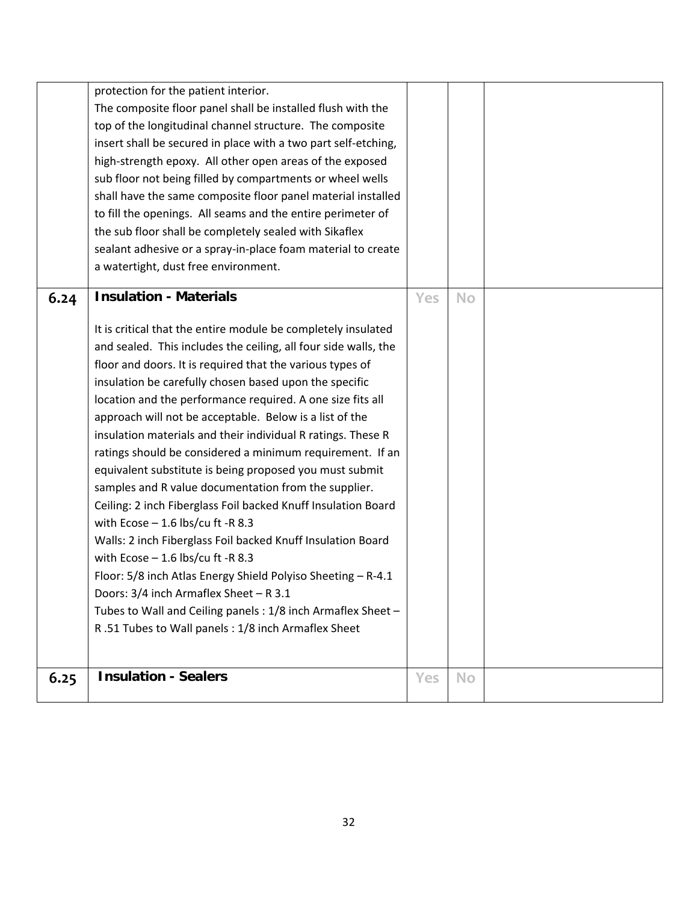|      | protection for the patient interior.<br>The composite floor panel shall be installed flush with the<br>top of the longitudinal channel structure. The composite<br>insert shall be secured in place with a two part self-etching,<br>high-strength epoxy. All other open areas of the exposed<br>sub floor not being filled by compartments or wheel wells<br>shall have the same composite floor panel material installed<br>to fill the openings. All seams and the entire perimeter of<br>the sub floor shall be completely sealed with Sikaflex<br>sealant adhesive or a spray-in-place foam material to create<br>a watertight, dust free environment.                                                                                                                                                                                                                                                                                                                                                                                                                  |            |    |  |
|------|------------------------------------------------------------------------------------------------------------------------------------------------------------------------------------------------------------------------------------------------------------------------------------------------------------------------------------------------------------------------------------------------------------------------------------------------------------------------------------------------------------------------------------------------------------------------------------------------------------------------------------------------------------------------------------------------------------------------------------------------------------------------------------------------------------------------------------------------------------------------------------------------------------------------------------------------------------------------------------------------------------------------------------------------------------------------------|------------|----|--|
| 6.24 | <b>Insulation - Materials</b>                                                                                                                                                                                                                                                                                                                                                                                                                                                                                                                                                                                                                                                                                                                                                                                                                                                                                                                                                                                                                                                | Yes        | No |  |
|      | It is critical that the entire module be completely insulated<br>and sealed. This includes the ceiling, all four side walls, the<br>floor and doors. It is required that the various types of<br>insulation be carefully chosen based upon the specific<br>location and the performance required. A one size fits all<br>approach will not be acceptable. Below is a list of the<br>insulation materials and their individual R ratings. These R<br>ratings should be considered a minimum requirement. If an<br>equivalent substitute is being proposed you must submit<br>samples and R value documentation from the supplier.<br>Ceiling: 2 inch Fiberglass Foil backed Knuff Insulation Board<br>with Ecose $-1.6$ lbs/cu ft -R 8.3<br>Walls: 2 inch Fiberglass Foil backed Knuff Insulation Board<br>with Ecose $-1.6$ lbs/cu ft -R 8.3<br>Floor: 5/8 inch Atlas Energy Shield Polyiso Sheeting - R-4.1<br>Doors: 3/4 inch Armaflex Sheet - R 3.1<br>Tubes to Wall and Ceiling panels : 1/8 inch Armaflex Sheet -<br>R.51 Tubes to Wall panels: 1/8 inch Armaflex Sheet |            |    |  |
| 6.25 | <b>Insulation - Sealers</b>                                                                                                                                                                                                                                                                                                                                                                                                                                                                                                                                                                                                                                                                                                                                                                                                                                                                                                                                                                                                                                                  | <b>Yes</b> | No |  |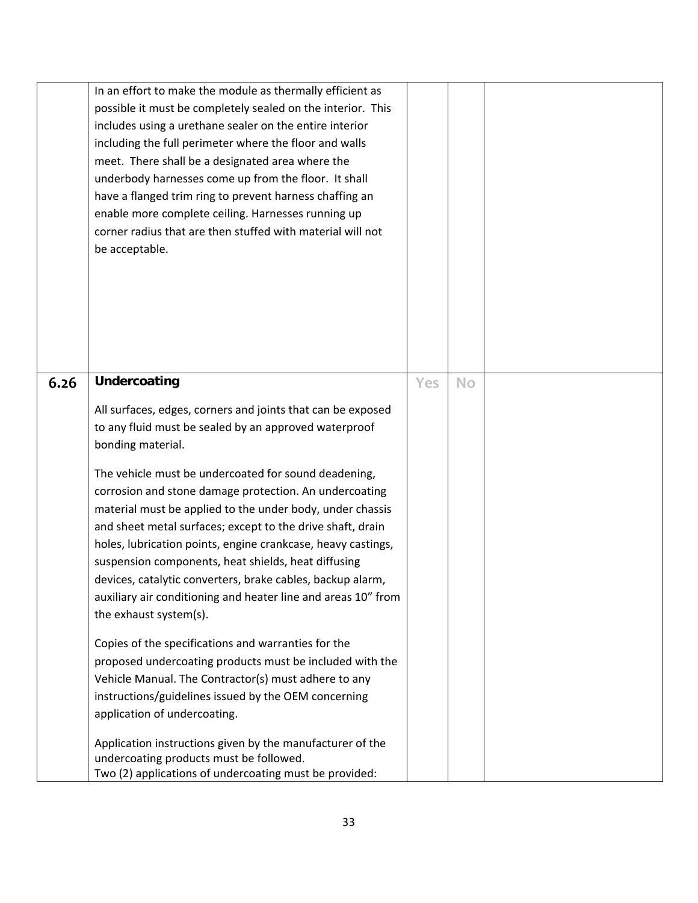|      | In an effort to make the module as thermally efficient as<br>possible it must be completely sealed on the interior. This<br>includes using a urethane sealer on the entire interior<br>including the full perimeter where the floor and walls<br>meet. There shall be a designated area where the<br>underbody harnesses come up from the floor. It shall<br>have a flanged trim ring to prevent harness chaffing an<br>enable more complete ceiling. Harnesses running up<br>corner radius that are then stuffed with material will not<br>be acceptable. |     |           |  |
|------|------------------------------------------------------------------------------------------------------------------------------------------------------------------------------------------------------------------------------------------------------------------------------------------------------------------------------------------------------------------------------------------------------------------------------------------------------------------------------------------------------------------------------------------------------------|-----|-----------|--|
| 6.26 | Undercoating                                                                                                                                                                                                                                                                                                                                                                                                                                                                                                                                               | Yes | <b>No</b> |  |
|      | All surfaces, edges, corners and joints that can be exposed                                                                                                                                                                                                                                                                                                                                                                                                                                                                                                |     |           |  |
|      | to any fluid must be sealed by an approved waterproof<br>bonding material.                                                                                                                                                                                                                                                                                                                                                                                                                                                                                 |     |           |  |
|      | The vehicle must be undercoated for sound deadening,                                                                                                                                                                                                                                                                                                                                                                                                                                                                                                       |     |           |  |
|      | corrosion and stone damage protection. An undercoating<br>material must be applied to the under body, under chassis                                                                                                                                                                                                                                                                                                                                                                                                                                        |     |           |  |
|      | and sheet metal surfaces; except to the drive shaft, drain                                                                                                                                                                                                                                                                                                                                                                                                                                                                                                 |     |           |  |
|      | holes, lubrication points, engine crankcase, heavy castings,                                                                                                                                                                                                                                                                                                                                                                                                                                                                                               |     |           |  |
|      | suspension components, heat shields, heat diffusing<br>devices, catalytic converters, brake cables, backup alarm,                                                                                                                                                                                                                                                                                                                                                                                                                                          |     |           |  |
|      | auxiliary air conditioning and heater line and areas 10" from                                                                                                                                                                                                                                                                                                                                                                                                                                                                                              |     |           |  |
|      | the exhaust system(s).                                                                                                                                                                                                                                                                                                                                                                                                                                                                                                                                     |     |           |  |
|      | Copies of the specifications and warranties for the                                                                                                                                                                                                                                                                                                                                                                                                                                                                                                        |     |           |  |
|      |                                                                                                                                                                                                                                                                                                                                                                                                                                                                                                                                                            |     |           |  |
|      |                                                                                                                                                                                                                                                                                                                                                                                                                                                                                                                                                            |     |           |  |
|      | application of undercoating.                                                                                                                                                                                                                                                                                                                                                                                                                                                                                                                               |     |           |  |
|      | Application instructions given by the manufacturer of the                                                                                                                                                                                                                                                                                                                                                                                                                                                                                                  |     |           |  |
|      | undercoating products must be followed.                                                                                                                                                                                                                                                                                                                                                                                                                                                                                                                    |     |           |  |
|      | proposed undercoating products must be included with the<br>Vehicle Manual. The Contractor(s) must adhere to any<br>instructions/guidelines issued by the OEM concerning<br>Two (2) applications of undercoating must be provided:                                                                                                                                                                                                                                                                                                                         |     |           |  |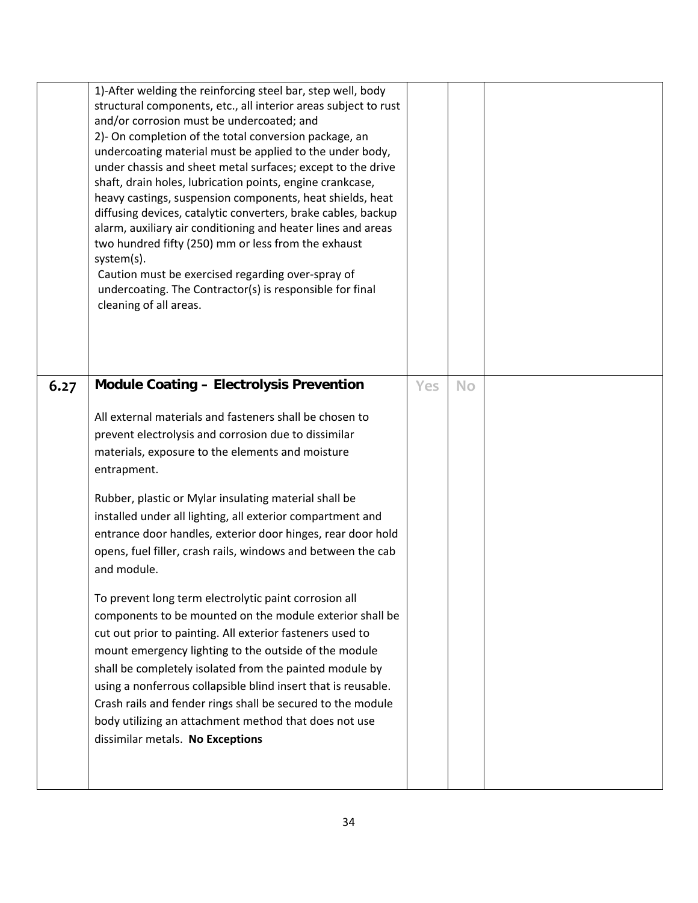|      | 1)-After welding the reinforcing steel bar, step well, body<br>structural components, etc., all interior areas subject to rust<br>and/or corrosion must be undercoated; and<br>2)- On completion of the total conversion package, an<br>undercoating material must be applied to the under body,<br>under chassis and sheet metal surfaces; except to the drive<br>shaft, drain holes, lubrication points, engine crankcase,<br>heavy castings, suspension components, heat shields, heat<br>diffusing devices, catalytic converters, brake cables, backup<br>alarm, auxiliary air conditioning and heater lines and areas<br>two hundred fifty (250) mm or less from the exhaust<br>system(s).<br>Caution must be exercised regarding over-spray of<br>undercoating. The Contractor(s) is responsible for final<br>cleaning of all areas. |     |           |  |
|------|--------------------------------------------------------------------------------------------------------------------------------------------------------------------------------------------------------------------------------------------------------------------------------------------------------------------------------------------------------------------------------------------------------------------------------------------------------------------------------------------------------------------------------------------------------------------------------------------------------------------------------------------------------------------------------------------------------------------------------------------------------------------------------------------------------------------------------------------|-----|-----------|--|
| 6.27 | <b>Module Coating - Electrolysis Prevention</b>                                                                                                                                                                                                                                                                                                                                                                                                                                                                                                                                                                                                                                                                                                                                                                                            | Yes | <b>No</b> |  |
|      | All external materials and fasteners shall be chosen to                                                                                                                                                                                                                                                                                                                                                                                                                                                                                                                                                                                                                                                                                                                                                                                    |     |           |  |
|      | prevent electrolysis and corrosion due to dissimilar<br>materials, exposure to the elements and moisture                                                                                                                                                                                                                                                                                                                                                                                                                                                                                                                                                                                                                                                                                                                                   |     |           |  |
|      | entrapment.                                                                                                                                                                                                                                                                                                                                                                                                                                                                                                                                                                                                                                                                                                                                                                                                                                |     |           |  |
|      | Rubber, plastic or Mylar insulating material shall be                                                                                                                                                                                                                                                                                                                                                                                                                                                                                                                                                                                                                                                                                                                                                                                      |     |           |  |
|      | installed under all lighting, all exterior compartment and<br>entrance door handles, exterior door hinges, rear door hold                                                                                                                                                                                                                                                                                                                                                                                                                                                                                                                                                                                                                                                                                                                  |     |           |  |
|      | opens, fuel filler, crash rails, windows and between the cab                                                                                                                                                                                                                                                                                                                                                                                                                                                                                                                                                                                                                                                                                                                                                                               |     |           |  |
|      | and module.                                                                                                                                                                                                                                                                                                                                                                                                                                                                                                                                                                                                                                                                                                                                                                                                                                |     |           |  |
|      | To prevent long term electrolytic paint corrosion all                                                                                                                                                                                                                                                                                                                                                                                                                                                                                                                                                                                                                                                                                                                                                                                      |     |           |  |
|      | components to be mounted on the module exterior shall be<br>cut out prior to painting. All exterior fasteners used to                                                                                                                                                                                                                                                                                                                                                                                                                                                                                                                                                                                                                                                                                                                      |     |           |  |
|      | mount emergency lighting to the outside of the module                                                                                                                                                                                                                                                                                                                                                                                                                                                                                                                                                                                                                                                                                                                                                                                      |     |           |  |
|      | shall be completely isolated from the painted module by                                                                                                                                                                                                                                                                                                                                                                                                                                                                                                                                                                                                                                                                                                                                                                                    |     |           |  |
|      | using a nonferrous collapsible blind insert that is reusable.<br>Crash rails and fender rings shall be secured to the module                                                                                                                                                                                                                                                                                                                                                                                                                                                                                                                                                                                                                                                                                                               |     |           |  |
|      | body utilizing an attachment method that does not use                                                                                                                                                                                                                                                                                                                                                                                                                                                                                                                                                                                                                                                                                                                                                                                      |     |           |  |
|      | dissimilar metals. No Exceptions                                                                                                                                                                                                                                                                                                                                                                                                                                                                                                                                                                                                                                                                                                                                                                                                           |     |           |  |
|      |                                                                                                                                                                                                                                                                                                                                                                                                                                                                                                                                                                                                                                                                                                                                                                                                                                            |     |           |  |
|      |                                                                                                                                                                                                                                                                                                                                                                                                                                                                                                                                                                                                                                                                                                                                                                                                                                            |     |           |  |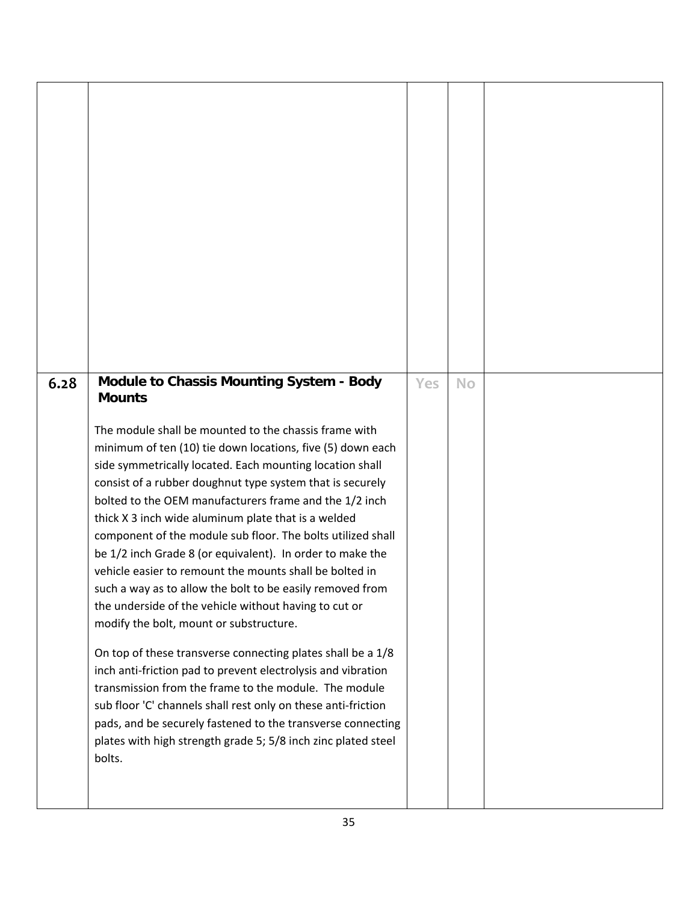| 6.28 | <b>Module to Chassis Mounting System - Body</b><br><b>Mounts</b><br>The module shall be mounted to the chassis frame with<br>minimum of ten (10) tie down locations, five (5) down each<br>side symmetrically located. Each mounting location shall<br>consist of a rubber doughnut type system that is securely<br>bolted to the OEM manufacturers frame and the 1/2 inch<br>thick X 3 inch wide aluminum plate that is a welded<br>component of the module sub floor. The bolts utilized shall<br>be 1/2 inch Grade 8 (or equivalent). In order to make the<br>vehicle easier to remount the mounts shall be bolted in<br>such a way as to allow the bolt to be easily removed from<br>the underside of the vehicle without having to cut or<br>modify the bolt, mount or substructure.<br>On top of these transverse connecting plates shall be a 1/8<br>inch anti-friction pad to prevent electrolysis and vibration<br>transmission from the frame to the module. The module<br>sub floor 'C' channels shall rest only on these anti-friction<br>pads, and be securely fastened to the transverse connecting<br>plates with high strength grade 5; 5/8 inch zinc plated steel<br>bolts. | Yes | <b>No</b> |  |
|------|----------------------------------------------------------------------------------------------------------------------------------------------------------------------------------------------------------------------------------------------------------------------------------------------------------------------------------------------------------------------------------------------------------------------------------------------------------------------------------------------------------------------------------------------------------------------------------------------------------------------------------------------------------------------------------------------------------------------------------------------------------------------------------------------------------------------------------------------------------------------------------------------------------------------------------------------------------------------------------------------------------------------------------------------------------------------------------------------------------------------------------------------------------------------------------------------|-----|-----------|--|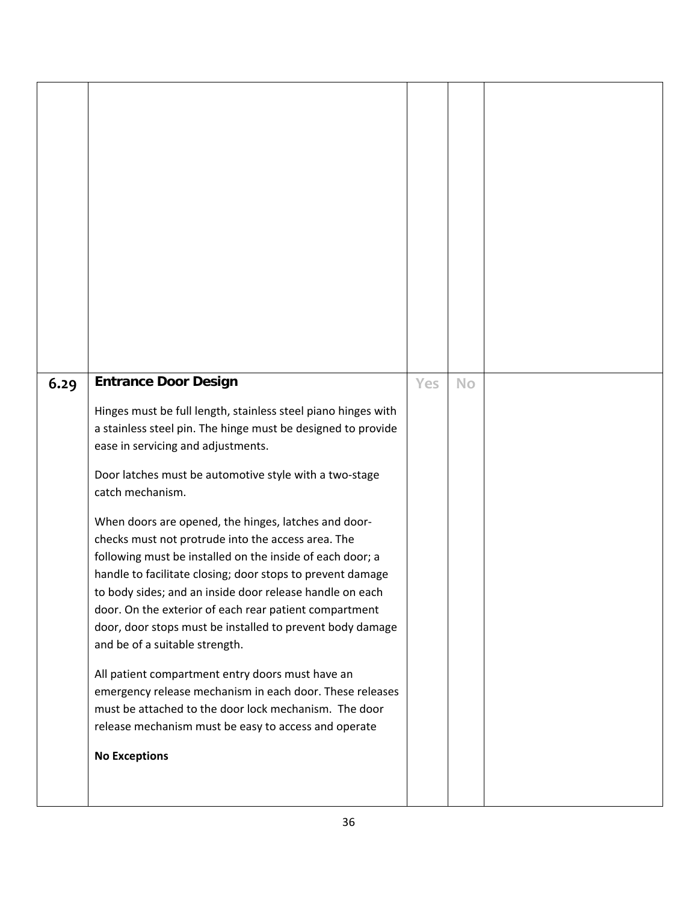| 6.29 | <b>Entrance Door Design</b>                                                                                                                                                                                                                                                                                                                                                                                                                                                                                                                                                                                                                                                                                                                                                                                                                                                                                                                                              | Yes | <b>No</b> |  |
|------|--------------------------------------------------------------------------------------------------------------------------------------------------------------------------------------------------------------------------------------------------------------------------------------------------------------------------------------------------------------------------------------------------------------------------------------------------------------------------------------------------------------------------------------------------------------------------------------------------------------------------------------------------------------------------------------------------------------------------------------------------------------------------------------------------------------------------------------------------------------------------------------------------------------------------------------------------------------------------|-----|-----------|--|
|      | Hinges must be full length, stainless steel piano hinges with<br>a stainless steel pin. The hinge must be designed to provide<br>ease in servicing and adjustments.<br>Door latches must be automotive style with a two-stage<br>catch mechanism.<br>When doors are opened, the hinges, latches and door-<br>checks must not protrude into the access area. The<br>following must be installed on the inside of each door; a<br>handle to facilitate closing; door stops to prevent damage<br>to body sides; and an inside door release handle on each<br>door. On the exterior of each rear patient compartment<br>door, door stops must be installed to prevent body damage<br>and be of a suitable strength.<br>All patient compartment entry doors must have an<br>emergency release mechanism in each door. These releases<br>must be attached to the door lock mechanism. The door<br>release mechanism must be easy to access and operate<br><b>No Exceptions</b> |     |           |  |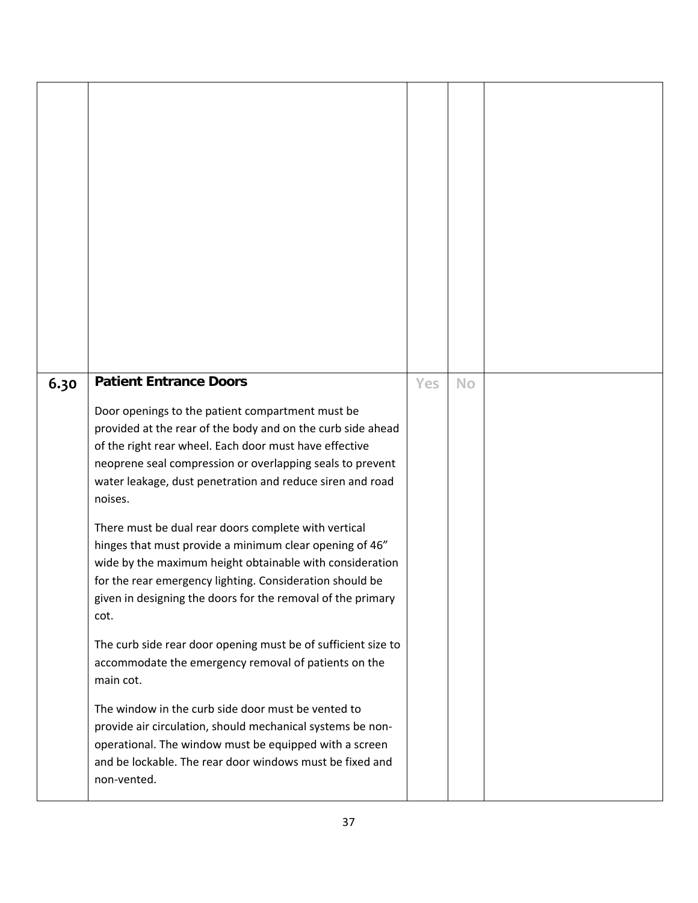| 6.30 | <b>Patient Entrance Doors</b>                                                                                                                                                                                                                                                                                  | Yes | <b>No</b> |  |
|------|----------------------------------------------------------------------------------------------------------------------------------------------------------------------------------------------------------------------------------------------------------------------------------------------------------------|-----|-----------|--|
|      | Door openings to the patient compartment must be<br>provided at the rear of the body and on the curb side ahead<br>of the right rear wheel. Each door must have effective<br>neoprene seal compression or overlapping seals to prevent<br>water leakage, dust penetration and reduce siren and road<br>noises. |     |           |  |
|      | There must be dual rear doors complete with vertical<br>hinges that must provide a minimum clear opening of 46"<br>wide by the maximum height obtainable with consideration<br>for the rear emergency lighting. Consideration should be<br>given in designing the doors for the removal of the primary<br>cot. |     |           |  |
|      | The curb side rear door opening must be of sufficient size to<br>accommodate the emergency removal of patients on the<br>main cot.                                                                                                                                                                             |     |           |  |
|      | The window in the curb side door must be vented to<br>provide air circulation, should mechanical systems be non-<br>operational. The window must be equipped with a screen<br>and be lockable. The rear door windows must be fixed and<br>non-vented.                                                          |     |           |  |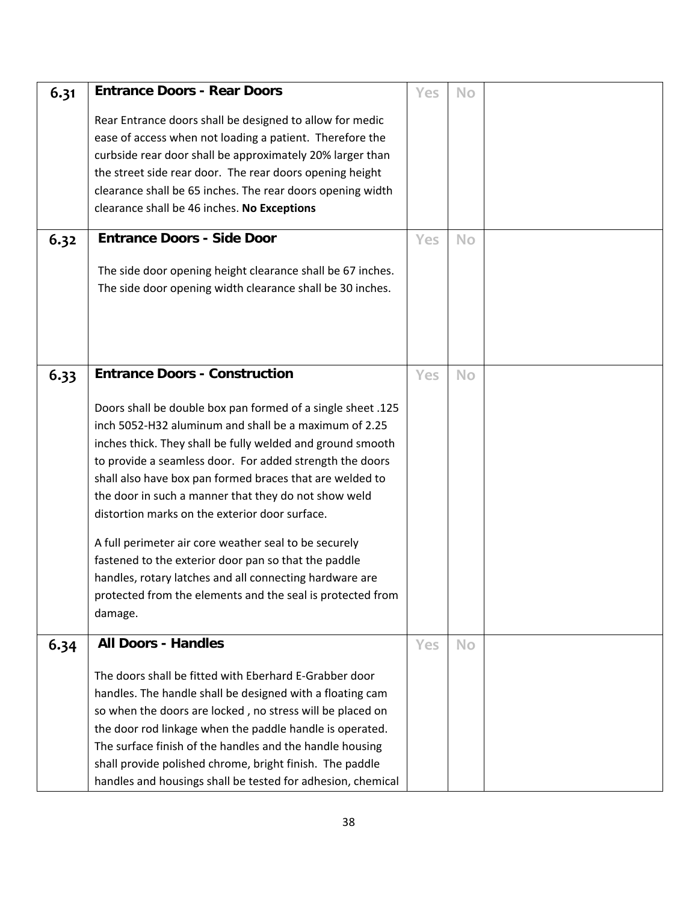| 6.31 | <b>Entrance Doors - Rear Doors</b>                                                                                                                                                | Yes | <b>No</b> |  |
|------|-----------------------------------------------------------------------------------------------------------------------------------------------------------------------------------|-----|-----------|--|
|      | Rear Entrance doors shall be designed to allow for medic<br>ease of access when not loading a patient. Therefore the<br>curbside rear door shall be approximately 20% larger than |     |           |  |
|      | the street side rear door. The rear doors opening height                                                                                                                          |     |           |  |
|      | clearance shall be 65 inches. The rear doors opening width                                                                                                                        |     |           |  |
|      | clearance shall be 46 inches. No Exceptions                                                                                                                                       |     |           |  |
| 6.32 | <b>Entrance Doors - Side Door</b>                                                                                                                                                 | Yes | <b>No</b> |  |
|      | The side door opening height clearance shall be 67 inches.                                                                                                                        |     |           |  |
|      | The side door opening width clearance shall be 30 inches.                                                                                                                         |     |           |  |
|      |                                                                                                                                                                                   |     |           |  |
|      |                                                                                                                                                                                   |     |           |  |
|      |                                                                                                                                                                                   |     |           |  |
|      | <b>Entrance Doors - Construction</b>                                                                                                                                              | Yes | No        |  |
| 6.33 |                                                                                                                                                                                   |     |           |  |
|      | Doors shall be double box pan formed of a single sheet .125                                                                                                                       |     |           |  |
|      | inch 5052-H32 aluminum and shall be a maximum of 2.25                                                                                                                             |     |           |  |
|      | inches thick. They shall be fully welded and ground smooth                                                                                                                        |     |           |  |
|      | to provide a seamless door. For added strength the doors                                                                                                                          |     |           |  |
|      | shall also have box pan formed braces that are welded to                                                                                                                          |     |           |  |
|      | the door in such a manner that they do not show weld                                                                                                                              |     |           |  |
|      | distortion marks on the exterior door surface.                                                                                                                                    |     |           |  |
|      | A full perimeter air core weather seal to be securely                                                                                                                             |     |           |  |
|      | fastened to the exterior door pan so that the paddle                                                                                                                              |     |           |  |
|      | handles, rotary latches and all connecting hardware are                                                                                                                           |     |           |  |
|      | protected from the elements and the seal is protected from                                                                                                                        |     |           |  |
|      | damage.                                                                                                                                                                           |     |           |  |
| 6.34 | <b>All Doors - Handles</b>                                                                                                                                                        | Yes | <b>No</b> |  |
|      |                                                                                                                                                                                   |     |           |  |
|      | The doors shall be fitted with Eberhard E-Grabber door                                                                                                                            |     |           |  |
|      | handles. The handle shall be designed with a floating cam                                                                                                                         |     |           |  |
|      | so when the doors are locked, no stress will be placed on                                                                                                                         |     |           |  |
|      | the door rod linkage when the paddle handle is operated.                                                                                                                          |     |           |  |
|      | The surface finish of the handles and the handle housing                                                                                                                          |     |           |  |
|      | shall provide polished chrome, bright finish. The paddle                                                                                                                          |     |           |  |
|      | handles and housings shall be tested for adhesion, chemical                                                                                                                       |     |           |  |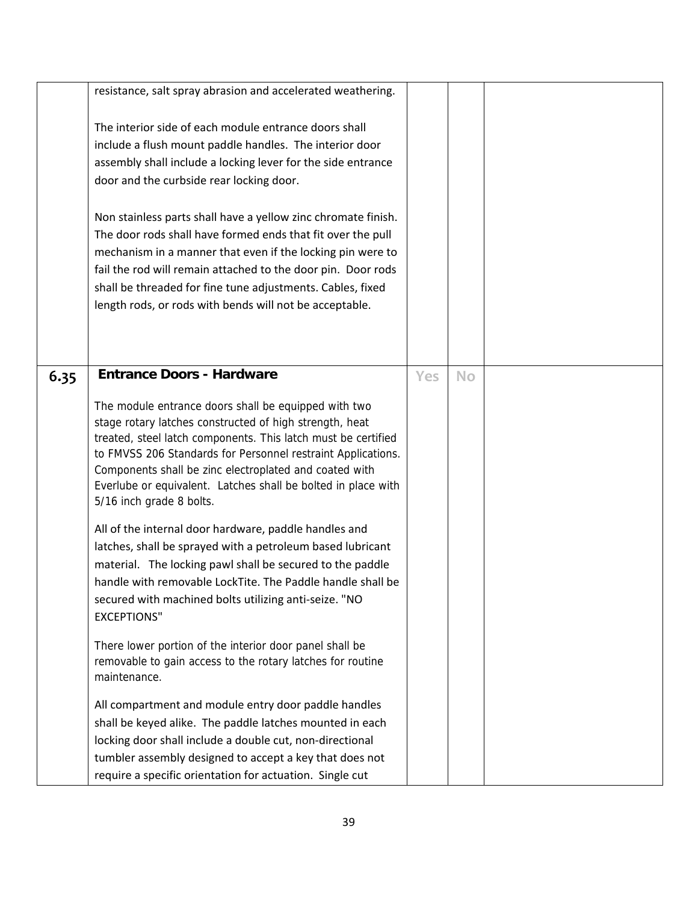|      | resistance, salt spray abrasion and accelerated weathering.                                                                                                                                                                                                                                                                                                                                             |            |           |  |
|------|---------------------------------------------------------------------------------------------------------------------------------------------------------------------------------------------------------------------------------------------------------------------------------------------------------------------------------------------------------------------------------------------------------|------------|-----------|--|
|      | The interior side of each module entrance doors shall<br>include a flush mount paddle handles. The interior door<br>assembly shall include a locking lever for the side entrance<br>door and the curbside rear locking door.                                                                                                                                                                            |            |           |  |
|      | Non stainless parts shall have a yellow zinc chromate finish.<br>The door rods shall have formed ends that fit over the pull<br>mechanism in a manner that even if the locking pin were to<br>fail the rod will remain attached to the door pin. Door rods<br>shall be threaded for fine tune adjustments. Cables, fixed<br>length rods, or rods with bends will not be acceptable.                     |            |           |  |
|      |                                                                                                                                                                                                                                                                                                                                                                                                         |            |           |  |
| 6.35 | <b>Entrance Doors - Hardware</b>                                                                                                                                                                                                                                                                                                                                                                        | <b>Yes</b> | <b>No</b> |  |
|      | The module entrance doors shall be equipped with two<br>stage rotary latches constructed of high strength, heat<br>treated, steel latch components. This latch must be certified<br>to FMVSS 206 Standards for Personnel restraint Applications.<br>Components shall be zinc electroplated and coated with<br>Everlube or equivalent. Latches shall be bolted in place with<br>5/16 inch grade 8 bolts. |            |           |  |
|      | All of the internal door hardware, paddle handles and<br>latches, shall be sprayed with a petroleum based lubricant<br>material. The locking pawl shall be secured to the paddle<br>handle with removable LockTite. The Paddle handle shall be<br>secured with machined bolts utilizing anti-seize. "NO<br><b>EXCEPTIONS"</b>                                                                           |            |           |  |
|      | There lower portion of the interior door panel shall be<br>removable to gain access to the rotary latches for routine<br>maintenance.                                                                                                                                                                                                                                                                   |            |           |  |
|      | All compartment and module entry door paddle handles<br>shall be keyed alike. The paddle latches mounted in each<br>locking door shall include a double cut, non-directional<br>tumbler assembly designed to accept a key that does not<br>require a specific orientation for actuation. Single cut                                                                                                     |            |           |  |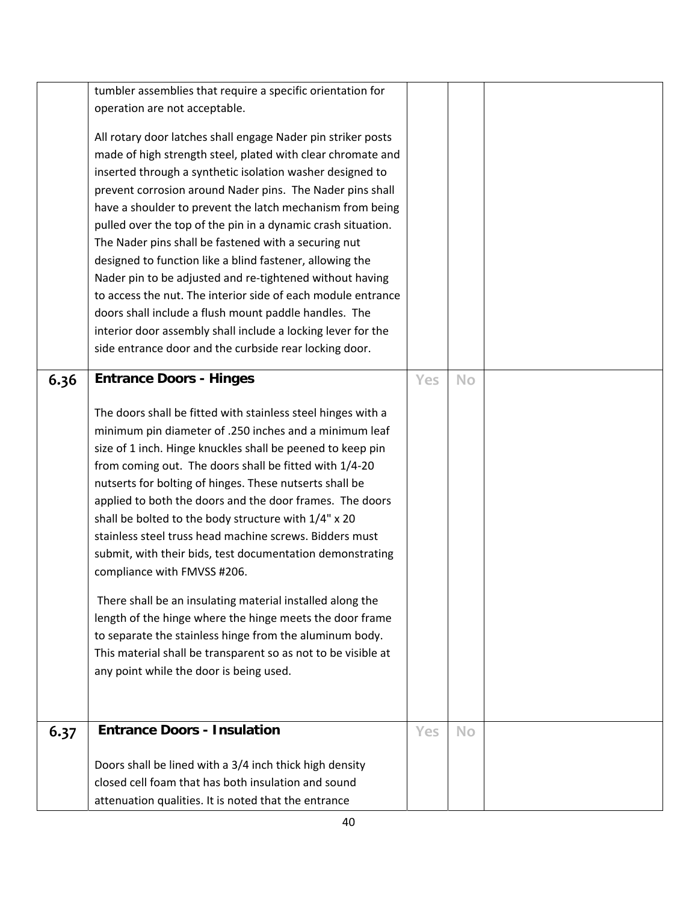|      | tumbler assemblies that require a specific orientation for    |     |           |  |
|------|---------------------------------------------------------------|-----|-----------|--|
|      | operation are not acceptable.                                 |     |           |  |
|      |                                                               |     |           |  |
|      | All rotary door latches shall engage Nader pin striker posts  |     |           |  |
|      | made of high strength steel, plated with clear chromate and   |     |           |  |
|      | inserted through a synthetic isolation washer designed to     |     |           |  |
|      | prevent corrosion around Nader pins. The Nader pins shall     |     |           |  |
|      | have a shoulder to prevent the latch mechanism from being     |     |           |  |
|      | pulled over the top of the pin in a dynamic crash situation.  |     |           |  |
|      | The Nader pins shall be fastened with a securing nut          |     |           |  |
|      | designed to function like a blind fastener, allowing the      |     |           |  |
|      | Nader pin to be adjusted and re-tightened without having      |     |           |  |
|      |                                                               |     |           |  |
|      | to access the nut. The interior side of each module entrance  |     |           |  |
|      | doors shall include a flush mount paddle handles. The         |     |           |  |
|      | interior door assembly shall include a locking lever for the  |     |           |  |
|      | side entrance door and the curbside rear locking door.        |     |           |  |
|      | <b>Entrance Doors - Hinges</b>                                | Yes |           |  |
| 6.36 |                                                               |     | <b>No</b> |  |
|      |                                                               |     |           |  |
|      | The doors shall be fitted with stainless steel hinges with a  |     |           |  |
|      | minimum pin diameter of .250 inches and a minimum leaf        |     |           |  |
|      | size of 1 inch. Hinge knuckles shall be peened to keep pin    |     |           |  |
|      | from coming out. The doors shall be fitted with 1/4-20        |     |           |  |
|      | nutserts for bolting of hinges. These nutserts shall be       |     |           |  |
|      | applied to both the doors and the door frames. The doors      |     |           |  |
|      | shall be bolted to the body structure with 1/4" x 20          |     |           |  |
|      | stainless steel truss head machine screws. Bidders must       |     |           |  |
|      | submit, with their bids, test documentation demonstrating     |     |           |  |
|      | compliance with FMVSS #206.                                   |     |           |  |
|      |                                                               |     |           |  |
|      | There shall be an insulating material installed along the     |     |           |  |
|      | length of the hinge where the hinge meets the door frame      |     |           |  |
|      | to separate the stainless hinge from the aluminum body.       |     |           |  |
|      | This material shall be transparent so as not to be visible at |     |           |  |
|      | any point while the door is being used.                       |     |           |  |
|      |                                                               |     |           |  |
|      |                                                               |     |           |  |
|      | <b>Entrance Doors - Insulation</b>                            |     |           |  |
| 6.37 |                                                               | Yes | <b>No</b> |  |
|      |                                                               |     |           |  |
|      | Doors shall be lined with a 3/4 inch thick high density       |     |           |  |
|      | closed cell foam that has both insulation and sound           |     |           |  |
|      | attenuation qualities. It is noted that the entrance          |     |           |  |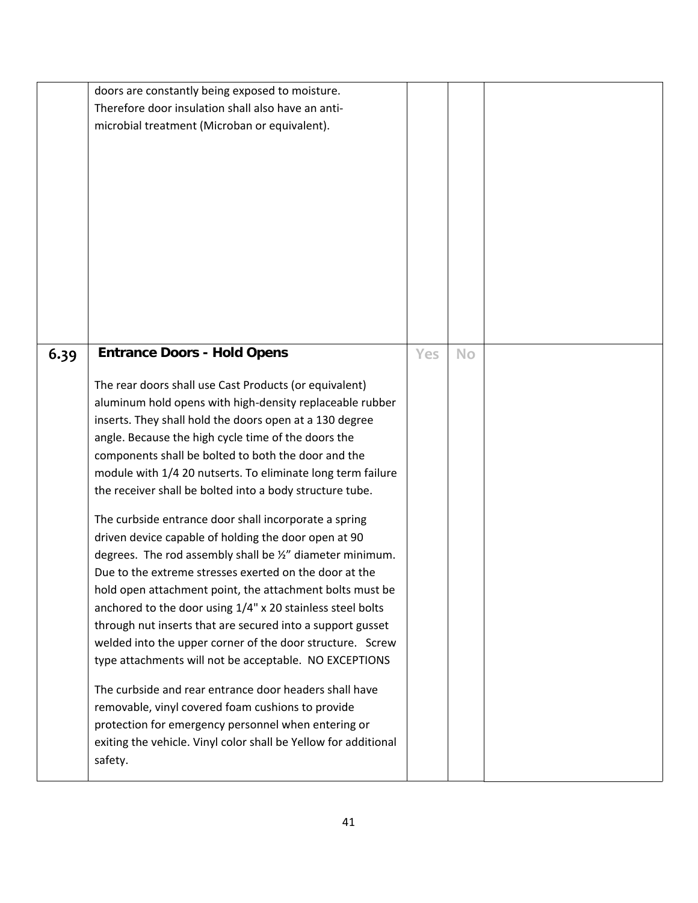|      | doors are constantly being exposed to moisture.<br>Therefore door insulation shall also have an anti-<br>microbial treatment (Microban or equivalent).                                                                                                                                                                                                                                                                                                                                                                                                                                                                                                                                                                                                                                                                                                                                                                                                                                                                                                                                                                                                                                                                                                                  |     |           |  |
|------|-------------------------------------------------------------------------------------------------------------------------------------------------------------------------------------------------------------------------------------------------------------------------------------------------------------------------------------------------------------------------------------------------------------------------------------------------------------------------------------------------------------------------------------------------------------------------------------------------------------------------------------------------------------------------------------------------------------------------------------------------------------------------------------------------------------------------------------------------------------------------------------------------------------------------------------------------------------------------------------------------------------------------------------------------------------------------------------------------------------------------------------------------------------------------------------------------------------------------------------------------------------------------|-----|-----------|--|
| 6.39 | <b>Entrance Doors - Hold Opens</b><br>The rear doors shall use Cast Products (or equivalent)<br>aluminum hold opens with high-density replaceable rubber<br>inserts. They shall hold the doors open at a 130 degree<br>angle. Because the high cycle time of the doors the<br>components shall be bolted to both the door and the<br>module with 1/4 20 nutserts. To eliminate long term failure<br>the receiver shall be bolted into a body structure tube.<br>The curbside entrance door shall incorporate a spring<br>driven device capable of holding the door open at 90<br>degrees. The rod assembly shall be 1/2" diameter minimum.<br>Due to the extreme stresses exerted on the door at the<br>hold open attachment point, the attachment bolts must be<br>anchored to the door using 1/4" x 20 stainless steel bolts<br>through nut inserts that are secured into a support gusset<br>welded into the upper corner of the door structure. Screw<br>type attachments will not be acceptable. NO EXCEPTIONS<br>The curbside and rear entrance door headers shall have<br>removable, vinyl covered foam cushions to provide<br>protection for emergency personnel when entering or<br>exiting the vehicle. Vinyl color shall be Yellow for additional<br>safety. | Yes | <b>No</b> |  |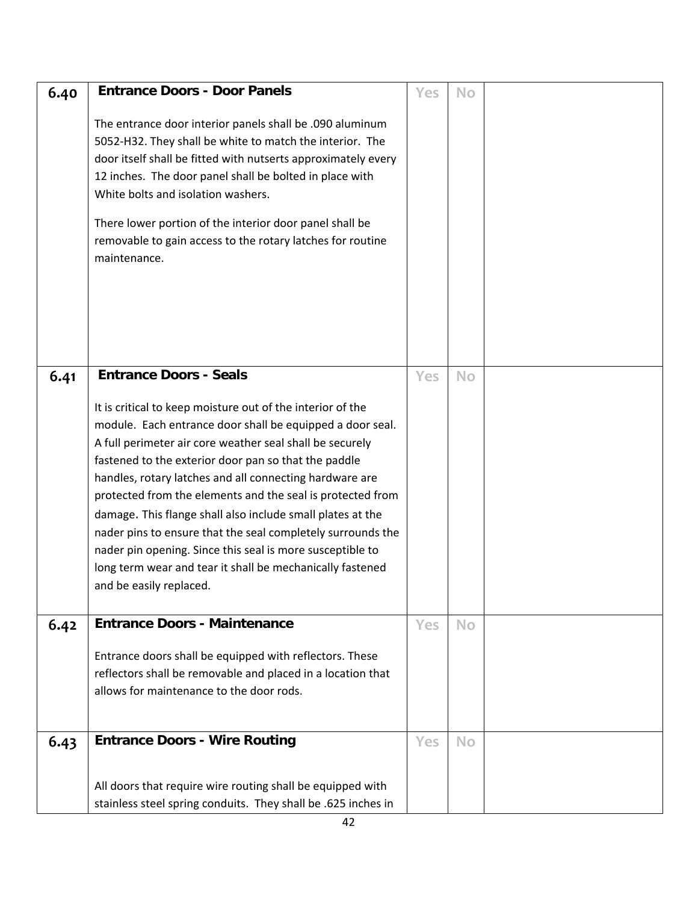| 6.40 | <b>Entrance Doors - Door Panels</b>                                                                                                                                                                                                                                                                                                                                                                                                                                                                                                                                                                                                                                                     | Yes        | <b>No</b> |  |
|------|-----------------------------------------------------------------------------------------------------------------------------------------------------------------------------------------------------------------------------------------------------------------------------------------------------------------------------------------------------------------------------------------------------------------------------------------------------------------------------------------------------------------------------------------------------------------------------------------------------------------------------------------------------------------------------------------|------------|-----------|--|
|      | The entrance door interior panels shall be .090 aluminum<br>5052-H32. They shall be white to match the interior. The<br>door itself shall be fitted with nutserts approximately every<br>12 inches. The door panel shall be bolted in place with<br>White bolts and isolation washers.<br>There lower portion of the interior door panel shall be<br>removable to gain access to the rotary latches for routine<br>maintenance.                                                                                                                                                                                                                                                         |            |           |  |
| 6.41 | <b>Entrance Doors - Seals</b><br>It is critical to keep moisture out of the interior of the<br>module. Each entrance door shall be equipped a door seal.<br>A full perimeter air core weather seal shall be securely<br>fastened to the exterior door pan so that the paddle<br>handles, rotary latches and all connecting hardware are<br>protected from the elements and the seal is protected from<br>damage. This flange shall also include small plates at the<br>nader pins to ensure that the seal completely surrounds the<br>nader pin opening. Since this seal is more susceptible to<br>long term wear and tear it shall be mechanically fastened<br>and be easily replaced. | Yes        | <b>No</b> |  |
| 6.42 | <b>Entrance Doors - Maintenance</b><br>Entrance doors shall be equipped with reflectors. These<br>reflectors shall be removable and placed in a location that<br>allows for maintenance to the door rods.                                                                                                                                                                                                                                                                                                                                                                                                                                                                               | Yes        | <b>No</b> |  |
| 6.43 | <b>Entrance Doors - Wire Routing</b>                                                                                                                                                                                                                                                                                                                                                                                                                                                                                                                                                                                                                                                    | <b>Yes</b> | <b>No</b> |  |
|      | All doors that require wire routing shall be equipped with<br>stainless steel spring conduits. They shall be .625 inches in                                                                                                                                                                                                                                                                                                                                                                                                                                                                                                                                                             |            |           |  |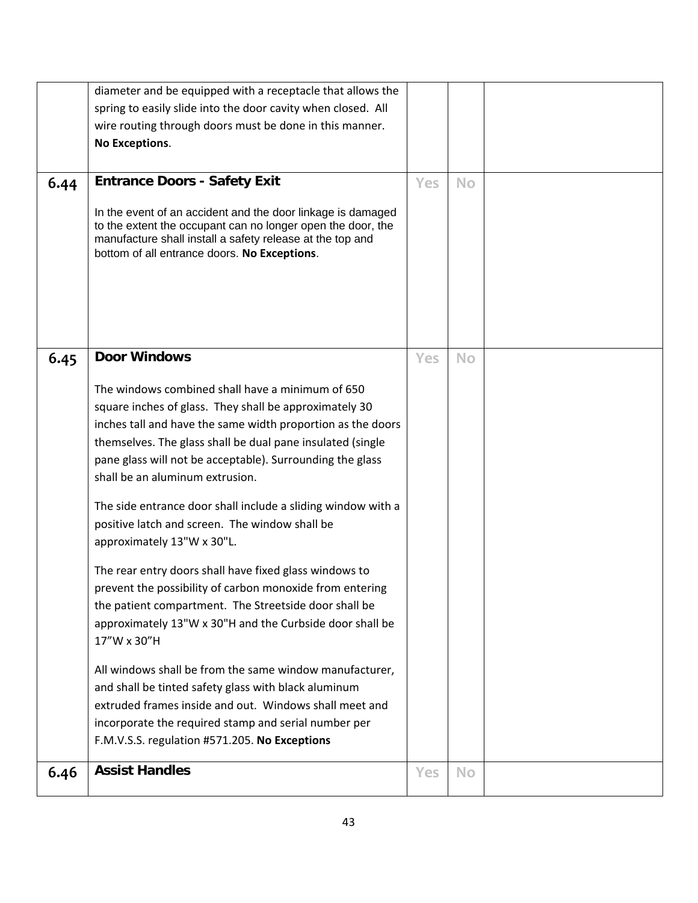| 6.44 | diameter and be equipped with a receptacle that allows the<br>spring to easily slide into the door cavity when closed. All<br>wire routing through doors must be done in this manner.<br>No Exceptions.<br><b>Entrance Doors - Safety Exit</b>                                                                                                                                                                                                                                                                                                                                                                                                                                                                                                                                                                                                                                                                                                                                                                                                                 | Yes        | <b>No</b> |  |
|------|----------------------------------------------------------------------------------------------------------------------------------------------------------------------------------------------------------------------------------------------------------------------------------------------------------------------------------------------------------------------------------------------------------------------------------------------------------------------------------------------------------------------------------------------------------------------------------------------------------------------------------------------------------------------------------------------------------------------------------------------------------------------------------------------------------------------------------------------------------------------------------------------------------------------------------------------------------------------------------------------------------------------------------------------------------------|------------|-----------|--|
|      | In the event of an accident and the door linkage is damaged<br>to the extent the occupant can no longer open the door, the<br>manufacture shall install a safety release at the top and<br>bottom of all entrance doors. No Exceptions.                                                                                                                                                                                                                                                                                                                                                                                                                                                                                                                                                                                                                                                                                                                                                                                                                        |            |           |  |
| 6.45 | <b>Door Windows</b><br>The windows combined shall have a minimum of 650<br>square inches of glass. They shall be approximately 30<br>inches tall and have the same width proportion as the doors<br>themselves. The glass shall be dual pane insulated (single<br>pane glass will not be acceptable). Surrounding the glass<br>shall be an aluminum extrusion.<br>The side entrance door shall include a sliding window with a<br>positive latch and screen. The window shall be<br>approximately 13"W x 30"L.<br>The rear entry doors shall have fixed glass windows to<br>prevent the possibility of carbon monoxide from entering<br>the patient compartment. The Streetside door shall be<br>approximately 13"W x 30"H and the Curbside door shall be<br>17"W x 30"H<br>All windows shall be from the same window manufacturer,<br>and shall be tinted safety glass with black aluminum<br>extruded frames inside and out. Windows shall meet and<br>incorporate the required stamp and serial number per<br>F.M.V.S.S. regulation #571.205. No Exceptions | <b>Yes</b> | <b>No</b> |  |
| 6.46 | <b>Assist Handles</b>                                                                                                                                                                                                                                                                                                                                                                                                                                                                                                                                                                                                                                                                                                                                                                                                                                                                                                                                                                                                                                          | <b>Yes</b> | <b>No</b> |  |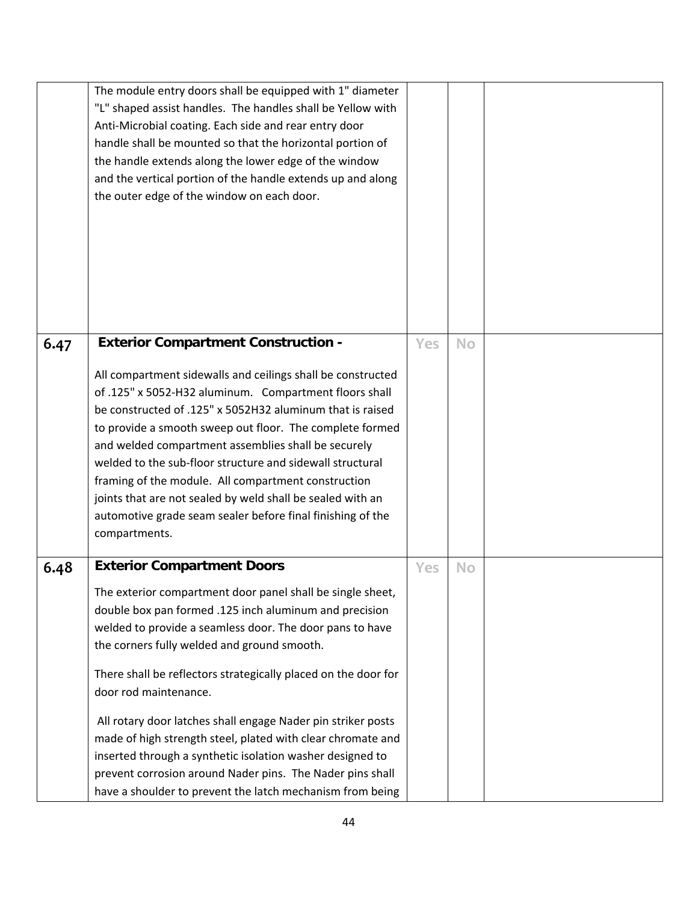|      | The module entry doors shall be equipped with 1" diameter<br>"L" shaped assist handles. The handles shall be Yellow with<br>Anti-Microbial coating. Each side and rear entry door<br>handle shall be mounted so that the horizontal portion of<br>the handle extends along the lower edge of the window<br>and the vertical portion of the handle extends up and along<br>the outer edge of the window on each door.                                                                                                                                                                                                                                                                  |     |           |  |
|------|---------------------------------------------------------------------------------------------------------------------------------------------------------------------------------------------------------------------------------------------------------------------------------------------------------------------------------------------------------------------------------------------------------------------------------------------------------------------------------------------------------------------------------------------------------------------------------------------------------------------------------------------------------------------------------------|-----|-----------|--|
| 6.47 | <b>Exterior Compartment Construction -</b><br>All compartment sidewalls and ceilings shall be constructed<br>of .125" x 5052-H32 aluminum. Compartment floors shall<br>be constructed of .125" x 5052H32 aluminum that is raised<br>to provide a smooth sweep out floor. The complete formed<br>and welded compartment assemblies shall be securely<br>welded to the sub-floor structure and sidewall structural<br>framing of the module. All compartment construction<br>joints that are not sealed by weld shall be sealed with an<br>automotive grade seam sealer before final finishing of the<br>compartments.                                                                  | Yes | <b>No</b> |  |
| 6.48 | <b>Exterior Compartment Doors</b><br>The exterior compartment door panel shall be single sheet,<br>double box pan formed .125 inch aluminum and precision<br>welded to provide a seamless door. The door pans to have<br>the corners fully welded and ground smooth.<br>There shall be reflectors strategically placed on the door for<br>door rod maintenance.<br>All rotary door latches shall engage Nader pin striker posts<br>made of high strength steel, plated with clear chromate and<br>inserted through a synthetic isolation washer designed to<br>prevent corrosion around Nader pins. The Nader pins shall<br>have a shoulder to prevent the latch mechanism from being | Yes | <b>No</b> |  |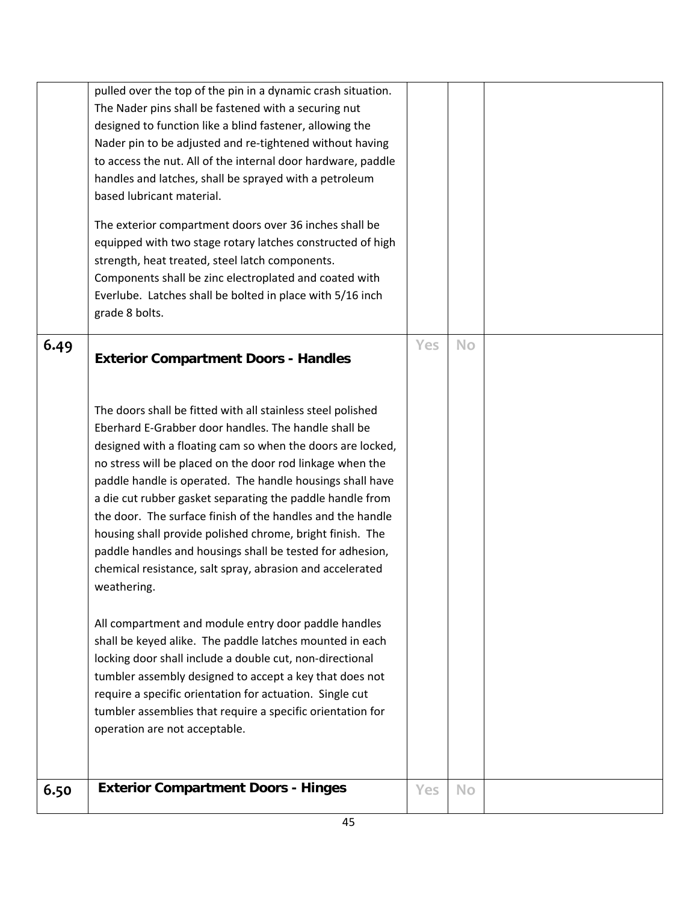| 6.50 | <b>Exterior Compartment Doors - Hinges</b>                                                                                                                                                                                                                                                                                                                                                                                                                                                                                                                                                                                                   | Yes | <b>No</b> |  |
|------|----------------------------------------------------------------------------------------------------------------------------------------------------------------------------------------------------------------------------------------------------------------------------------------------------------------------------------------------------------------------------------------------------------------------------------------------------------------------------------------------------------------------------------------------------------------------------------------------------------------------------------------------|-----|-----------|--|
|      | All compartment and module entry door paddle handles<br>shall be keyed alike. The paddle latches mounted in each<br>locking door shall include a double cut, non-directional<br>tumbler assembly designed to accept a key that does not<br>require a specific orientation for actuation. Single cut<br>tumbler assemblies that require a specific orientation for<br>operation are not acceptable.                                                                                                                                                                                                                                           |     |           |  |
|      | The doors shall be fitted with all stainless steel polished<br>Eberhard E-Grabber door handles. The handle shall be<br>designed with a floating cam so when the doors are locked,<br>no stress will be placed on the door rod linkage when the<br>paddle handle is operated. The handle housings shall have<br>a die cut rubber gasket separating the paddle handle from<br>the door. The surface finish of the handles and the handle<br>housing shall provide polished chrome, bright finish. The<br>paddle handles and housings shall be tested for adhesion,<br>chemical resistance, salt spray, abrasion and accelerated<br>weathering. |     |           |  |
| 6.49 | <b>Exterior Compartment Doors - Handles</b>                                                                                                                                                                                                                                                                                                                                                                                                                                                                                                                                                                                                  | Yes | <b>No</b> |  |
|      | The exterior compartment doors over 36 inches shall be<br>equipped with two stage rotary latches constructed of high<br>strength, heat treated, steel latch components.<br>Components shall be zinc electroplated and coated with<br>Everlube. Latches shall be bolted in place with 5/16 inch<br>grade 8 bolts.                                                                                                                                                                                                                                                                                                                             |     |           |  |
|      | pulled over the top of the pin in a dynamic crash situation.<br>The Nader pins shall be fastened with a securing nut<br>designed to function like a blind fastener, allowing the<br>Nader pin to be adjusted and re-tightened without having<br>to access the nut. All of the internal door hardware, paddle<br>handles and latches, shall be sprayed with a petroleum<br>based lubricant material.                                                                                                                                                                                                                                          |     |           |  |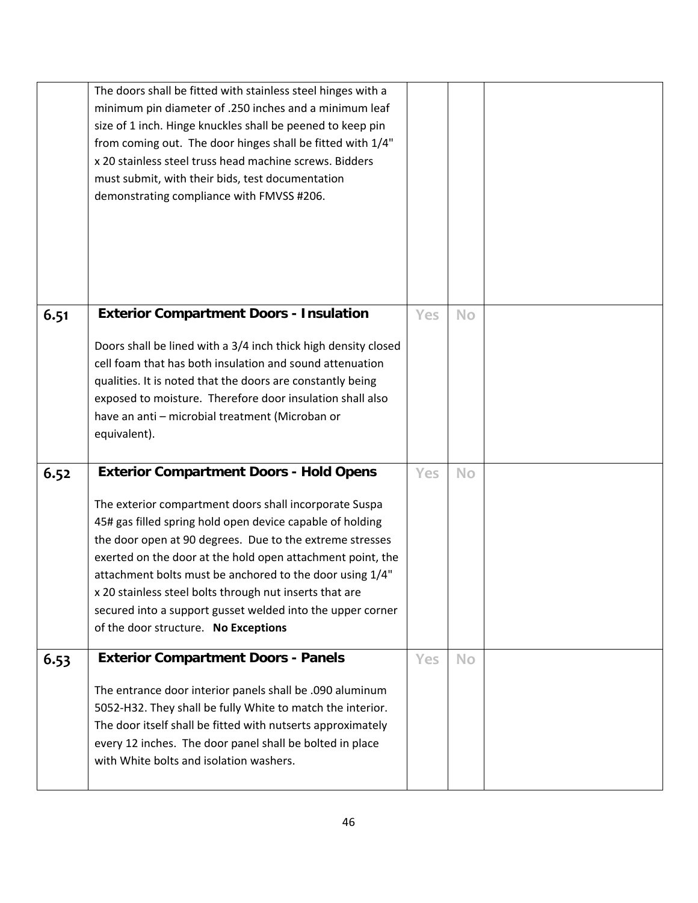|      | The doors shall be fitted with stainless steel hinges with a<br>minimum pin diameter of .250 inches and a minimum leaf<br>size of 1 inch. Hinge knuckles shall be peened to keep pin<br>from coming out. The door hinges shall be fitted with 1/4"<br>x 20 stainless steel truss head machine screws. Bidders<br>must submit, with their bids, test documentation<br>demonstrating compliance with FMVSS #206.                                                             |     |           |  |
|------|----------------------------------------------------------------------------------------------------------------------------------------------------------------------------------------------------------------------------------------------------------------------------------------------------------------------------------------------------------------------------------------------------------------------------------------------------------------------------|-----|-----------|--|
| 6.51 | <b>Exterior Compartment Doors - Insulation</b>                                                                                                                                                                                                                                                                                                                                                                                                                             | Yes | <b>No</b> |  |
|      | Doors shall be lined with a 3/4 inch thick high density closed<br>cell foam that has both insulation and sound attenuation<br>qualities. It is noted that the doors are constantly being<br>exposed to moisture. Therefore door insulation shall also<br>have an anti - microbial treatment (Microban or<br>equivalent).                                                                                                                                                   |     |           |  |
| 6.52 | <b>Exterior Compartment Doors - Hold Opens</b>                                                                                                                                                                                                                                                                                                                                                                                                                             | Yes | <b>No</b> |  |
|      | The exterior compartment doors shall incorporate Suspa<br>45# gas filled spring hold open device capable of holding<br>the door open at 90 degrees. Due to the extreme stresses<br>exerted on the door at the hold open attachment point, the<br>attachment bolts must be anchored to the door using 1/4"<br>x 20 stainless steel bolts through nut inserts that are<br>secured into a support gusset welded into the upper corner<br>of the door structure. No Exceptions |     |           |  |
| 6.53 | <b>Exterior Compartment Doors - Panels</b>                                                                                                                                                                                                                                                                                                                                                                                                                                 | Yes | <b>No</b> |  |
|      | The entrance door interior panels shall be .090 aluminum<br>5052-H32. They shall be fully White to match the interior.<br>The door itself shall be fitted with nutserts approximately<br>every 12 inches. The door panel shall be bolted in place<br>with White bolts and isolation washers.                                                                                                                                                                               |     |           |  |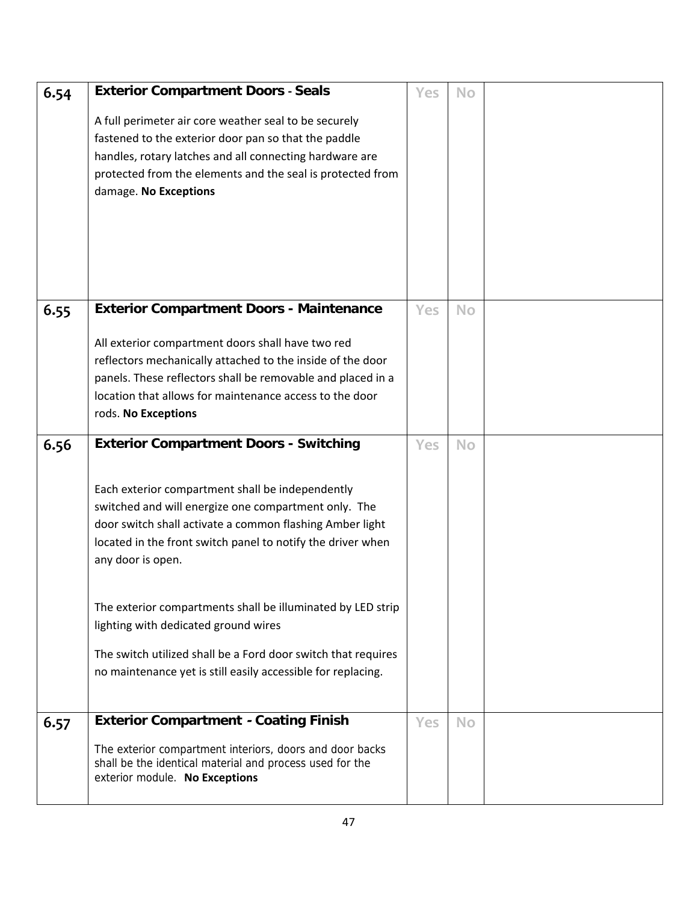| 6.54 | <b>Exterior Compartment Doors - Seals</b><br>A full perimeter air core weather seal to be securely<br>fastened to the exterior door pan so that the paddle<br>handles, rotary latches and all connecting hardware are<br>protected from the elements and the seal is protected from<br>damage. No Exceptions                                                                                                                                                                                                                                      | Yes        | <b>No</b> |  |
|------|---------------------------------------------------------------------------------------------------------------------------------------------------------------------------------------------------------------------------------------------------------------------------------------------------------------------------------------------------------------------------------------------------------------------------------------------------------------------------------------------------------------------------------------------------|------------|-----------|--|
| 6.55 | <b>Exterior Compartment Doors - Maintenance</b><br>All exterior compartment doors shall have two red<br>reflectors mechanically attached to the inside of the door<br>panels. These reflectors shall be removable and placed in a<br>location that allows for maintenance access to the door<br>rods. No Exceptions                                                                                                                                                                                                                               | Yes        | <b>No</b> |  |
| 6.56 | <b>Exterior Compartment Doors - Switching</b><br>Each exterior compartment shall be independently<br>switched and will energize one compartment only. The<br>door switch shall activate a common flashing Amber light<br>located in the front switch panel to notify the driver when<br>any door is open.<br>The exterior compartments shall be illuminated by LED strip<br>lighting with dedicated ground wires<br>The switch utilized shall be a Ford door switch that requires<br>no maintenance yet is still easily accessible for replacing. | <b>Yes</b> | <b>No</b> |  |
| 6.57 | <b>Exterior Compartment - Coating Finish</b><br>The exterior compartment interiors, doors and door backs<br>shall be the identical material and process used for the<br>exterior module. No Exceptions                                                                                                                                                                                                                                                                                                                                            | Yes        | <b>No</b> |  |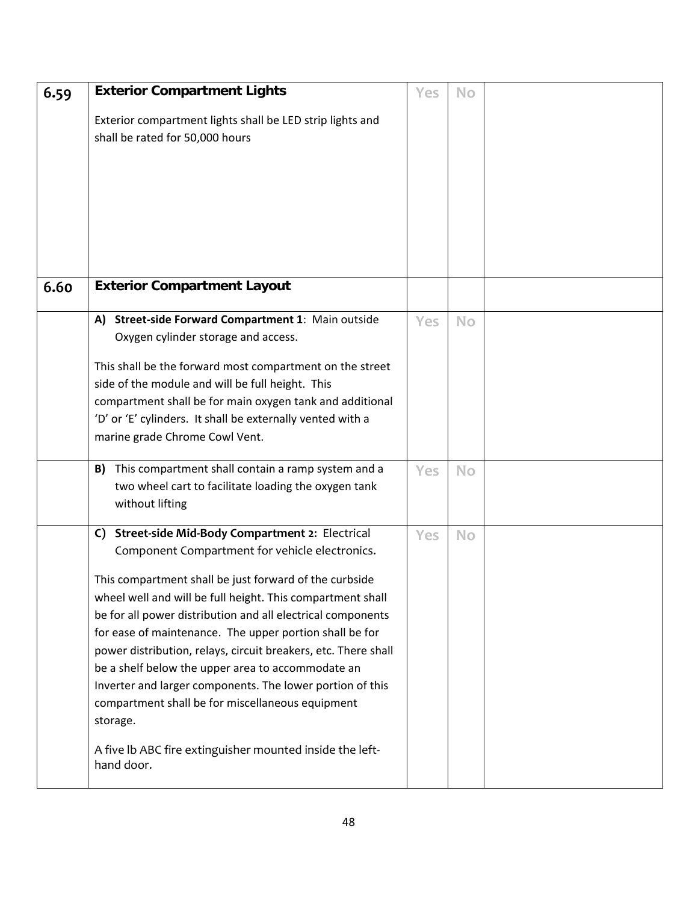| 6.59 | <b>Exterior Compartment Lights</b>                             | Yes | <b>No</b> |  |
|------|----------------------------------------------------------------|-----|-----------|--|
|      | Exterior compartment lights shall be LED strip lights and      |     |           |  |
|      | shall be rated for 50,000 hours                                |     |           |  |
|      |                                                                |     |           |  |
|      |                                                                |     |           |  |
|      |                                                                |     |           |  |
|      |                                                                |     |           |  |
|      |                                                                |     |           |  |
|      |                                                                |     |           |  |
|      |                                                                |     |           |  |
| 6.60 | <b>Exterior Compartment Layout</b>                             |     |           |  |
|      |                                                                |     |           |  |
|      | Street-side Forward Compartment 1: Main outside<br>A)          | Yes | <b>No</b> |  |
|      | Oxygen cylinder storage and access.                            |     |           |  |
|      | This shall be the forward most compartment on the street       |     |           |  |
|      | side of the module and will be full height. This               |     |           |  |
|      | compartment shall be for main oxygen tank and additional       |     |           |  |
|      | 'D' or 'E' cylinders. It shall be externally vented with a     |     |           |  |
|      | marine grade Chrome Cowl Vent.                                 |     |           |  |
|      |                                                                |     |           |  |
|      | This compartment shall contain a ramp system and a<br>B)       | Yes | <b>No</b> |  |
|      | two wheel cart to facilitate loading the oxygen tank           |     |           |  |
|      | without lifting                                                |     |           |  |
|      | C) Street-side Mid-Body Compartment 2: Electrical              | Yes | <b>No</b> |  |
|      | Component Compartment for vehicle electronics.                 |     |           |  |
|      | This compartment shall be just forward of the curbside         |     |           |  |
|      | wheel well and will be full height. This compartment shall     |     |           |  |
|      | be for all power distribution and all electrical components    |     |           |  |
|      | for ease of maintenance. The upper portion shall be for        |     |           |  |
|      | power distribution, relays, circuit breakers, etc. There shall |     |           |  |
|      | be a shelf below the upper area to accommodate an              |     |           |  |
|      | Inverter and larger components. The lower portion of this      |     |           |  |
|      | compartment shall be for miscellaneous equipment               |     |           |  |
|      | storage.                                                       |     |           |  |
|      | A five Ib ABC fire extinguisher mounted inside the left-       |     |           |  |
|      | hand door.                                                     |     |           |  |
|      |                                                                |     |           |  |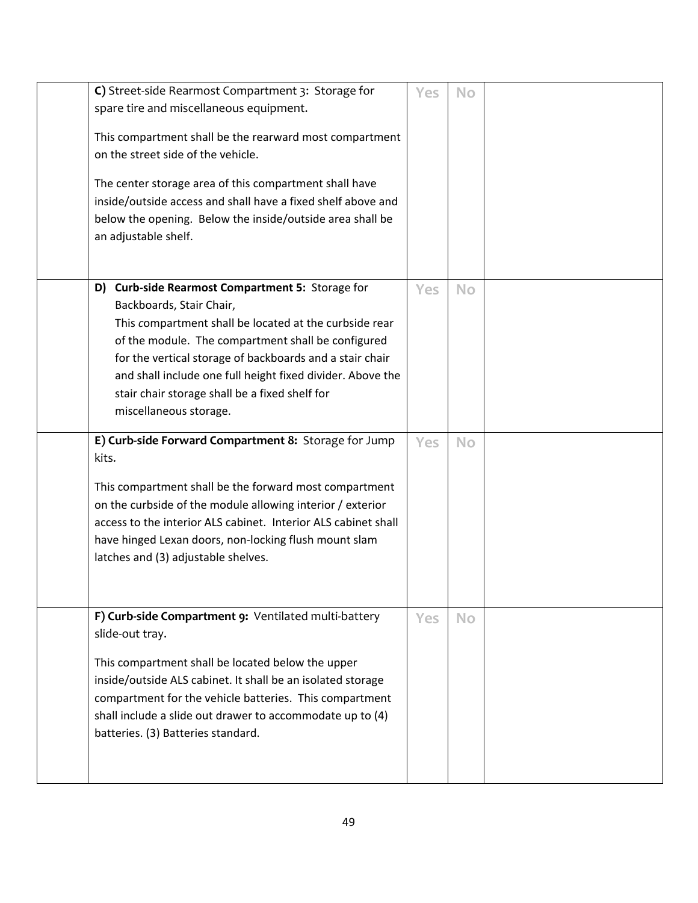| C) Street-side Rearmost Compartment 3: Storage for<br>spare tire and miscellaneous equipment.<br>This compartment shall be the rearward most compartment<br>on the street side of the vehicle.<br>The center storage area of this compartment shall have<br>inside/outside access and shall have a fixed shelf above and<br>below the opening. Below the inside/outside area shall be<br>an adjustable shelf. | <b>Yes</b> | <b>No</b> |  |
|---------------------------------------------------------------------------------------------------------------------------------------------------------------------------------------------------------------------------------------------------------------------------------------------------------------------------------------------------------------------------------------------------------------|------------|-----------|--|
| D) Curb-side Rearmost Compartment 5: Storage for<br>Backboards, Stair Chair,<br>This compartment shall be located at the curbside rear<br>of the module. The compartment shall be configured<br>for the vertical storage of backboards and a stair chair<br>and shall include one full height fixed divider. Above the<br>stair chair storage shall be a fixed shelf for<br>miscellaneous storage.            | Yes        | <b>No</b> |  |
| E) Curb-side Forward Compartment 8: Storage for Jump<br>kits.<br>This compartment shall be the forward most compartment<br>on the curbside of the module allowing interior / exterior<br>access to the interior ALS cabinet. Interior ALS cabinet shall<br>have hinged Lexan doors, non-locking flush mount slam<br>latches and (3) adjustable shelves.                                                       | Yes        | <b>No</b> |  |
| F) Curb-side Compartment 9: Ventilated multi-battery<br>slide-out tray.<br>This compartment shall be located below the upper<br>inside/outside ALS cabinet. It shall be an isolated storage<br>compartment for the vehicle batteries. This compartment<br>shall include a slide out drawer to accommodate up to (4)<br>batteries. (3) Batteries standard.                                                     | Yes        | <b>No</b> |  |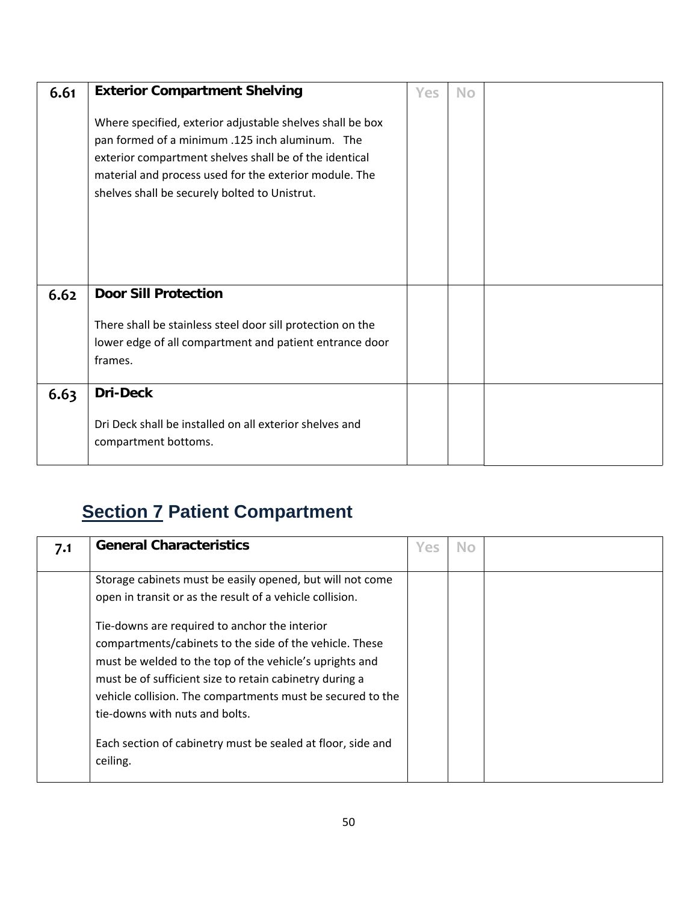| 6.61 | <b>Exterior Compartment Shelving</b>                                                                                                                                                                                                                                              | Yes | <b>No</b> |  |
|------|-----------------------------------------------------------------------------------------------------------------------------------------------------------------------------------------------------------------------------------------------------------------------------------|-----|-----------|--|
|      | Where specified, exterior adjustable shelves shall be box<br>pan formed of a minimum .125 inch aluminum. The<br>exterior compartment shelves shall be of the identical<br>material and process used for the exterior module. The<br>shelves shall be securely bolted to Unistrut. |     |           |  |
| 6.62 | <b>Door Sill Protection</b>                                                                                                                                                                                                                                                       |     |           |  |
|      | There shall be stainless steel door sill protection on the                                                                                                                                                                                                                        |     |           |  |
|      | lower edge of all compartment and patient entrance door                                                                                                                                                                                                                           |     |           |  |
|      | frames.                                                                                                                                                                                                                                                                           |     |           |  |
| 6.63 | <b>Dri-Deck</b>                                                                                                                                                                                                                                                                   |     |           |  |
|      | Dri Deck shall be installed on all exterior shelves and<br>compartment bottoms.                                                                                                                                                                                                   |     |           |  |

## **Section 7 Patient Compartment**

| 7.1 | <b>General Characteristics</b>                                                                                                                                                                                                                                                                                                                                                                                                                          | Yes | No. |  |
|-----|---------------------------------------------------------------------------------------------------------------------------------------------------------------------------------------------------------------------------------------------------------------------------------------------------------------------------------------------------------------------------------------------------------------------------------------------------------|-----|-----|--|
|     | Storage cabinets must be easily opened, but will not come<br>open in transit or as the result of a vehicle collision.<br>Tie-downs are required to anchor the interior<br>compartments/cabinets to the side of the vehicle. These<br>must be welded to the top of the vehicle's uprights and<br>must be of sufficient size to retain cabinetry during a<br>vehicle collision. The compartments must be secured to the<br>tie-downs with nuts and bolts. |     |     |  |
|     | Each section of cabinetry must be sealed at floor, side and<br>ceiling.                                                                                                                                                                                                                                                                                                                                                                                 |     |     |  |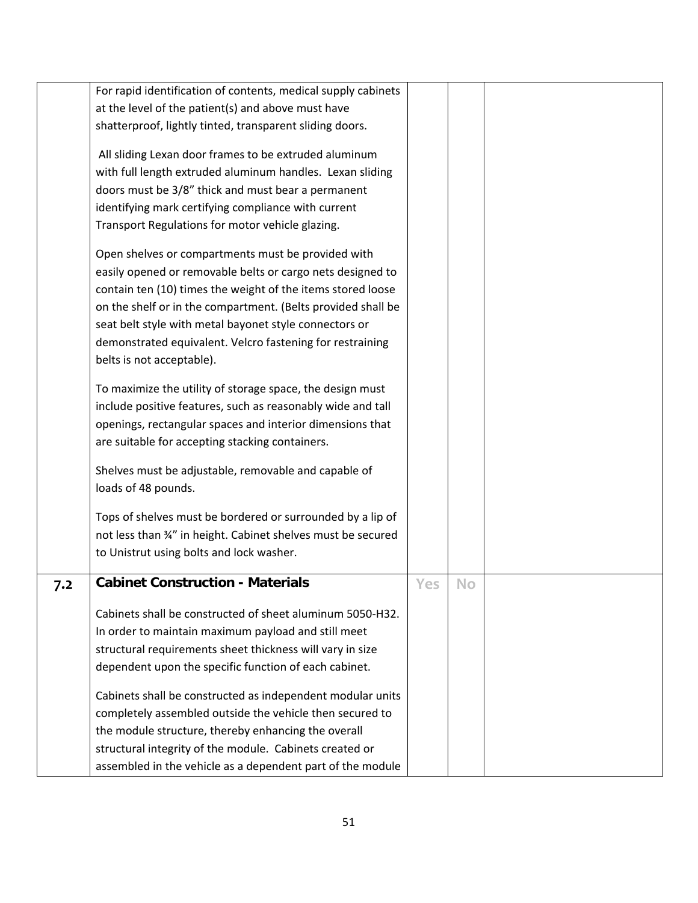|     | For rapid identification of contents, medical supply cabinets |     |    |  |
|-----|---------------------------------------------------------------|-----|----|--|
|     | at the level of the patient(s) and above must have            |     |    |  |
|     | shatterproof, lightly tinted, transparent sliding doors.      |     |    |  |
|     |                                                               |     |    |  |
|     | All sliding Lexan door frames to be extruded aluminum         |     |    |  |
|     | with full length extruded aluminum handles. Lexan sliding     |     |    |  |
|     | doors must be 3/8" thick and must bear a permanent            |     |    |  |
|     | identifying mark certifying compliance with current           |     |    |  |
|     | Transport Regulations for motor vehicle glazing.              |     |    |  |
|     |                                                               |     |    |  |
|     | Open shelves or compartments must be provided with            |     |    |  |
|     | easily opened or removable belts or cargo nets designed to    |     |    |  |
|     | contain ten (10) times the weight of the items stored loose   |     |    |  |
|     | on the shelf or in the compartment. (Belts provided shall be  |     |    |  |
|     | seat belt style with metal bayonet style connectors or        |     |    |  |
|     | demonstrated equivalent. Velcro fastening for restraining     |     |    |  |
|     | belts is not acceptable).                                     |     |    |  |
|     |                                                               |     |    |  |
|     | To maximize the utility of storage space, the design must     |     |    |  |
|     | include positive features, such as reasonably wide and tall   |     |    |  |
|     | openings, rectangular spaces and interior dimensions that     |     |    |  |
|     | are suitable for accepting stacking containers.               |     |    |  |
|     | Shelves must be adjustable, removable and capable of          |     |    |  |
|     | loads of 48 pounds.                                           |     |    |  |
|     |                                                               |     |    |  |
|     | Tops of shelves must be bordered or surrounded by a lip of    |     |    |  |
|     | not less than 34" in height. Cabinet shelves must be secured  |     |    |  |
|     | to Unistrut using bolts and lock washer.                      |     |    |  |
|     |                                                               |     |    |  |
| 7.2 | <b>Cabinet Construction - Materials</b>                       | Yes | No |  |
|     | Cabinets shall be constructed of sheet aluminum 5050-H32.     |     |    |  |
|     | In order to maintain maximum payload and still meet           |     |    |  |
|     | structural requirements sheet thickness will vary in size     |     |    |  |
|     | dependent upon the specific function of each cabinet.         |     |    |  |
|     |                                                               |     |    |  |
|     | Cabinets shall be constructed as independent modular units    |     |    |  |
|     | completely assembled outside the vehicle then secured to      |     |    |  |
|     | the module structure, thereby enhancing the overall           |     |    |  |
|     | structural integrity of the module. Cabinets created or       |     |    |  |
|     | assembled in the vehicle as a dependent part of the module    |     |    |  |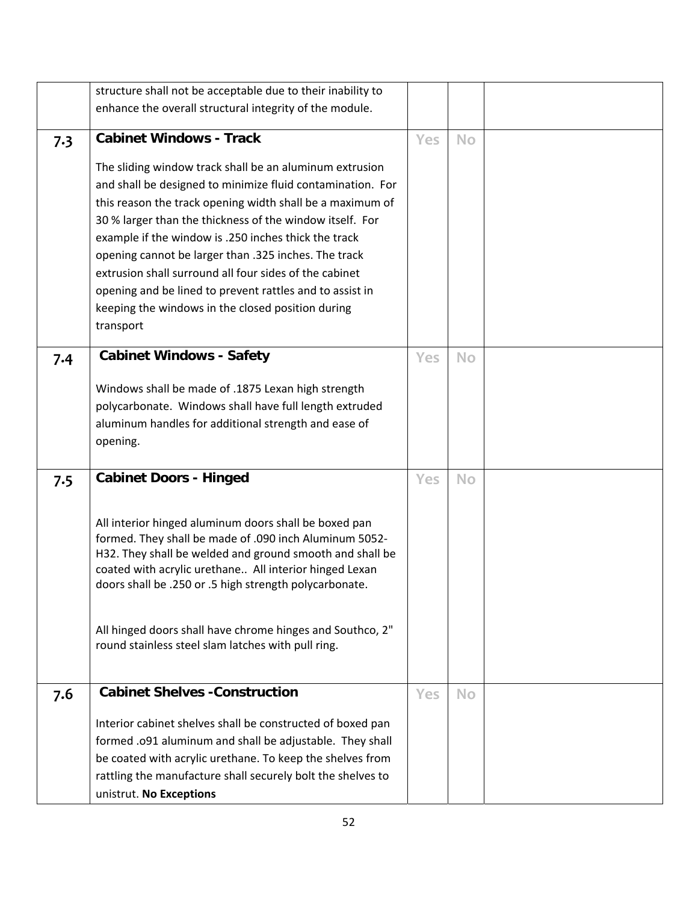|     | structure shall not be acceptable due to their inability to |            |           |  |
|-----|-------------------------------------------------------------|------------|-----------|--|
|     | enhance the overall structural integrity of the module.     |            |           |  |
|     |                                                             |            |           |  |
| 7.3 | <b>Cabinet Windows - Track</b>                              | <b>Yes</b> | <b>No</b> |  |
|     | The sliding window track shall be an aluminum extrusion     |            |           |  |
|     | and shall be designed to minimize fluid contamination. For  |            |           |  |
|     | this reason the track opening width shall be a maximum of   |            |           |  |
|     | 30 % larger than the thickness of the window itself. For    |            |           |  |
|     | example if the window is .250 inches thick the track        |            |           |  |
|     | opening cannot be larger than .325 inches. The track        |            |           |  |
|     | extrusion shall surround all four sides of the cabinet      |            |           |  |
|     | opening and be lined to prevent rattles and to assist in    |            |           |  |
|     | keeping the windows in the closed position during           |            |           |  |
|     | transport                                                   |            |           |  |
|     |                                                             |            |           |  |
| 7.4 | <b>Cabinet Windows - Safety</b>                             | <b>Yes</b> | <b>No</b> |  |
|     |                                                             |            |           |  |
|     | Windows shall be made of .1875 Lexan high strength          |            |           |  |
|     | polycarbonate. Windows shall have full length extruded      |            |           |  |
|     | aluminum handles for additional strength and ease of        |            |           |  |
|     | opening.                                                    |            |           |  |
|     |                                                             |            |           |  |
| 7.5 | <b>Cabinet Doors - Hinged</b>                               | Yes        | <b>No</b> |  |
|     |                                                             |            |           |  |
|     | All interior hinged aluminum doors shall be boxed pan       |            |           |  |
|     | formed. They shall be made of .090 inch Aluminum 5052-      |            |           |  |
|     | H32. They shall be welded and ground smooth and shall be    |            |           |  |
|     | coated with acrylic urethane All interior hinged Lexan      |            |           |  |
|     | doors shall be .250 or .5 high strength polycarbonate.      |            |           |  |
|     |                                                             |            |           |  |
|     | All hinged doors shall have chrome hinges and Southco, 2"   |            |           |  |
|     | round stainless steel slam latches with pull ring.          |            |           |  |
|     |                                                             |            |           |  |
|     |                                                             |            |           |  |
| 7.6 | <b>Cabinet Shelves - Construction</b>                       | Yes        | <b>No</b> |  |
|     | Interior cabinet shelves shall be constructed of boxed pan  |            |           |  |
|     | formed .091 aluminum and shall be adjustable. They shall    |            |           |  |
|     | be coated with acrylic urethane. To keep the shelves from   |            |           |  |
|     | rattling the manufacture shall securely bolt the shelves to |            |           |  |
|     |                                                             |            |           |  |
|     | unistrut. No Exceptions                                     |            |           |  |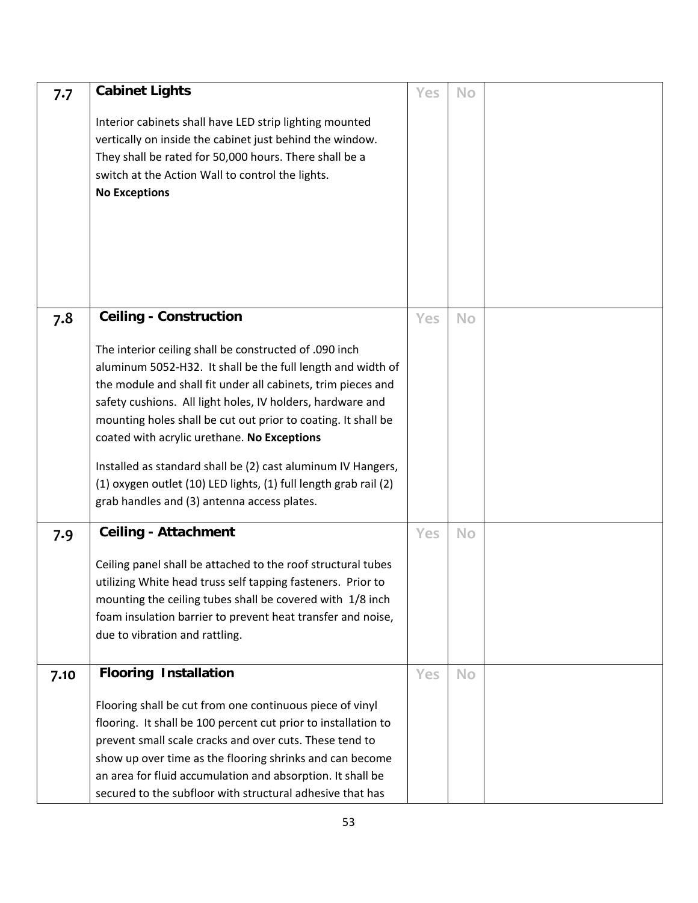| 7.7  | <b>Cabinet Lights</b>                                                                                                                                                                                                                                                                                                                                                                                                                                                                                                                                  | Yes        | <b>No</b> |  |
|------|--------------------------------------------------------------------------------------------------------------------------------------------------------------------------------------------------------------------------------------------------------------------------------------------------------------------------------------------------------------------------------------------------------------------------------------------------------------------------------------------------------------------------------------------------------|------------|-----------|--|
|      | Interior cabinets shall have LED strip lighting mounted<br>vertically on inside the cabinet just behind the window.<br>They shall be rated for 50,000 hours. There shall be a<br>switch at the Action Wall to control the lights.<br><b>No Exceptions</b>                                                                                                                                                                                                                                                                                              |            |           |  |
| 7.8  | <b>Ceiling - Construction</b>                                                                                                                                                                                                                                                                                                                                                                                                                                                                                                                          | Yes        | <b>No</b> |  |
|      | The interior ceiling shall be constructed of .090 inch<br>aluminum 5052-H32. It shall be the full length and width of<br>the module and shall fit under all cabinets, trim pieces and<br>safety cushions. All light holes, IV holders, hardware and<br>mounting holes shall be cut out prior to coating. It shall be<br>coated with acrylic urethane. No Exceptions<br>Installed as standard shall be (2) cast aluminum IV Hangers,<br>(1) oxygen outlet (10) LED lights, (1) full length grab rail (2)<br>grab handles and (3) antenna access plates. |            |           |  |
| 7.9  | <b>Ceiling - Attachment</b>                                                                                                                                                                                                                                                                                                                                                                                                                                                                                                                            | <b>Yes</b> | <b>No</b> |  |
|      | Ceiling panel shall be attached to the roof structural tubes<br>utilizing White head truss self tapping fasteners. Prior to<br>mounting the ceiling tubes shall be covered with 1/8 inch<br>foam insulation barrier to prevent heat transfer and noise,<br>due to vibration and rattling.                                                                                                                                                                                                                                                              |            |           |  |
| 7.10 | <b>Flooring Installation</b>                                                                                                                                                                                                                                                                                                                                                                                                                                                                                                                           | Yes        | <b>No</b> |  |
|      | Flooring shall be cut from one continuous piece of vinyl<br>flooring. It shall be 100 percent cut prior to installation to<br>prevent small scale cracks and over cuts. These tend to<br>show up over time as the flooring shrinks and can become<br>an area for fluid accumulation and absorption. It shall be<br>secured to the subfloor with structural adhesive that has                                                                                                                                                                           |            |           |  |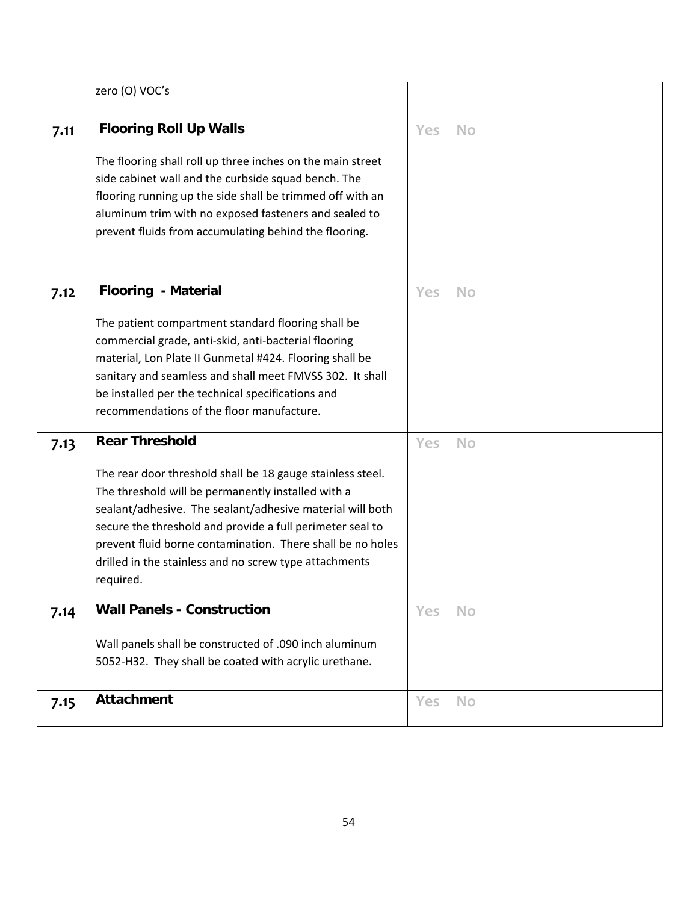|      | zero (O) VOC's                                             |            |           |  |
|------|------------------------------------------------------------|------------|-----------|--|
| 7.11 | <b>Flooring Roll Up Walls</b>                              | <b>Yes</b> | <b>No</b> |  |
|      | The flooring shall roll up three inches on the main street |            |           |  |
|      | side cabinet wall and the curbside squad bench. The        |            |           |  |
|      | flooring running up the side shall be trimmed off with an  |            |           |  |
|      | aluminum trim with no exposed fasteners and sealed to      |            |           |  |
|      | prevent fluids from accumulating behind the flooring.      |            |           |  |
|      |                                                            |            |           |  |
|      |                                                            |            |           |  |
| 7.12 | <b>Flooring - Material</b>                                 | Yes        | <b>No</b> |  |
|      | The patient compartment standard flooring shall be         |            |           |  |
|      | commercial grade, anti-skid, anti-bacterial flooring       |            |           |  |
|      | material, Lon Plate II Gunmetal #424. Flooring shall be    |            |           |  |
|      | sanitary and seamless and shall meet FMVSS 302. It shall   |            |           |  |
|      | be installed per the technical specifications and          |            |           |  |
|      | recommendations of the floor manufacture.                  |            |           |  |
| 7.13 | <b>Rear Threshold</b>                                      | Yes        | <b>No</b> |  |
|      | The rear door threshold shall be 18 gauge stainless steel. |            |           |  |
|      | The threshold will be permanently installed with a         |            |           |  |
|      | sealant/adhesive. The sealant/adhesive material will both  |            |           |  |
|      | secure the threshold and provide a full perimeter seal to  |            |           |  |
|      | prevent fluid borne contamination. There shall be no holes |            |           |  |
|      | drilled in the stainless and no screw type attachments     |            |           |  |
|      | required.                                                  |            |           |  |
| 7.14 | <b>Wall Panels - Construction</b>                          | Yes        | <b>No</b> |  |
|      |                                                            |            |           |  |
|      | Wall panels shall be constructed of .090 inch aluminum     |            |           |  |
|      | 5052-H32. They shall be coated with acrylic urethane.      |            |           |  |
| 7.15 | <b>Attachment</b>                                          | Yes        | <b>No</b> |  |
|      |                                                            |            |           |  |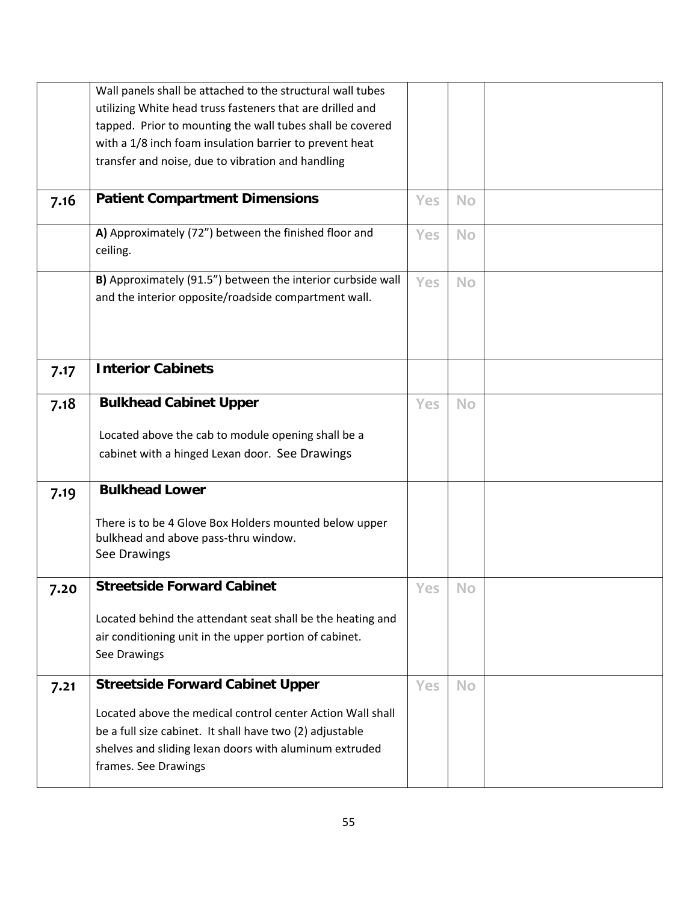|      | Wall panels shall be attached to the structural wall tubes        |            |           |  |
|------|-------------------------------------------------------------------|------------|-----------|--|
|      | utilizing White head truss fasteners that are drilled and         |            |           |  |
|      | tapped. Prior to mounting the wall tubes shall be covered         |            |           |  |
|      | with a 1/8 inch foam insulation barrier to prevent heat           |            |           |  |
|      | transfer and noise, due to vibration and handling                 |            |           |  |
|      |                                                                   |            |           |  |
| 7.16 | <b>Patient Compartment Dimensions</b>                             | <b>Yes</b> | <b>No</b> |  |
|      | A) Approximately (72") between the finished floor and<br>ceiling. | <b>Yes</b> | <b>No</b> |  |
|      | B) Approximately (91.5") between the interior curbside wall       | <b>Yes</b> | <b>No</b> |  |
|      | and the interior opposite/roadside compartment wall.              |            |           |  |
|      |                                                                   |            |           |  |
|      |                                                                   |            |           |  |
| 7.17 | <b>Interior Cabinets</b>                                          |            |           |  |
|      |                                                                   |            |           |  |
| 7.18 | <b>Bulkhead Cabinet Upper</b>                                     | <b>Yes</b> | <b>No</b> |  |
|      |                                                                   |            |           |  |
|      | Located above the cab to module opening shall be a                |            |           |  |
|      | cabinet with a hinged Lexan door. See Drawings                    |            |           |  |
| 7.19 | <b>Bulkhead Lower</b>                                             |            |           |  |
|      |                                                                   |            |           |  |
|      | There is to be 4 Glove Box Holders mounted below upper            |            |           |  |
|      | bulkhead and above pass-thru window.                              |            |           |  |
|      | See Drawings                                                      |            |           |  |
| 7.20 | <b>Streetside Forward Cabinet</b>                                 | Yes        | <b>No</b> |  |
|      |                                                                   |            |           |  |
|      | Located behind the attendant seat shall be the heating and        |            |           |  |
|      | air conditioning unit in the upper portion of cabinet.            |            |           |  |
|      | See Drawings                                                      |            |           |  |
| 7.21 | <b>Streetside Forward Cabinet Upper</b>                           | <b>Yes</b> | <b>No</b> |  |
|      |                                                                   |            |           |  |
|      | Located above the medical control center Action Wall shall        |            |           |  |
|      | be a full size cabinet. It shall have two (2) adjustable          |            |           |  |
|      | shelves and sliding lexan doors with aluminum extruded            |            |           |  |
|      | frames. See Drawings                                              |            |           |  |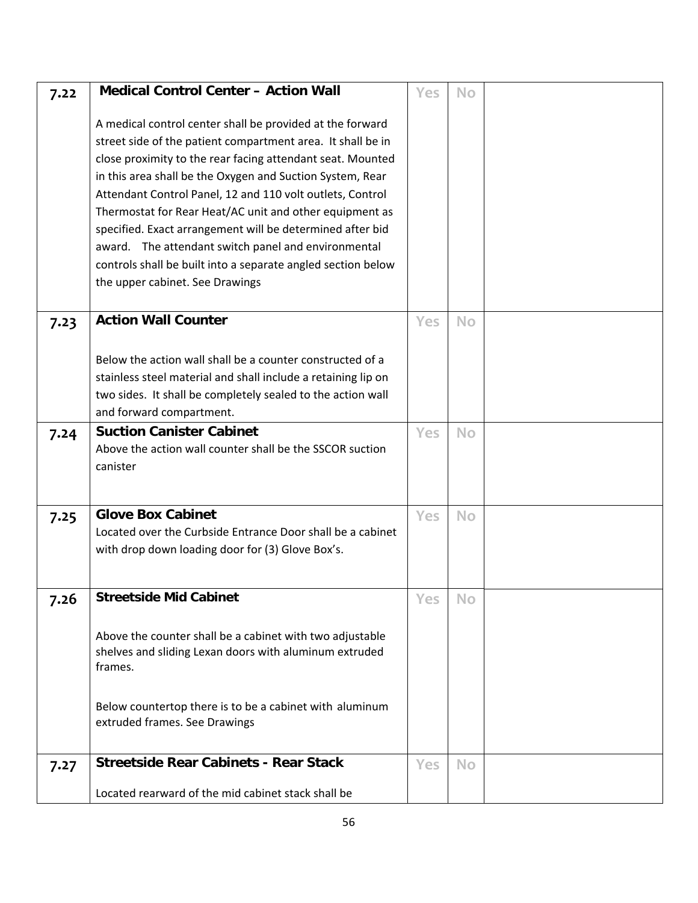| 7.22 | <b>Medical Control Center - Action Wall</b>                                                                                                                                                                                                         | Yes        | No        |  |
|------|-----------------------------------------------------------------------------------------------------------------------------------------------------------------------------------------------------------------------------------------------------|------------|-----------|--|
|      | A medical control center shall be provided at the forward<br>street side of the patient compartment area. It shall be in<br>close proximity to the rear facing attendant seat. Mounted<br>in this area shall be the Oxygen and Suction System, Rear |            |           |  |
|      | Attendant Control Panel, 12 and 110 volt outlets, Control<br>Thermostat for Rear Heat/AC unit and other equipment as                                                                                                                                |            |           |  |
|      | specified. Exact arrangement will be determined after bid                                                                                                                                                                                           |            |           |  |
|      | award. The attendant switch panel and environmental                                                                                                                                                                                                 |            |           |  |
|      | controls shall be built into a separate angled section below<br>the upper cabinet. See Drawings                                                                                                                                                     |            |           |  |
|      |                                                                                                                                                                                                                                                     |            |           |  |
| 7.23 | <b>Action Wall Counter</b>                                                                                                                                                                                                                          | <b>Yes</b> | <b>No</b> |  |
|      |                                                                                                                                                                                                                                                     |            |           |  |
|      | Below the action wall shall be a counter constructed of a<br>stainless steel material and shall include a retaining lip on                                                                                                                          |            |           |  |
|      | two sides. It shall be completely sealed to the action wall                                                                                                                                                                                         |            |           |  |
|      | and forward compartment.                                                                                                                                                                                                                            |            |           |  |
| 7.24 | <b>Suction Canister Cabinet</b>                                                                                                                                                                                                                     | <b>Yes</b> | <b>No</b> |  |
|      | Above the action wall counter shall be the SSCOR suction                                                                                                                                                                                            |            |           |  |
|      | canister                                                                                                                                                                                                                                            |            |           |  |
|      |                                                                                                                                                                                                                                                     |            |           |  |
| 7.25 | <b>Glove Box Cabinet</b>                                                                                                                                                                                                                            | Yes        | <b>No</b> |  |
|      | Located over the Curbside Entrance Door shall be a cabinet<br>with drop down loading door for (3) Glove Box's.                                                                                                                                      |            |           |  |
|      |                                                                                                                                                                                                                                                     |            |           |  |
| 7.26 | <b>Streetside Mid Cabinet</b>                                                                                                                                                                                                                       | Yes        | <b>No</b> |  |
|      |                                                                                                                                                                                                                                                     |            |           |  |
|      | Above the counter shall be a cabinet with two adjustable                                                                                                                                                                                            |            |           |  |
|      | shelves and sliding Lexan doors with aluminum extruded                                                                                                                                                                                              |            |           |  |
|      | frames.                                                                                                                                                                                                                                             |            |           |  |
|      | Below countertop there is to be a cabinet with aluminum                                                                                                                                                                                             |            |           |  |
|      | extruded frames. See Drawings                                                                                                                                                                                                                       |            |           |  |
|      |                                                                                                                                                                                                                                                     |            |           |  |
| 7.27 | <b>Streetside Rear Cabinets - Rear Stack</b>                                                                                                                                                                                                        | <b>Yes</b> | <b>No</b> |  |
|      | Located rearward of the mid cabinet stack shall be                                                                                                                                                                                                  |            |           |  |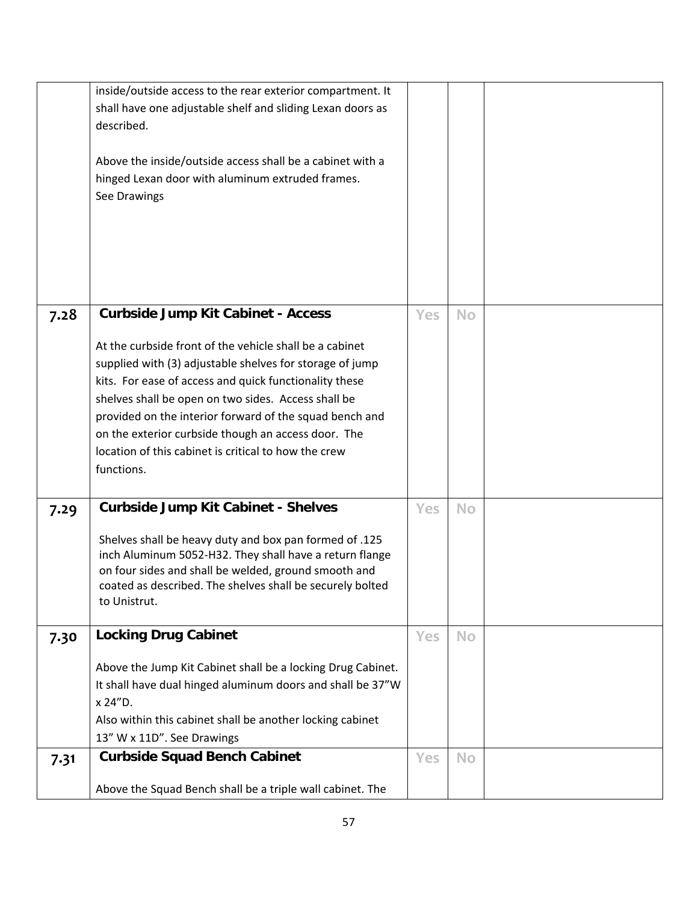|      | inside/outside access to the rear exterior compartment. It  |            |           |  |
|------|-------------------------------------------------------------|------------|-----------|--|
|      | shall have one adjustable shelf and sliding Lexan doors as  |            |           |  |
|      | described.                                                  |            |           |  |
|      |                                                             |            |           |  |
|      | Above the inside/outside access shall be a cabinet with a   |            |           |  |
|      |                                                             |            |           |  |
|      | hinged Lexan door with aluminum extruded frames.            |            |           |  |
|      | See Drawings                                                |            |           |  |
|      |                                                             |            |           |  |
|      |                                                             |            |           |  |
|      |                                                             |            |           |  |
|      |                                                             |            |           |  |
|      |                                                             |            |           |  |
|      |                                                             |            |           |  |
|      |                                                             |            |           |  |
| 7.28 | <b>Curbside Jump Kit Cabinet - Access</b>                   | <b>Yes</b> | <b>No</b> |  |
|      |                                                             |            |           |  |
|      | At the curbside front of the vehicle shall be a cabinet     |            |           |  |
|      | supplied with (3) adjustable shelves for storage of jump    |            |           |  |
|      | kits. For ease of access and quick functionality these      |            |           |  |
|      | shelves shall be open on two sides. Access shall be         |            |           |  |
|      | provided on the interior forward of the squad bench and     |            |           |  |
|      | on the exterior curbside though an access door. The         |            |           |  |
|      |                                                             |            |           |  |
|      | location of this cabinet is critical to how the crew        |            |           |  |
|      | functions.                                                  |            |           |  |
|      |                                                             |            |           |  |
| 7.29 | <b>Curbside Jump Kit Cabinet - Shelves</b>                  | Yes        | <b>No</b> |  |
|      |                                                             |            |           |  |
|      | Shelves shall be heavy duty and box pan formed of .125      |            |           |  |
|      | inch Aluminum 5052-H32. They shall have a return flange     |            |           |  |
|      | on four sides and shall be welded, ground smooth and        |            |           |  |
|      | coated as described. The shelves shall be securely bolted   |            |           |  |
|      | to Unistrut.                                                |            |           |  |
|      |                                                             |            |           |  |
|      | <b>Locking Drug Cabinet</b>                                 | <b>Yes</b> | <b>No</b> |  |
| 7.30 |                                                             |            |           |  |
|      | Above the Jump Kit Cabinet shall be a locking Drug Cabinet. |            |           |  |
|      | It shall have dual hinged aluminum doors and shall be 37"W  |            |           |  |
|      |                                                             |            |           |  |
|      | x 24"D.                                                     |            |           |  |
|      | Also within this cabinet shall be another locking cabinet   |            |           |  |
|      | 13" W x 11D". See Drawings                                  |            |           |  |
| 7.31 | <b>Curbside Squad Bench Cabinet</b>                         | <b>Yes</b> | <b>No</b> |  |
|      |                                                             |            |           |  |
|      | Above the Squad Bench shall be a triple wall cabinet. The   |            |           |  |
|      |                                                             |            |           |  |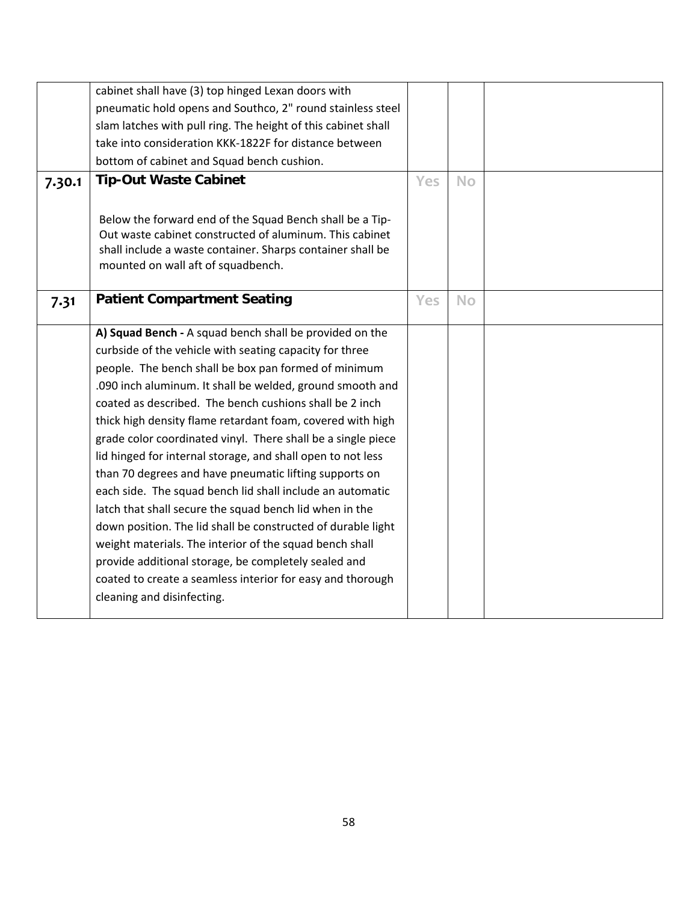|        | cabinet shall have (3) top hinged Lexan doors with<br>pneumatic hold opens and Southco, 2" round stainless steel<br>slam latches with pull ring. The height of this cabinet shall<br>take into consideration KKK-1822F for distance between<br>bottom of cabinet and Squad bench cushion.                                                                                                                                                                                                                                                                                                                                                                                                                                                                                                                                                                                                                                                                        |     |           |  |
|--------|------------------------------------------------------------------------------------------------------------------------------------------------------------------------------------------------------------------------------------------------------------------------------------------------------------------------------------------------------------------------------------------------------------------------------------------------------------------------------------------------------------------------------------------------------------------------------------------------------------------------------------------------------------------------------------------------------------------------------------------------------------------------------------------------------------------------------------------------------------------------------------------------------------------------------------------------------------------|-----|-----------|--|
| 7.30.1 | <b>Tip-Out Waste Cabinet</b><br>Below the forward end of the Squad Bench shall be a Tip-<br>Out waste cabinet constructed of aluminum. This cabinet<br>shall include a waste container. Sharps container shall be<br>mounted on wall aft of squadbench.                                                                                                                                                                                                                                                                                                                                                                                                                                                                                                                                                                                                                                                                                                          | Yes | <b>No</b> |  |
| 7.31   | <b>Patient Compartment Seating</b>                                                                                                                                                                                                                                                                                                                                                                                                                                                                                                                                                                                                                                                                                                                                                                                                                                                                                                                               | Yes | <b>No</b> |  |
|        | A) Squad Bench - A squad bench shall be provided on the<br>curbside of the vehicle with seating capacity for three<br>people. The bench shall be box pan formed of minimum<br>.090 inch aluminum. It shall be welded, ground smooth and<br>coated as described. The bench cushions shall be 2 inch<br>thick high density flame retardant foam, covered with high<br>grade color coordinated vinyl. There shall be a single piece<br>lid hinged for internal storage, and shall open to not less<br>than 70 degrees and have pneumatic lifting supports on<br>each side. The squad bench lid shall include an automatic<br>latch that shall secure the squad bench lid when in the<br>down position. The lid shall be constructed of durable light<br>weight materials. The interior of the squad bench shall<br>provide additional storage, be completely sealed and<br>coated to create a seamless interior for easy and thorough<br>cleaning and disinfecting. |     |           |  |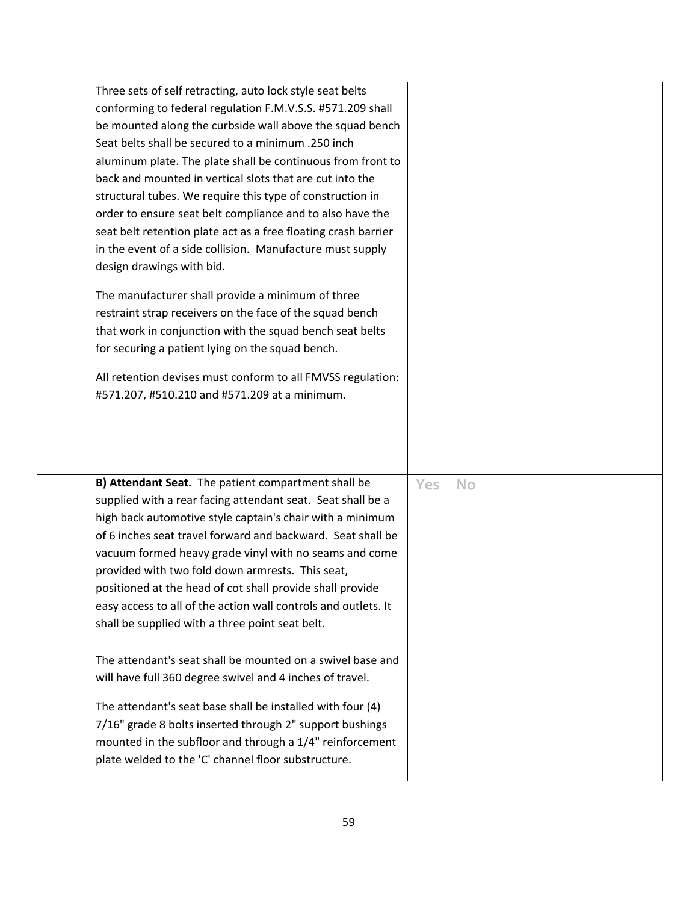| Three sets of self retracting, auto lock style seat belts      |     |           |  |
|----------------------------------------------------------------|-----|-----------|--|
| conforming to federal regulation F.M.V.S.S. #571.209 shall     |     |           |  |
| be mounted along the curbside wall above the squad bench       |     |           |  |
| Seat belts shall be secured to a minimum .250 inch             |     |           |  |
| aluminum plate. The plate shall be continuous from front to    |     |           |  |
| back and mounted in vertical slots that are cut into the       |     |           |  |
| structural tubes. We require this type of construction in      |     |           |  |
| order to ensure seat belt compliance and to also have the      |     |           |  |
| seat belt retention plate act as a free floating crash barrier |     |           |  |
| in the event of a side collision. Manufacture must supply      |     |           |  |
| design drawings with bid.                                      |     |           |  |
| The manufacturer shall provide a minimum of three              |     |           |  |
| restraint strap receivers on the face of the squad bench       |     |           |  |
| that work in conjunction with the squad bench seat belts       |     |           |  |
| for securing a patient lying on the squad bench.               |     |           |  |
|                                                                |     |           |  |
| All retention devises must conform to all FMVSS regulation:    |     |           |  |
| #571.207, #510.210 and #571.209 at a minimum.                  |     |           |  |
|                                                                |     |           |  |
|                                                                |     |           |  |
|                                                                |     |           |  |
|                                                                |     |           |  |
| B) Attendant Seat. The patient compartment shall be            | Yes | <b>No</b> |  |
| supplied with a rear facing attendant seat. Seat shall be a    |     |           |  |
| high back automotive style captain's chair with a minimum      |     |           |  |
| of 6 inches seat travel forward and backward. Seat shall be    |     |           |  |
| vacuum formed heavy grade vinyl with no seams and come         |     |           |  |
| provided with two fold down armrests. This seat,               |     |           |  |
| positioned at the head of cot shall provide shall provide      |     |           |  |
| easy access to all of the action wall controls and outlets. It |     |           |  |
| shall be supplied with a three point seat belt.                |     |           |  |
|                                                                |     |           |  |
| The attendant's seat shall be mounted on a swivel base and     |     |           |  |
| will have full 360 degree swivel and 4 inches of travel.       |     |           |  |
|                                                                |     |           |  |
| The attendant's seat base shall be installed with four (4)     |     |           |  |
| 7/16" grade 8 bolts inserted through 2" support bushings       |     |           |  |
| mounted in the subfloor and through a 1/4" reinforcement       |     |           |  |
| plate welded to the 'C' channel floor substructure.            |     |           |  |
|                                                                |     |           |  |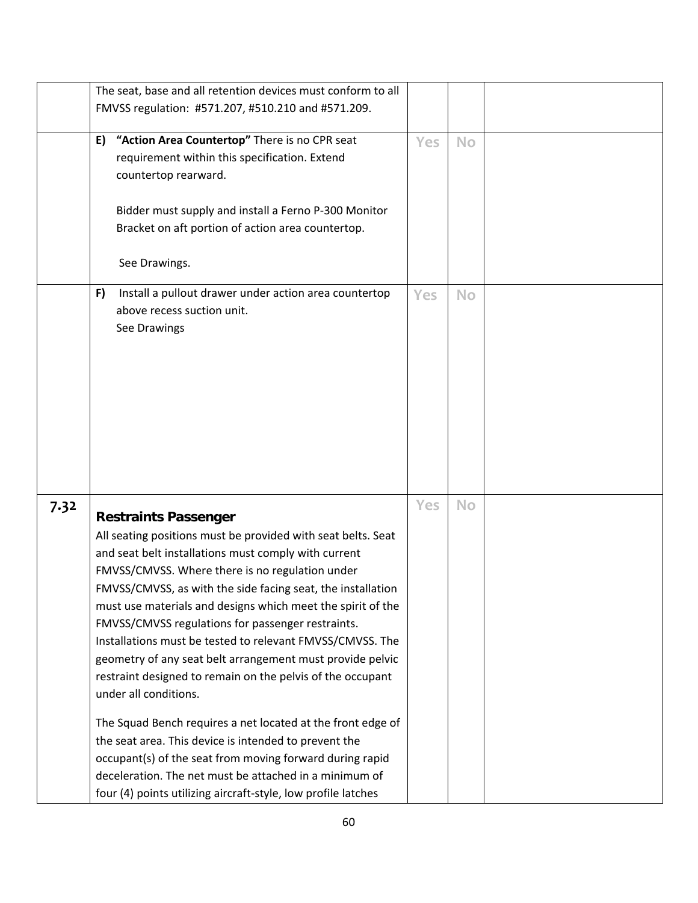|      | The seat, base and all retention devices must conform to all                                                                                                                                                                                                                                                                                                                                                                                                                                                                                                                                                                                                                                                                                                                                                                                                                                                              |     |           |  |
|------|---------------------------------------------------------------------------------------------------------------------------------------------------------------------------------------------------------------------------------------------------------------------------------------------------------------------------------------------------------------------------------------------------------------------------------------------------------------------------------------------------------------------------------------------------------------------------------------------------------------------------------------------------------------------------------------------------------------------------------------------------------------------------------------------------------------------------------------------------------------------------------------------------------------------------|-----|-----------|--|
|      | FMVSS regulation: #571.207, #510.210 and #571.209.                                                                                                                                                                                                                                                                                                                                                                                                                                                                                                                                                                                                                                                                                                                                                                                                                                                                        |     |           |  |
|      | "Action Area Countertop" There is no CPR seat<br>E)<br>requirement within this specification. Extend<br>countertop rearward.<br>Bidder must supply and install a Ferno P-300 Monitor<br>Bracket on aft portion of action area countertop.<br>See Drawings.                                                                                                                                                                                                                                                                                                                                                                                                                                                                                                                                                                                                                                                                | Yes | <b>No</b> |  |
|      | Install a pullout drawer under action area countertop<br>F)<br>above recess suction unit.<br>See Drawings                                                                                                                                                                                                                                                                                                                                                                                                                                                                                                                                                                                                                                                                                                                                                                                                                 | Yes | <b>No</b> |  |
| 7.32 | <b>Restraints Passenger</b><br>All seating positions must be provided with seat belts. Seat<br>and seat belt installations must comply with current<br>FMVSS/CMVSS. Where there is no regulation under<br>FMVSS/CMVSS, as with the side facing seat, the installation<br>must use materials and designs which meet the spirit of the<br>FMVSS/CMVSS regulations for passenger restraints.<br>Installations must be tested to relevant FMVSS/CMVSS. The<br>geometry of any seat belt arrangement must provide pelvic<br>restraint designed to remain on the pelvis of the occupant<br>under all conditions.<br>The Squad Bench requires a net located at the front edge of<br>the seat area. This device is intended to prevent the<br>occupant(s) of the seat from moving forward during rapid<br>deceleration. The net must be attached in a minimum of<br>four (4) points utilizing aircraft-style, low profile latches | Yes | <b>No</b> |  |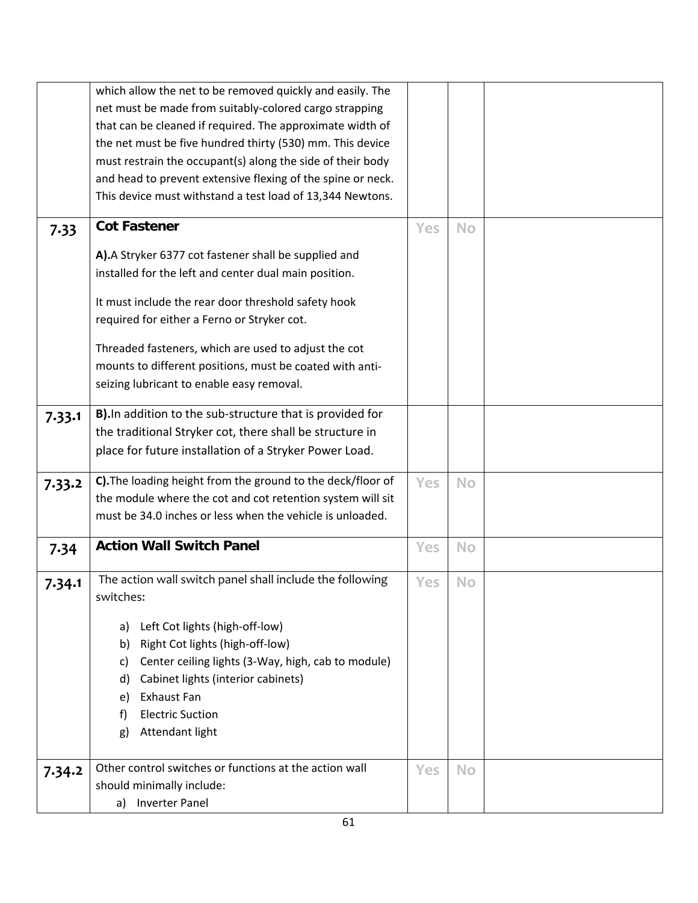|        | which allow the net to be removed quickly and easily. The   |     |           |  |
|--------|-------------------------------------------------------------|-----|-----------|--|
|        | net must be made from suitably-colored cargo strapping      |     |           |  |
|        | that can be cleaned if required. The approximate width of   |     |           |  |
|        | the net must be five hundred thirty (530) mm. This device   |     |           |  |
|        | must restrain the occupant(s) along the side of their body  |     |           |  |
|        | and head to prevent extensive flexing of the spine or neck. |     |           |  |
|        | This device must withstand a test load of 13,344 Newtons.   |     |           |  |
|        |                                                             |     |           |  |
| 7.33   | <b>Cot Fastener</b>                                         | Yes | <b>No</b> |  |
|        | A).A Stryker 6377 cot fastener shall be supplied and        |     |           |  |
|        | installed for the left and center dual main position.       |     |           |  |
|        |                                                             |     |           |  |
|        | It must include the rear door threshold safety hook         |     |           |  |
|        | required for either a Ferno or Stryker cot.                 |     |           |  |
|        | Threaded fasteners, which are used to adjust the cot        |     |           |  |
|        | mounts to different positions, must be coated with anti-    |     |           |  |
|        | seizing lubricant to enable easy removal.                   |     |           |  |
|        |                                                             |     |           |  |
| 7.33.1 | B). In addition to the sub-structure that is provided for   |     |           |  |
|        | the traditional Stryker cot, there shall be structure in    |     |           |  |
|        | place for future installation of a Stryker Power Load.      |     |           |  |
|        |                                                             |     |           |  |
| 7.33.2 | C). The loading height from the ground to the deck/floor of | Yes | <b>No</b> |  |
|        | the module where the cot and cot retention system will sit  |     |           |  |
|        | must be 34.0 inches or less when the vehicle is unloaded.   |     |           |  |
| 7.34   | <b>Action Wall Switch Panel</b>                             | Yes | <b>No</b> |  |
|        |                                                             |     |           |  |
| 7.34.1 | The action wall switch panel shall include the following    | Yes | <b>No</b> |  |
|        | switches:                                                   |     |           |  |
|        | Left Cot lights (high-off-low)<br>a)                        |     |           |  |
|        | Right Cot lights (high-off-low)<br>b)                       |     |           |  |
|        | Center ceiling lights (3-Way, high, cab to module)<br>C)    |     |           |  |
|        | Cabinet lights (interior cabinets)<br>d)                    |     |           |  |
|        | Exhaust Fan<br>e)                                           |     |           |  |
|        | <b>Electric Suction</b><br>f)                               |     |           |  |
|        | Attendant light<br>g)                                       |     |           |  |
|        |                                                             |     |           |  |
|        | Other control switches or functions at the action wall      | Yes | <b>No</b> |  |
| 7.34.2 | should minimally include:                                   |     |           |  |
|        | a) Inverter Panel                                           |     |           |  |
|        |                                                             |     |           |  |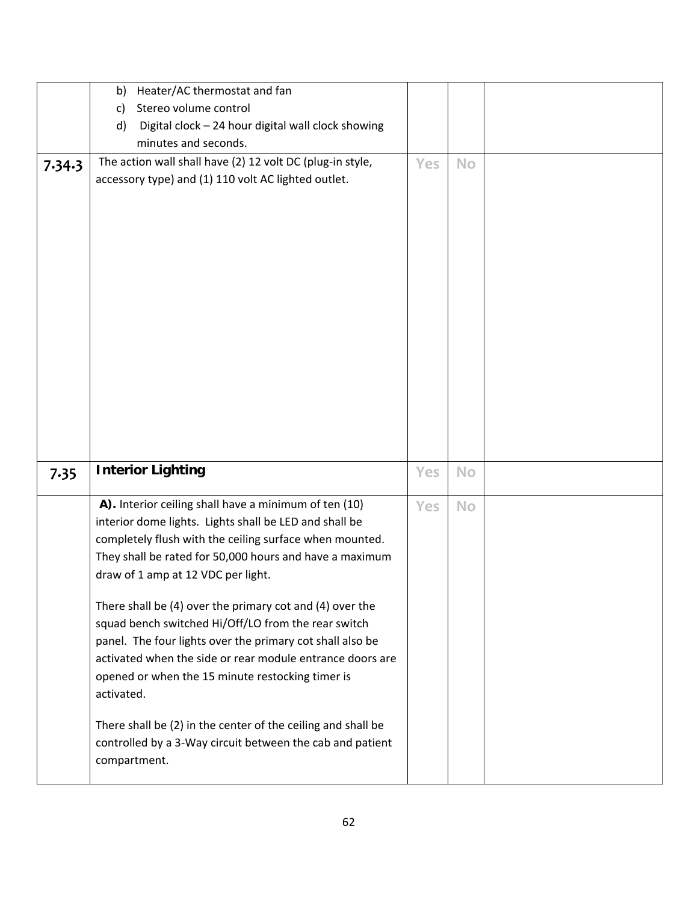|        | Heater/AC thermostat and fan<br>b)                           |     |           |  |
|--------|--------------------------------------------------------------|-----|-----------|--|
|        | Stereo volume control<br>$\mathsf{C}$                        |     |           |  |
|        | Digital clock - 24 hour digital wall clock showing<br>d)     |     |           |  |
|        | minutes and seconds.                                         |     |           |  |
| 7.34.3 | The action wall shall have (2) 12 volt DC (plug-in style,    | Yes | <b>No</b> |  |
|        | accessory type) and (1) 110 volt AC lighted outlet.          |     |           |  |
|        |                                                              |     |           |  |
|        |                                                              |     |           |  |
|        |                                                              |     |           |  |
|        |                                                              |     |           |  |
|        |                                                              |     |           |  |
|        |                                                              |     |           |  |
|        |                                                              |     |           |  |
|        |                                                              |     |           |  |
|        |                                                              |     |           |  |
|        |                                                              |     |           |  |
|        |                                                              |     |           |  |
|        |                                                              |     |           |  |
|        |                                                              |     |           |  |
|        |                                                              |     |           |  |
|        |                                                              |     |           |  |
|        |                                                              |     |           |  |
| 7.35   | <b>Interior Lighting</b>                                     | Yes | <b>No</b> |  |
|        |                                                              |     |           |  |
|        | A). Interior ceiling shall have a minimum of ten (10)        | Yes | <b>No</b> |  |
|        | interior dome lights. Lights shall be LED and shall be       |     |           |  |
|        | completely flush with the ceiling surface when mounted.      |     |           |  |
|        | They shall be rated for 50,000 hours and have a maximum      |     |           |  |
|        | draw of 1 amp at 12 VDC per light.                           |     |           |  |
|        | There shall be (4) over the primary cot and (4) over the     |     |           |  |
|        | squad bench switched Hi/Off/LO from the rear switch          |     |           |  |
|        | panel. The four lights over the primary cot shall also be    |     |           |  |
|        | activated when the side or rear module entrance doors are    |     |           |  |
|        | opened or when the 15 minute restocking timer is             |     |           |  |
|        | activated.                                                   |     |           |  |
|        |                                                              |     |           |  |
|        | There shall be (2) in the center of the ceiling and shall be |     |           |  |
|        | controlled by a 3-Way circuit between the cab and patient    |     |           |  |
|        | compartment.                                                 |     |           |  |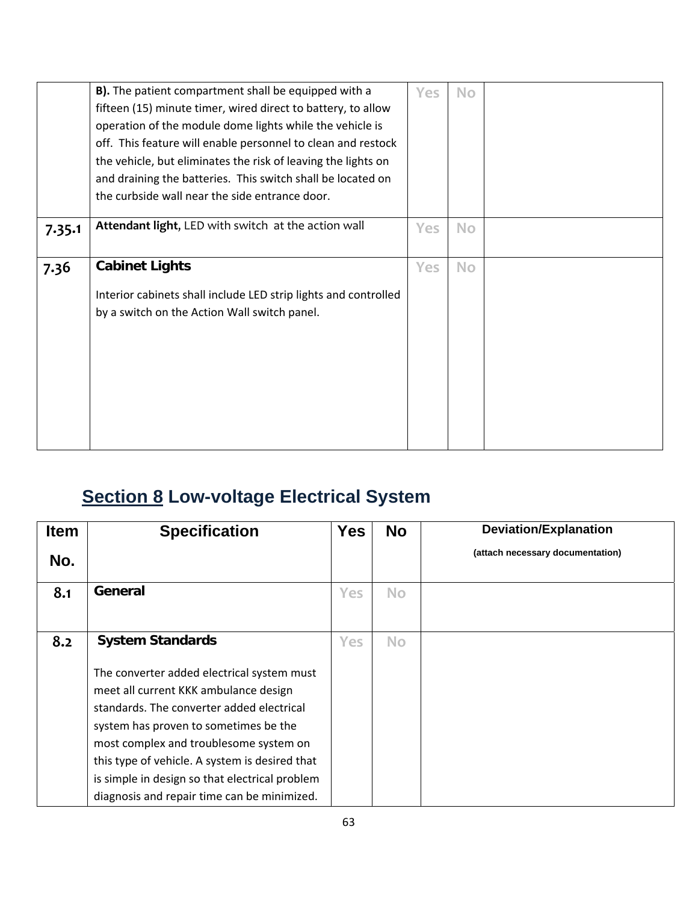|        | B). The patient compartment shall be equipped with a<br>fifteen (15) minute timer, wired direct to battery, to allow<br>operation of the module dome lights while the vehicle is<br>off. This feature will enable personnel to clean and restock<br>the vehicle, but eliminates the risk of leaving the lights on<br>and draining the batteries. This switch shall be located on<br>the curbside wall near the side entrance door. | Yes | <b>No</b> |  |
|--------|------------------------------------------------------------------------------------------------------------------------------------------------------------------------------------------------------------------------------------------------------------------------------------------------------------------------------------------------------------------------------------------------------------------------------------|-----|-----------|--|
| 7.35.1 | Attendant light, LED with switch at the action wall                                                                                                                                                                                                                                                                                                                                                                                | Yes | <b>No</b> |  |
|        |                                                                                                                                                                                                                                                                                                                                                                                                                                    |     |           |  |
| 7.36   | <b>Cabinet Lights</b>                                                                                                                                                                                                                                                                                                                                                                                                              | Yes | <b>No</b> |  |
|        | Interior cabinets shall include LED strip lights and controlled<br>by a switch on the Action Wall switch panel.                                                                                                                                                                                                                                                                                                                    |     |           |  |
|        |                                                                                                                                                                                                                                                                                                                                                                                                                                    |     |           |  |
|        |                                                                                                                                                                                                                                                                                                                                                                                                                                    |     |           |  |
|        |                                                                                                                                                                                                                                                                                                                                                                                                                                    |     |           |  |

## **Section 8 Low-voltage Electrical System**

| <b>Item</b> | <b>Specification</b>                                                                                                                                                                                                                                                                                                                                                   | <b>Yes</b> | <b>No</b> | <b>Deviation/Explanation</b>     |
|-------------|------------------------------------------------------------------------------------------------------------------------------------------------------------------------------------------------------------------------------------------------------------------------------------------------------------------------------------------------------------------------|------------|-----------|----------------------------------|
| No.         |                                                                                                                                                                                                                                                                                                                                                                        |            |           | (attach necessary documentation) |
| 8.1         | General                                                                                                                                                                                                                                                                                                                                                                | Yes        | <b>No</b> |                                  |
| 8.2         | <b>System Standards</b>                                                                                                                                                                                                                                                                                                                                                | <b>Yes</b> | <b>No</b> |                                  |
|             | The converter added electrical system must<br>meet all current KKK ambulance design<br>standards. The converter added electrical<br>system has proven to sometimes be the<br>most complex and troublesome system on<br>this type of vehicle. A system is desired that<br>is simple in design so that electrical problem<br>diagnosis and repair time can be minimized. |            |           |                                  |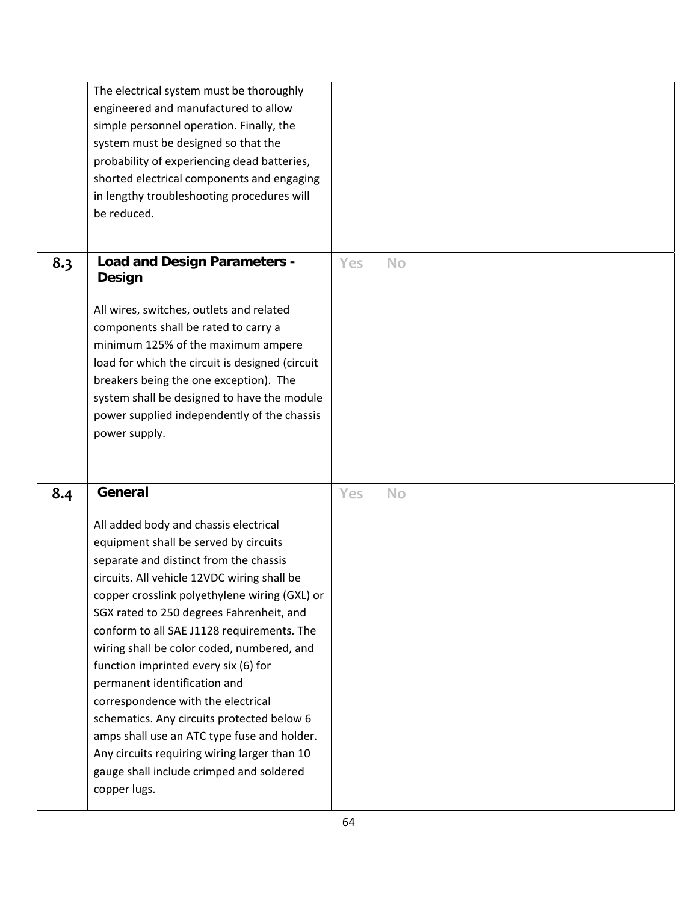|     | The electrical system must be thoroughly<br>engineered and manufactured to allow<br>simple personnel operation. Finally, the<br>system must be designed so that the<br>probability of experiencing dead batteries,<br>shorted electrical components and engaging<br>in lengthy troubleshooting procedures will<br>be reduced.                                                                                                                                                                                                                                                                                                                                                                      |            |           |  |
|-----|----------------------------------------------------------------------------------------------------------------------------------------------------------------------------------------------------------------------------------------------------------------------------------------------------------------------------------------------------------------------------------------------------------------------------------------------------------------------------------------------------------------------------------------------------------------------------------------------------------------------------------------------------------------------------------------------------|------------|-----------|--|
| 8.3 | <b>Load and Design Parameters -</b><br>Design<br>All wires, switches, outlets and related<br>components shall be rated to carry a<br>minimum 125% of the maximum ampere<br>load for which the circuit is designed (circuit<br>breakers being the one exception). The<br>system shall be designed to have the module<br>power supplied independently of the chassis<br>power supply.                                                                                                                                                                                                                                                                                                                | Yes        | <b>No</b> |  |
| 8.4 | General<br>All added body and chassis electrical<br>equipment shall be served by circuits<br>separate and distinct from the chassis<br>circuits. All vehicle 12VDC wiring shall be<br>copper crosslink polyethylene wiring (GXL) or<br>SGX rated to 250 degrees Fahrenheit, and<br>conform to all SAE J1128 requirements. The<br>wiring shall be color coded, numbered, and<br>function imprinted every six (6) for<br>permanent identification and<br>correspondence with the electrical<br>schematics. Any circuits protected below 6<br>amps shall use an ATC type fuse and holder.<br>Any circuits requiring wiring larger than 10<br>gauge shall include crimped and soldered<br>copper lugs. | <b>Yes</b> | <b>No</b> |  |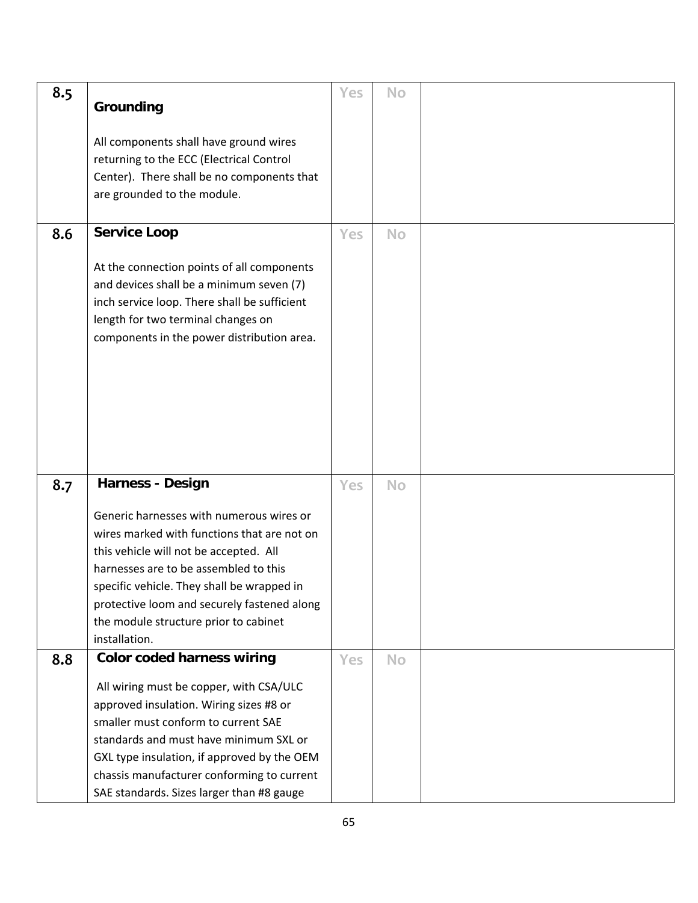| 8.5 | Grounding                                                                                                                                                                                                                                                                                                                         | Yes        | <b>No</b> |  |
|-----|-----------------------------------------------------------------------------------------------------------------------------------------------------------------------------------------------------------------------------------------------------------------------------------------------------------------------------------|------------|-----------|--|
|     | All components shall have ground wires<br>returning to the ECC (Electrical Control<br>Center). There shall be no components that<br>are grounded to the module.                                                                                                                                                                   |            |           |  |
| 8.6 | <b>Service Loop</b>                                                                                                                                                                                                                                                                                                               | <b>Yes</b> | <b>No</b> |  |
|     | At the connection points of all components<br>and devices shall be a minimum seven (7)<br>inch service loop. There shall be sufficient<br>length for two terminal changes on<br>components in the power distribution area.                                                                                                        |            |           |  |
| 8.7 | <b>Harness - Design</b>                                                                                                                                                                                                                                                                                                           | <b>Yes</b> | <b>No</b> |  |
|     | Generic harnesses with numerous wires or<br>wires marked with functions that are not on<br>this vehicle will not be accepted. All<br>harnesses are to be assembled to this<br>specific vehicle. They shall be wrapped in<br>protective loom and securely fastened along<br>the module structure prior to cabinet<br>installation. |            |           |  |
| 8.8 | <b>Color coded harness wiring</b>                                                                                                                                                                                                                                                                                                 | Yes        | <b>No</b> |  |
|     | All wiring must be copper, with CSA/ULC<br>approved insulation. Wiring sizes #8 or<br>smaller must conform to current SAE<br>standards and must have minimum SXL or<br>GXL type insulation, if approved by the OEM<br>chassis manufacturer conforming to current<br>SAE standards. Sizes larger than #8 gauge                     |            |           |  |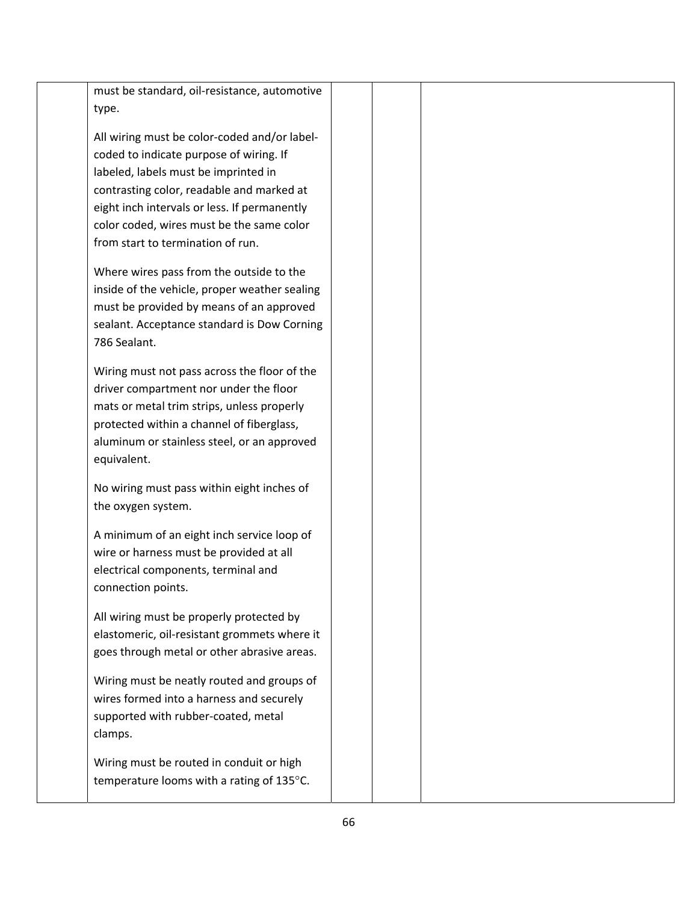| must be standard, oil-resistance, automotive  |  |  |  |
|-----------------------------------------------|--|--|--|
| type.                                         |  |  |  |
| All wiring must be color-coded and/or label-  |  |  |  |
| coded to indicate purpose of wiring. If       |  |  |  |
| labeled, labels must be imprinted in          |  |  |  |
| contrasting color, readable and marked at     |  |  |  |
| eight inch intervals or less. If permanently  |  |  |  |
| color coded, wires must be the same color     |  |  |  |
| from start to termination of run.             |  |  |  |
| Where wires pass from the outside to the      |  |  |  |
| inside of the vehicle, proper weather sealing |  |  |  |
| must be provided by means of an approved      |  |  |  |
| sealant. Acceptance standard is Dow Corning   |  |  |  |
| 786 Sealant.                                  |  |  |  |
| Wiring must not pass across the floor of the  |  |  |  |
| driver compartment nor under the floor        |  |  |  |
| mats or metal trim strips, unless properly    |  |  |  |
| protected within a channel of fiberglass,     |  |  |  |
| aluminum or stainless steel, or an approved   |  |  |  |
| equivalent.                                   |  |  |  |
| No wiring must pass within eight inches of    |  |  |  |
| the oxygen system.                            |  |  |  |
|                                               |  |  |  |
| A minimum of an eight inch service loop of    |  |  |  |
| wire or harness must be provided at all       |  |  |  |
| electrical components, terminal and           |  |  |  |
| connection points.                            |  |  |  |
| All wiring must be properly protected by      |  |  |  |
| elastomeric, oil-resistant grommets where it  |  |  |  |
| goes through metal or other abrasive areas.   |  |  |  |
| Wiring must be neatly routed and groups of    |  |  |  |
| wires formed into a harness and securely      |  |  |  |
| supported with rubber-coated, metal           |  |  |  |
| clamps.                                       |  |  |  |
| Wiring must be routed in conduit or high      |  |  |  |
| temperature looms with a rating of 135°C.     |  |  |  |
|                                               |  |  |  |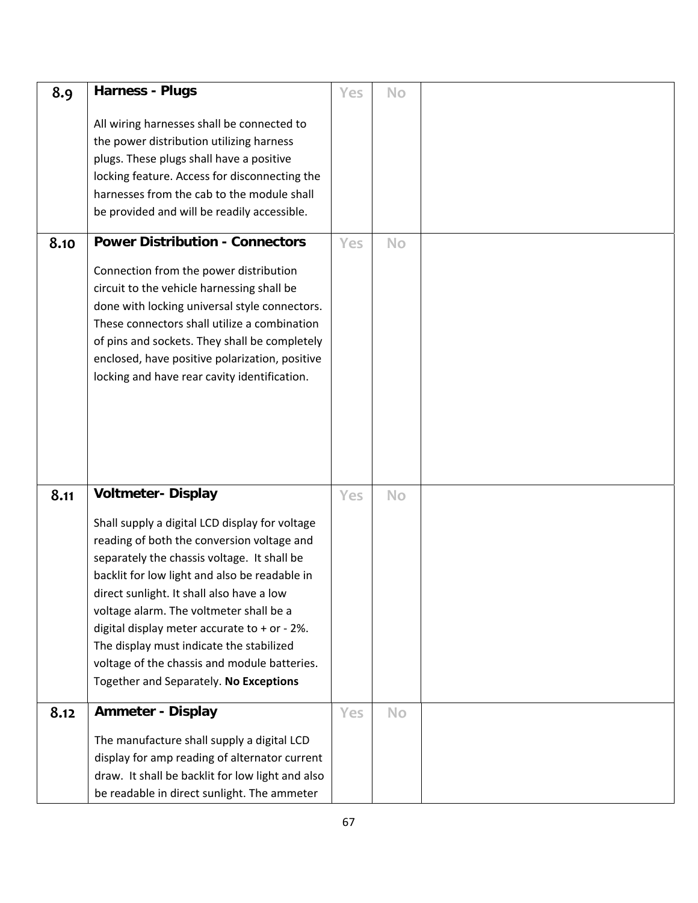| 8.9  | <b>Harness - Plugs</b>                                                                                                                                                                                                                                                                                                                                                                                                                                                     | Yes | No        |  |
|------|----------------------------------------------------------------------------------------------------------------------------------------------------------------------------------------------------------------------------------------------------------------------------------------------------------------------------------------------------------------------------------------------------------------------------------------------------------------------------|-----|-----------|--|
|      | All wiring harnesses shall be connected to<br>the power distribution utilizing harness<br>plugs. These plugs shall have a positive<br>locking feature. Access for disconnecting the<br>harnesses from the cab to the module shall<br>be provided and will be readily accessible.                                                                                                                                                                                           |     |           |  |
| 8.10 | <b>Power Distribution - Connectors</b>                                                                                                                                                                                                                                                                                                                                                                                                                                     | Yes | No        |  |
|      | Connection from the power distribution<br>circuit to the vehicle harnessing shall be<br>done with locking universal style connectors.<br>These connectors shall utilize a combination<br>of pins and sockets. They shall be completely<br>enclosed, have positive polarization, positive<br>locking and have rear cavity identification.                                                                                                                                   |     |           |  |
| 8.11 | <b>Voltmeter- Display</b>                                                                                                                                                                                                                                                                                                                                                                                                                                                  | Yes | <b>No</b> |  |
|      | Shall supply a digital LCD display for voltage<br>reading of both the conversion voltage and<br>separately the chassis voltage. It shall be<br>backlit for low light and also be readable in<br>direct sunlight. It shall also have a low<br>voltage alarm. The voltmeter shall be a<br>digital display meter accurate to + or - 2%.<br>The display must indicate the stabilized<br>voltage of the chassis and module batteries.<br>Together and Separately. No Exceptions |     |           |  |
| 8.12 | <b>Ammeter - Display</b>                                                                                                                                                                                                                                                                                                                                                                                                                                                   | Yes | <b>No</b> |  |
|      | The manufacture shall supply a digital LCD<br>display for amp reading of alternator current<br>draw. It shall be backlit for low light and also<br>be readable in direct sunlight. The ammeter                                                                                                                                                                                                                                                                             |     |           |  |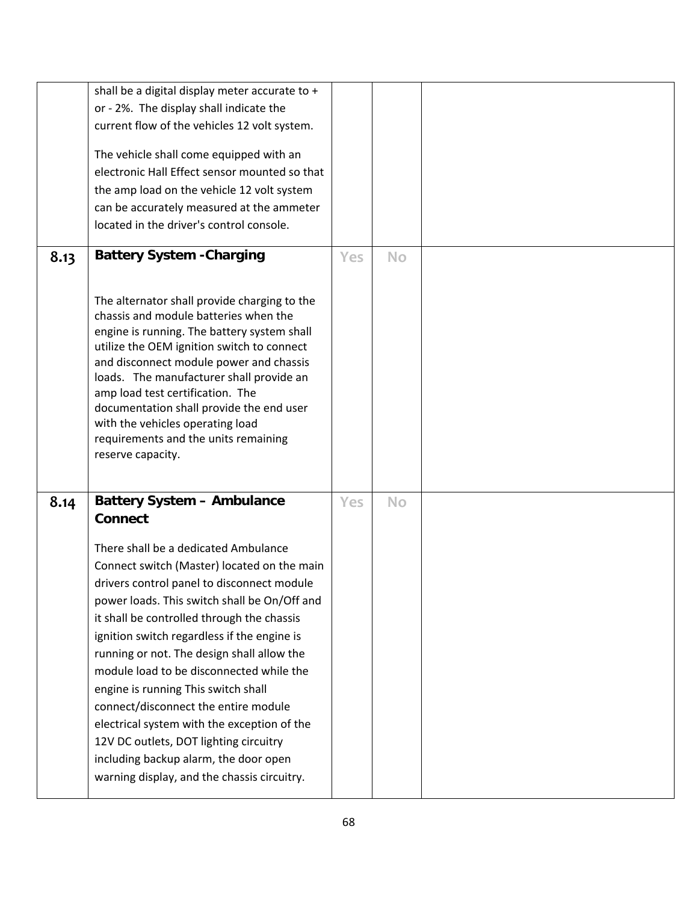|      | shall be a digital display meter accurate to +<br>or - 2%. The display shall indicate the<br>current flow of the vehicles 12 volt system.<br>The vehicle shall come equipped with an<br>electronic Hall Effect sensor mounted so that<br>the amp load on the vehicle 12 volt system<br>can be accurately measured at the ammeter<br>located in the driver's control console.                                                                                                                                                                                                                                                                                                                    |     |           |  |
|------|-------------------------------------------------------------------------------------------------------------------------------------------------------------------------------------------------------------------------------------------------------------------------------------------------------------------------------------------------------------------------------------------------------------------------------------------------------------------------------------------------------------------------------------------------------------------------------------------------------------------------------------------------------------------------------------------------|-----|-----------|--|
| 8.13 | <b>Battery System - Charging</b><br>The alternator shall provide charging to the<br>chassis and module batteries when the<br>engine is running. The battery system shall<br>utilize the OEM ignition switch to connect<br>and disconnect module power and chassis<br>loads. The manufacturer shall provide an<br>amp load test certification. The<br>documentation shall provide the end user<br>with the vehicles operating load<br>requirements and the units remaining<br>reserve capacity.                                                                                                                                                                                                  | Yes | <b>No</b> |  |
| 8.14 | <b>Battery System - Ambulance</b><br><b>Connect</b><br>There shall be a dedicated Ambulance<br>Connect switch (Master) located on the main<br>drivers control panel to disconnect module<br>power loads. This switch shall be On/Off and<br>it shall be controlled through the chassis<br>ignition switch regardless if the engine is<br>running or not. The design shall allow the<br>module load to be disconnected while the<br>engine is running This switch shall<br>connect/disconnect the entire module<br>electrical system with the exception of the<br>12V DC outlets, DOT lighting circuitry<br>including backup alarm, the door open<br>warning display, and the chassis circuitry. | Yes | <b>No</b> |  |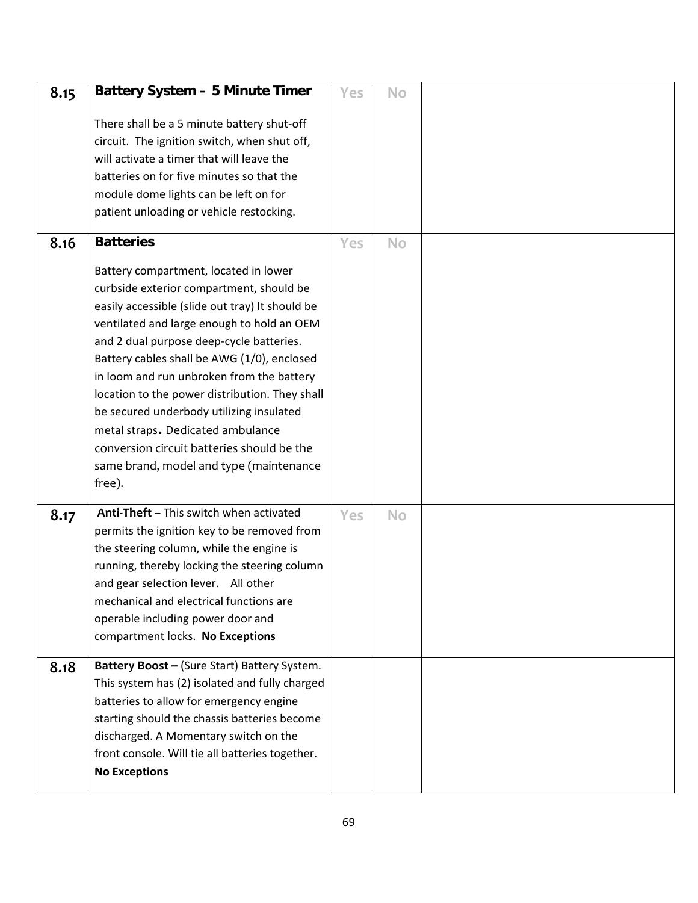| 8.15 | <b>Battery System - 5 Minute Timer</b>                                                                                                                                                                                                                                                                                                                                                                                                                                                                                                                           | Yes | <b>No</b> |  |
|------|------------------------------------------------------------------------------------------------------------------------------------------------------------------------------------------------------------------------------------------------------------------------------------------------------------------------------------------------------------------------------------------------------------------------------------------------------------------------------------------------------------------------------------------------------------------|-----|-----------|--|
|      | There shall be a 5 minute battery shut-off<br>circuit. The ignition switch, when shut off,<br>will activate a timer that will leave the<br>batteries on for five minutes so that the<br>module dome lights can be left on for<br>patient unloading or vehicle restocking.                                                                                                                                                                                                                                                                                        |     |           |  |
| 8.16 | <b>Batteries</b>                                                                                                                                                                                                                                                                                                                                                                                                                                                                                                                                                 | Yes | <b>No</b> |  |
|      | Battery compartment, located in lower<br>curbside exterior compartment, should be<br>easily accessible (slide out tray) It should be<br>ventilated and large enough to hold an OEM<br>and 2 dual purpose deep-cycle batteries.<br>Battery cables shall be AWG (1/0), enclosed<br>in loom and run unbroken from the battery<br>location to the power distribution. They shall<br>be secured underbody utilizing insulated<br>metal straps. Dedicated ambulance<br>conversion circuit batteries should be the<br>same brand, model and type (maintenance<br>free). |     |           |  |
| 8.17 | Anti-Theft - This switch when activated<br>permits the ignition key to be removed from<br>the steering column, while the engine is<br>running, thereby locking the steering column<br>and gear selection lever. All other<br>mechanical and electrical functions are<br>operable including power door and<br>compartment locks. No Exceptions                                                                                                                                                                                                                    | Yes | No        |  |
| 8.18 | Battery Boost - (Sure Start) Battery System.<br>This system has (2) isolated and fully charged<br>batteries to allow for emergency engine<br>starting should the chassis batteries become<br>discharged. A Momentary switch on the<br>front console. Will tie all batteries together.<br><b>No Exceptions</b>                                                                                                                                                                                                                                                    |     |           |  |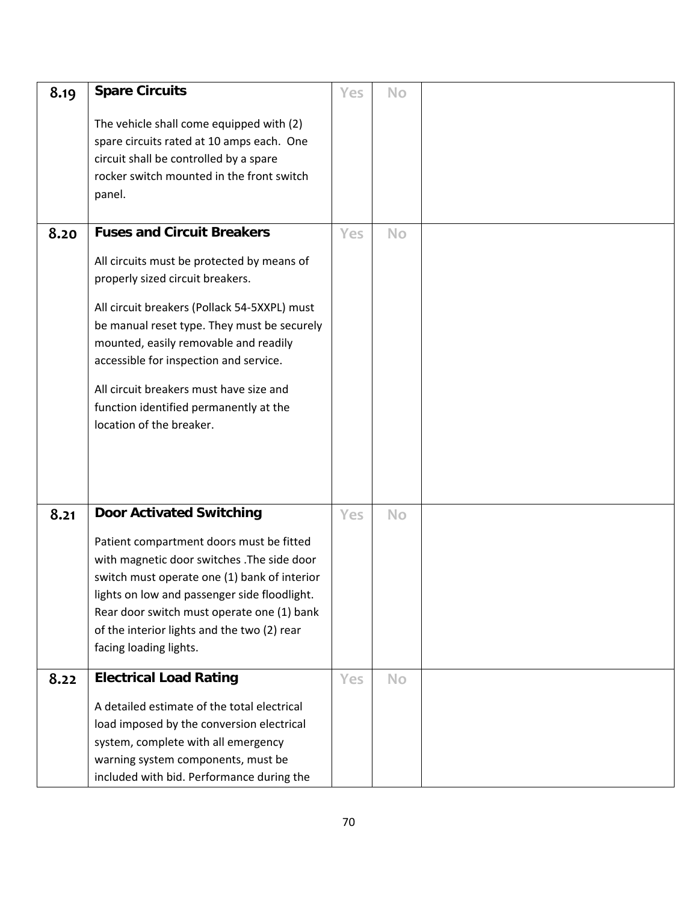| 8.19 | <b>Spare Circuits</b>                                                                                                                                                                                                                                                                                                                                                             | Yes | No        |  |
|------|-----------------------------------------------------------------------------------------------------------------------------------------------------------------------------------------------------------------------------------------------------------------------------------------------------------------------------------------------------------------------------------|-----|-----------|--|
|      | The vehicle shall come equipped with (2)<br>spare circuits rated at 10 amps each. One<br>circuit shall be controlled by a spare<br>rocker switch mounted in the front switch<br>panel.                                                                                                                                                                                            |     |           |  |
| 8.20 | <b>Fuses and Circuit Breakers</b>                                                                                                                                                                                                                                                                                                                                                 | Yes | No        |  |
|      | All circuits must be protected by means of<br>properly sized circuit breakers.<br>All circuit breakers (Pollack 54-5XXPL) must<br>be manual reset type. They must be securely<br>mounted, easily removable and readily<br>accessible for inspection and service.<br>All circuit breakers must have size and<br>function identified permanently at the<br>location of the breaker. |     |           |  |
| 8.21 | <b>Door Activated Switching</b>                                                                                                                                                                                                                                                                                                                                                   | Yes | <b>No</b> |  |
|      | Patient compartment doors must be fitted<br>with magnetic door switches . The side door<br>switch must operate one (1) bank of interior<br>lights on low and passenger side floodlight.<br>Rear door switch must operate one (1) bank<br>of the interior lights and the two (2) rear<br>facing loading lights.                                                                    |     |           |  |
| 8.22 | <b>Electrical Load Rating</b>                                                                                                                                                                                                                                                                                                                                                     | Yes | No        |  |
|      | A detailed estimate of the total electrical<br>load imposed by the conversion electrical<br>system, complete with all emergency<br>warning system components, must be<br>included with bid. Performance during the                                                                                                                                                                |     |           |  |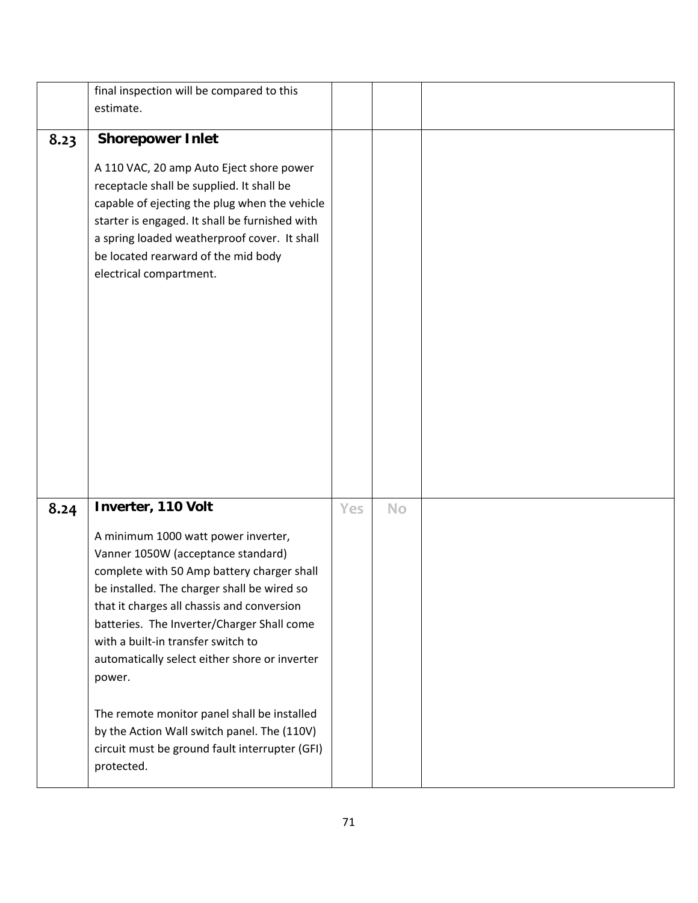|      | final inspection will be compared to this      |     |           |  |
|------|------------------------------------------------|-----|-----------|--|
|      | estimate.                                      |     |           |  |
|      |                                                |     |           |  |
| 8.23 | <b>Shorepower Inlet</b>                        |     |           |  |
|      | A 110 VAC, 20 amp Auto Eject shore power       |     |           |  |
|      | receptacle shall be supplied. It shall be      |     |           |  |
|      | capable of ejecting the plug when the vehicle  |     |           |  |
|      |                                                |     |           |  |
|      | starter is engaged. It shall be furnished with |     |           |  |
|      | a spring loaded weatherproof cover. It shall   |     |           |  |
|      | be located rearward of the mid body            |     |           |  |
|      | electrical compartment.                        |     |           |  |
|      |                                                |     |           |  |
|      |                                                |     |           |  |
|      |                                                |     |           |  |
|      |                                                |     |           |  |
|      |                                                |     |           |  |
|      |                                                |     |           |  |
|      |                                                |     |           |  |
|      |                                                |     |           |  |
|      |                                                |     |           |  |
|      |                                                |     |           |  |
|      |                                                |     |           |  |
|      |                                                |     |           |  |
| 8.24 | Inverter, 110 Volt                             | Yes | <b>No</b> |  |
|      | A minimum 1000 watt power inverter,            |     |           |  |
|      | Vanner 1050W (acceptance standard)             |     |           |  |
|      | complete with 50 Amp battery charger shall     |     |           |  |
|      | be installed. The charger shall be wired so    |     |           |  |
|      | that it charges all chassis and conversion     |     |           |  |
|      | batteries. The Inverter/Charger Shall come     |     |           |  |
|      | with a built-in transfer switch to             |     |           |  |
|      | automatically select either shore or inverter  |     |           |  |
|      | power.                                         |     |           |  |
|      |                                                |     |           |  |
|      | The remote monitor panel shall be installed    |     |           |  |
|      | by the Action Wall switch panel. The (110V)    |     |           |  |
|      | circuit must be ground fault interrupter (GFI) |     |           |  |
|      | protected.                                     |     |           |  |
|      |                                                |     |           |  |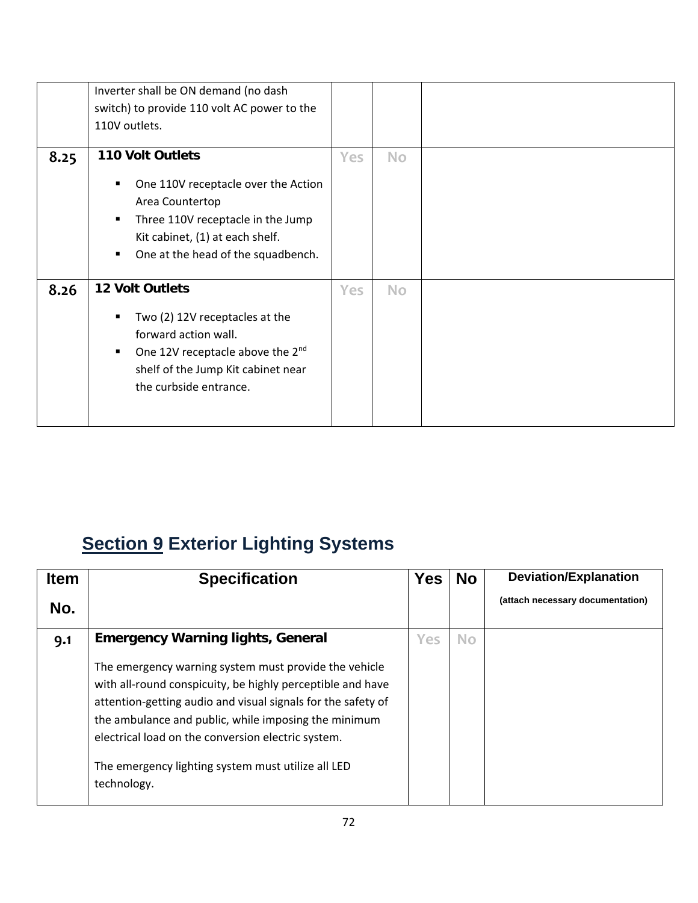|      | Inverter shall be ON demand (no dash<br>switch) to provide 110 volt AC power to the<br>110V outlets.                                                                                                           |            |           |  |
|------|----------------------------------------------------------------------------------------------------------------------------------------------------------------------------------------------------------------|------------|-----------|--|
| 8.25 | <b>110 Volt Outlets</b><br>One 110V receptacle over the Action<br>٠<br>Area Countertop<br>Three 110V receptacle in the Jump<br>٠<br>Kit cabinet, (1) at each shelf.<br>One at the head of the squadbench.<br>٠ | Yes        | <b>No</b> |  |
| 8.26 | 12 Volt Outlets<br>Two (2) 12V receptacles at the<br>п<br>forward action wall.<br>One 12V receptacle above the 2 <sup>nd</sup><br>٠<br>shelf of the Jump Kit cabinet near<br>the curbside entrance.            | <b>Yes</b> | <b>No</b> |  |

# **Section 9 Exterior Lighting Systems**

| <b>Item</b> | <b>Specification</b>                                                                                                                                                                                                                                                                                                                                                   | Yes | <b>No</b> | <b>Deviation/Explanation</b>     |
|-------------|------------------------------------------------------------------------------------------------------------------------------------------------------------------------------------------------------------------------------------------------------------------------------------------------------------------------------------------------------------------------|-----|-----------|----------------------------------|
| No.         |                                                                                                                                                                                                                                                                                                                                                                        |     |           | (attach necessary documentation) |
| 9.1         | <b>Emergency Warning lights, General</b>                                                                                                                                                                                                                                                                                                                               | Yes | <b>No</b> |                                  |
|             | The emergency warning system must provide the vehicle<br>with all-round conspicuity, be highly perceptible and have<br>attention-getting audio and visual signals for the safety of<br>the ambulance and public, while imposing the minimum<br>electrical load on the conversion electric system.<br>The emergency lighting system must utilize all LED<br>technology. |     |           |                                  |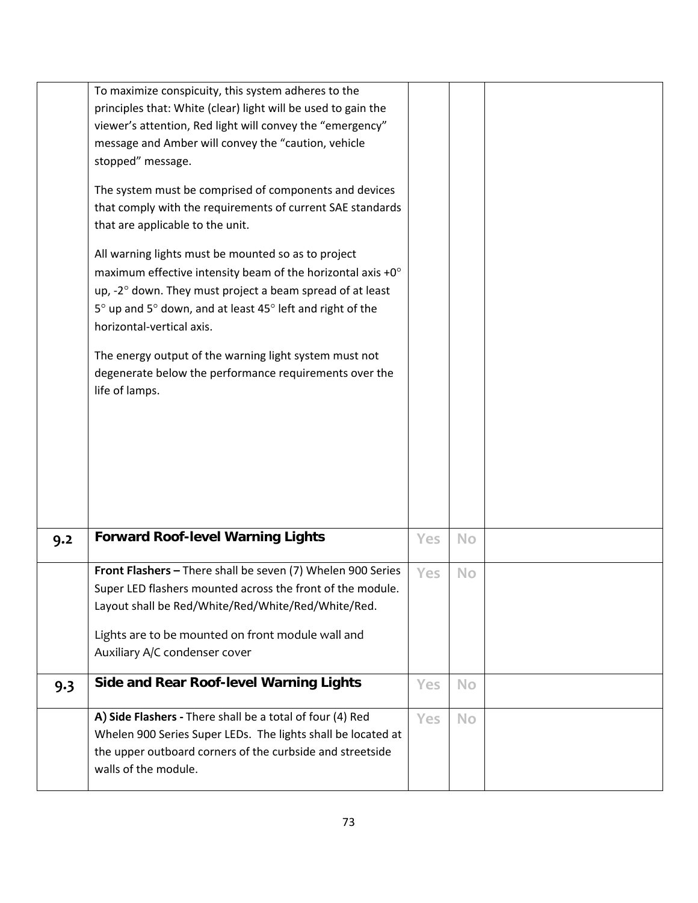|     | To maximize conspicuity, this system adheres to the                                                              |     |           |  |
|-----|------------------------------------------------------------------------------------------------------------------|-----|-----------|--|
|     | principles that: White (clear) light will be used to gain the                                                    |     |           |  |
|     | viewer's attention, Red light will convey the "emergency"<br>message and Amber will convey the "caution, vehicle |     |           |  |
|     | stopped" message.                                                                                                |     |           |  |
|     |                                                                                                                  |     |           |  |
|     | The system must be comprised of components and devices                                                           |     |           |  |
|     | that comply with the requirements of current SAE standards                                                       |     |           |  |
|     | that are applicable to the unit.                                                                                 |     |           |  |
|     | All warning lights must be mounted so as to project                                                              |     |           |  |
|     | maximum effective intensity beam of the horizontal axis $+0^\circ$                                               |     |           |  |
|     | up, -2° down. They must project a beam spread of at least                                                        |     |           |  |
|     | 5° up and 5° down, and at least 45° left and right of the                                                        |     |           |  |
|     | horizontal-vertical axis.                                                                                        |     |           |  |
|     |                                                                                                                  |     |           |  |
|     | The energy output of the warning light system must not<br>degenerate below the performance requirements over the |     |           |  |
|     | life of lamps.                                                                                                   |     |           |  |
|     |                                                                                                                  |     |           |  |
|     |                                                                                                                  |     |           |  |
|     |                                                                                                                  |     |           |  |
|     |                                                                                                                  |     |           |  |
|     |                                                                                                                  |     |           |  |
|     |                                                                                                                  |     |           |  |
|     |                                                                                                                  |     |           |  |
| 9.2 | <b>Forward Roof-level Warning Lights</b>                                                                         | Yes | <b>No</b> |  |
|     |                                                                                                                  |     |           |  |
|     | Front Flashers - There shall be seven (7) Whelen 900 Series                                                      | Yes | <b>No</b> |  |
|     | Super LED flashers mounted across the front of the module.                                                       |     |           |  |
|     | Layout shall be Red/White/Red/White/Red/White/Red.                                                               |     |           |  |
|     | Lights are to be mounted on front module wall and                                                                |     |           |  |
|     | Auxiliary A/C condenser cover                                                                                    |     |           |  |
|     | <b>Side and Rear Roof-level Warning Lights</b>                                                                   | Yes | No        |  |
| 9.3 |                                                                                                                  |     |           |  |
|     | A) Side Flashers - There shall be a total of four (4) Red                                                        | Yes | <b>No</b> |  |
|     | Whelen 900 Series Super LEDs. The lights shall be located at                                                     |     |           |  |
|     | the upper outboard corners of the curbside and streetside                                                        |     |           |  |
|     | walls of the module.                                                                                             |     |           |  |
|     |                                                                                                                  |     |           |  |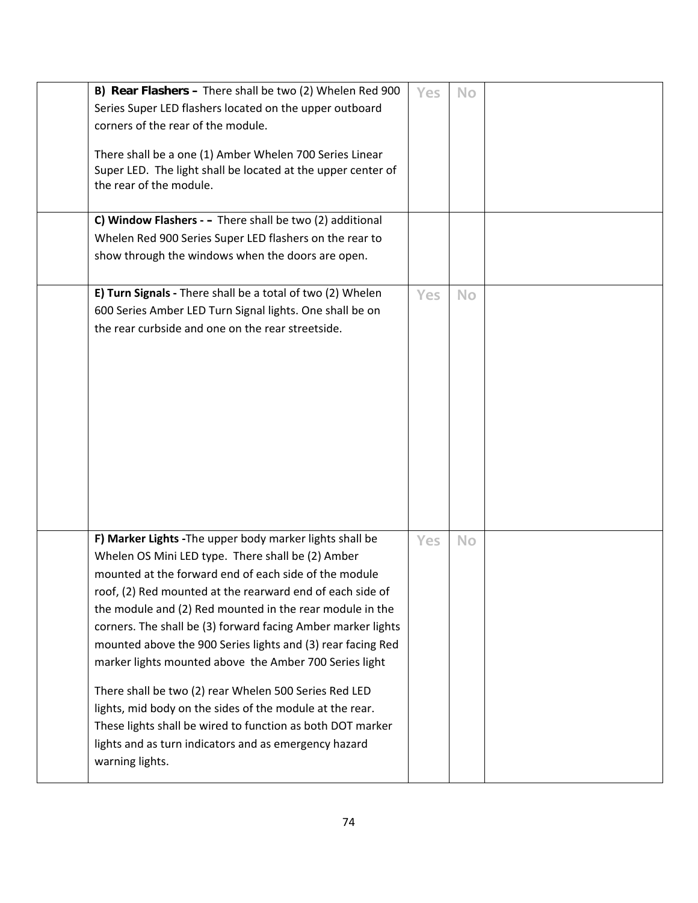| B) Rear Flashers - There shall be two (2) Whelen Red 900<br>Series Super LED flashers located on the upper outboard<br>corners of the rear of the module.<br>There shall be a one (1) Amber Whelen 700 Series Linear<br>Super LED. The light shall be located at the upper center of<br>the rear of the module.<br>C) Window Flashers - - There shall be two (2) additional<br>Whelen Red 900 Series Super LED flashers on the rear to<br>show through the windows when the doors are open.                                                                                                                                                                                                                                                             | Yes        | <b>No</b> |  |
|---------------------------------------------------------------------------------------------------------------------------------------------------------------------------------------------------------------------------------------------------------------------------------------------------------------------------------------------------------------------------------------------------------------------------------------------------------------------------------------------------------------------------------------------------------------------------------------------------------------------------------------------------------------------------------------------------------------------------------------------------------|------------|-----------|--|
| E) Turn Signals - There shall be a total of two (2) Whelen<br>600 Series Amber LED Turn Signal lights. One shall be on<br>the rear curbside and one on the rear streetside.                                                                                                                                                                                                                                                                                                                                                                                                                                                                                                                                                                             | <b>Yes</b> | <b>No</b> |  |
| F) Marker Lights - The upper body marker lights shall be<br>Whelen OS Mini LED type. There shall be (2) Amber<br>mounted at the forward end of each side of the module<br>roof, (2) Red mounted at the rearward end of each side of<br>the module and (2) Red mounted in the rear module in the<br>corners. The shall be (3) forward facing Amber marker lights<br>mounted above the 900 Series lights and (3) rear facing Red<br>marker lights mounted above the Amber 700 Series light<br>There shall be two (2) rear Whelen 500 Series Red LED<br>lights, mid body on the sides of the module at the rear.<br>These lights shall be wired to function as both DOT marker<br>lights and as turn indicators and as emergency hazard<br>warning lights. | <b>Yes</b> | <b>No</b> |  |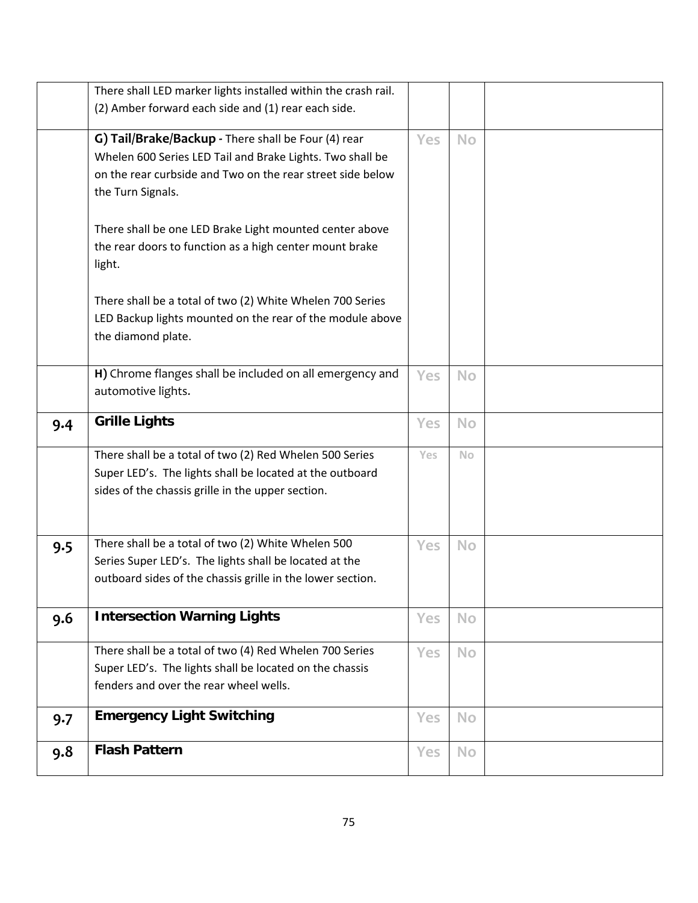|     | There shall LED marker lights installed within the crash rail. |            |           |  |
|-----|----------------------------------------------------------------|------------|-----------|--|
|     | (2) Amber forward each side and (1) rear each side.            |            |           |  |
|     |                                                                |            |           |  |
|     | G) Tail/Brake/Backup - There shall be Four (4) rear            | <b>Yes</b> | <b>No</b> |  |
|     | Whelen 600 Series LED Tail and Brake Lights. Two shall be      |            |           |  |
|     | on the rear curbside and Two on the rear street side below     |            |           |  |
|     | the Turn Signals.                                              |            |           |  |
|     | There shall be one LED Brake Light mounted center above        |            |           |  |
|     | the rear doors to function as a high center mount brake        |            |           |  |
|     | light.                                                         |            |           |  |
|     |                                                                |            |           |  |
|     | There shall be a total of two (2) White Whelen 700 Series      |            |           |  |
|     | LED Backup lights mounted on the rear of the module above      |            |           |  |
|     | the diamond plate.                                             |            |           |  |
|     |                                                                |            |           |  |
|     | H) Chrome flanges shall be included on all emergency and       | Yes        | <b>No</b> |  |
|     | automotive lights.                                             |            |           |  |
| 9.4 | <b>Grille Lights</b>                                           | Yes        | <b>No</b> |  |
|     |                                                                |            |           |  |
|     | There shall be a total of two (2) Red Whelen 500 Series        | Yes        | <b>No</b> |  |
|     | Super LED's. The lights shall be located at the outboard       |            |           |  |
|     | sides of the chassis grille in the upper section.              |            |           |  |
|     |                                                                |            |           |  |
|     |                                                                |            |           |  |
| 9.5 | There shall be a total of two (2) White Whelen 500             | Yes        | <b>No</b> |  |
|     | Series Super LED's. The lights shall be located at the         |            |           |  |
|     | outboard sides of the chassis grille in the lower section.     |            |           |  |
| 9.6 | <b>Intersection Warning Lights</b>                             | Yes        | <b>No</b> |  |
|     |                                                                |            |           |  |
|     | There shall be a total of two (4) Red Whelen 700 Series        | Yes        | <b>No</b> |  |
|     | Super LED's. The lights shall be located on the chassis        |            |           |  |
|     | fenders and over the rear wheel wells.                         |            |           |  |
| 9.7 | <b>Emergency Light Switching</b>                               | Yes        | <b>No</b> |  |
|     |                                                                |            |           |  |
| 9.8 | <b>Flash Pattern</b>                                           | Yes        | No        |  |
|     |                                                                |            |           |  |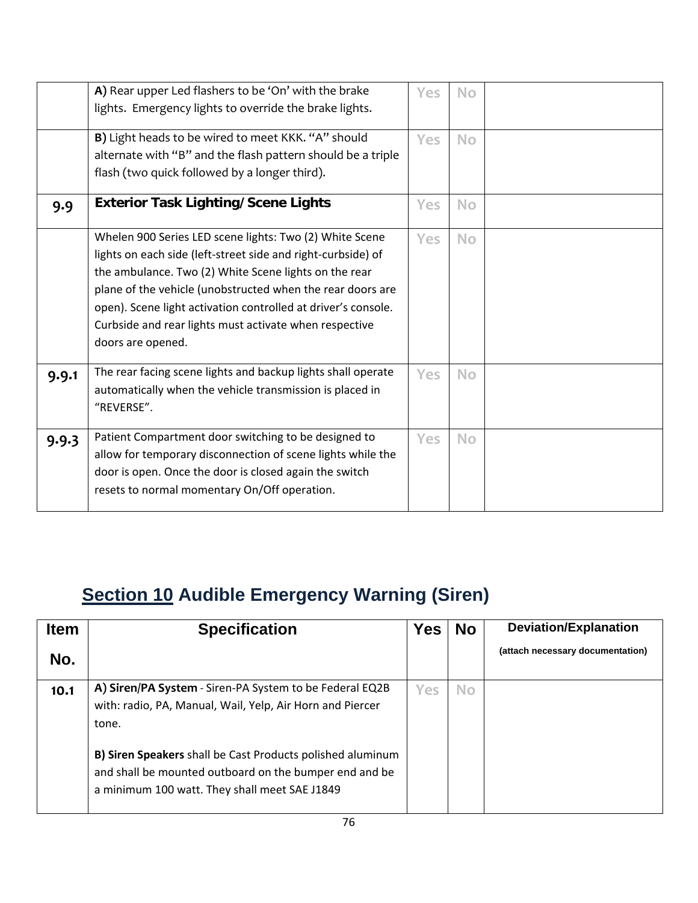|       | A) Rear upper Led flashers to be 'On' with the brake<br>lights. Emergency lights to override the brake lights.                                                                                                                                                                                                                                                                                 | Yes        | <b>No</b> |  |
|-------|------------------------------------------------------------------------------------------------------------------------------------------------------------------------------------------------------------------------------------------------------------------------------------------------------------------------------------------------------------------------------------------------|------------|-----------|--|
|       | B) Light heads to be wired to meet KKK. "A" should<br>alternate with "B" and the flash pattern should be a triple<br>flash (two quick followed by a longer third).                                                                                                                                                                                                                             | <b>Yes</b> | <b>No</b> |  |
| 9.9   | <b>Exterior Task Lighting/Scene Lights</b>                                                                                                                                                                                                                                                                                                                                                     | Yes        | <b>No</b> |  |
|       | Whelen 900 Series LED scene lights: Two (2) White Scene<br>lights on each side (left-street side and right-curbside) of<br>the ambulance. Two (2) White Scene lights on the rear<br>plane of the vehicle (unobstructed when the rear doors are<br>open). Scene light activation controlled at driver's console.<br>Curbside and rear lights must activate when respective<br>doors are opened. | Yes        | <b>No</b> |  |
| 9.9.1 | The rear facing scene lights and backup lights shall operate<br>automatically when the vehicle transmission is placed in<br>"REVERSE".                                                                                                                                                                                                                                                         | <b>Yes</b> | <b>No</b> |  |
| 9.9.3 | Patient Compartment door switching to be designed to<br>allow for temporary disconnection of scene lights while the<br>door is open. Once the door is closed again the switch<br>resets to normal momentary On/Off operation.                                                                                                                                                                  | <b>Yes</b> | <b>No</b> |  |

# **Section 10 Audible Emergency Warning (Siren)**

| <b>Item</b> | <b>Specification</b>                                                                                                                                                         | <b>Yes</b> | <b>No</b> | <b>Deviation/Explanation</b>     |
|-------------|------------------------------------------------------------------------------------------------------------------------------------------------------------------------------|------------|-----------|----------------------------------|
| No.         |                                                                                                                                                                              |            |           | (attach necessary documentation) |
| 10.1        | A) Siren/PA System - Siren-PA System to be Federal EQ2B<br>with: radio, PA, Manual, Wail, Yelp, Air Horn and Piercer<br>tone.                                                | Yes        | <b>No</b> |                                  |
|             | <b>B) Siren Speakers</b> shall be Cast Products polished aluminum<br>and shall be mounted outboard on the bumper end and be<br>a minimum 100 watt. They shall meet SAE J1849 |            |           |                                  |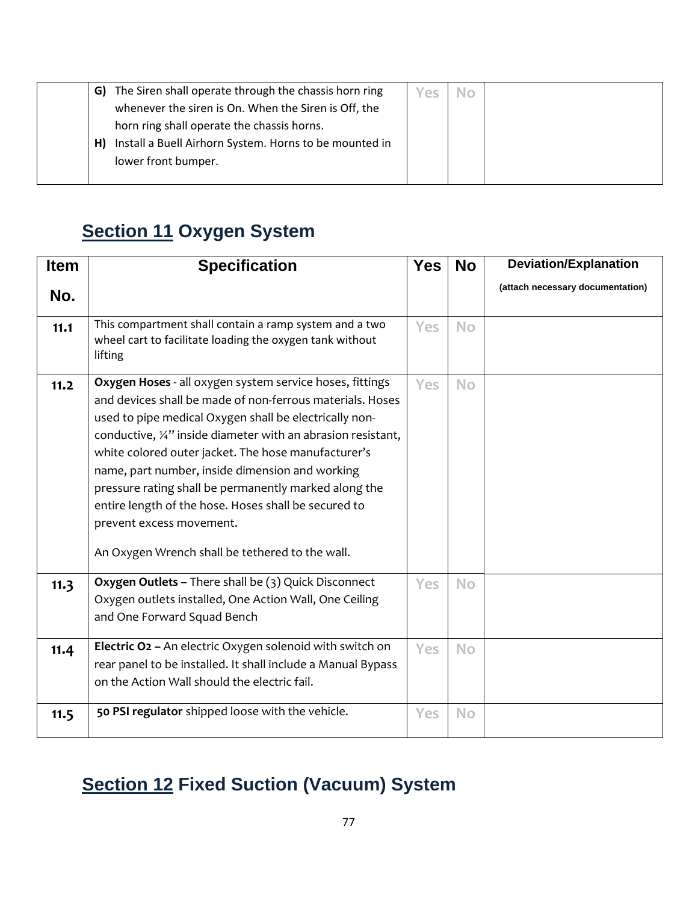|    | G) The Siren shall operate through the chassis horn ring | Yes |  |
|----|----------------------------------------------------------|-----|--|
|    | whenever the siren is On. When the Siren is Off, the     |     |  |
|    | horn ring shall operate the chassis horns.               |     |  |
| H) | Install a Buell Airhorn System. Horns to be mounted in   |     |  |
|    | lower front bumper.                                      |     |  |
|    |                                                          |     |  |

### **Section 11 Oxygen System**

| <b>Item</b> | <b>Specification</b>                                                                                                                                                                                                                                                                                                                                                                                                                                                                                                                                                 | <b>Yes</b> | <b>No</b> | <b>Deviation/Explanation</b>     |
|-------------|----------------------------------------------------------------------------------------------------------------------------------------------------------------------------------------------------------------------------------------------------------------------------------------------------------------------------------------------------------------------------------------------------------------------------------------------------------------------------------------------------------------------------------------------------------------------|------------|-----------|----------------------------------|
| No.         |                                                                                                                                                                                                                                                                                                                                                                                                                                                                                                                                                                      |            |           | (attach necessary documentation) |
| 11.1        | This compartment shall contain a ramp system and a two<br>wheel cart to facilitate loading the oxygen tank without<br>lifting                                                                                                                                                                                                                                                                                                                                                                                                                                        | Yes        | <b>No</b> |                                  |
| 11.2        | Oxygen Hoses - all oxygen system service hoses, fittings<br>and devices shall be made of non-ferrous materials. Hoses<br>used to pipe medical Oxygen shall be electrically non-<br>conductive, $\frac{1}{4}$ " inside diameter with an abrasion resistant,<br>white colored outer jacket. The hose manufacturer's<br>name, part number, inside dimension and working<br>pressure rating shall be permanently marked along the<br>entire length of the hose. Hoses shall be secured to<br>prevent excess movement.<br>An Oxygen Wrench shall be tethered to the wall. | Yes        | <b>No</b> |                                  |
| 11.3        | Oxygen Outlets - There shall be (3) Quick Disconnect<br>Oxygen outlets installed, One Action Wall, One Ceiling<br>and One Forward Squad Bench                                                                                                                                                                                                                                                                                                                                                                                                                        | Yes        | No        |                                  |
| 11.4        | Electric O <sub>2</sub> - An electric Oxygen solenoid with switch on<br>rear panel to be installed. It shall include a Manual Bypass<br>on the Action Wall should the electric fail.                                                                                                                                                                                                                                                                                                                                                                                 | <b>Yes</b> | <b>No</b> |                                  |
| 11.5        | 50 PSI regulator shipped loose with the vehicle.                                                                                                                                                                                                                                                                                                                                                                                                                                                                                                                     | Yes        | <b>No</b> |                                  |

## **Section 12 Fixed Suction (Vacuum) System**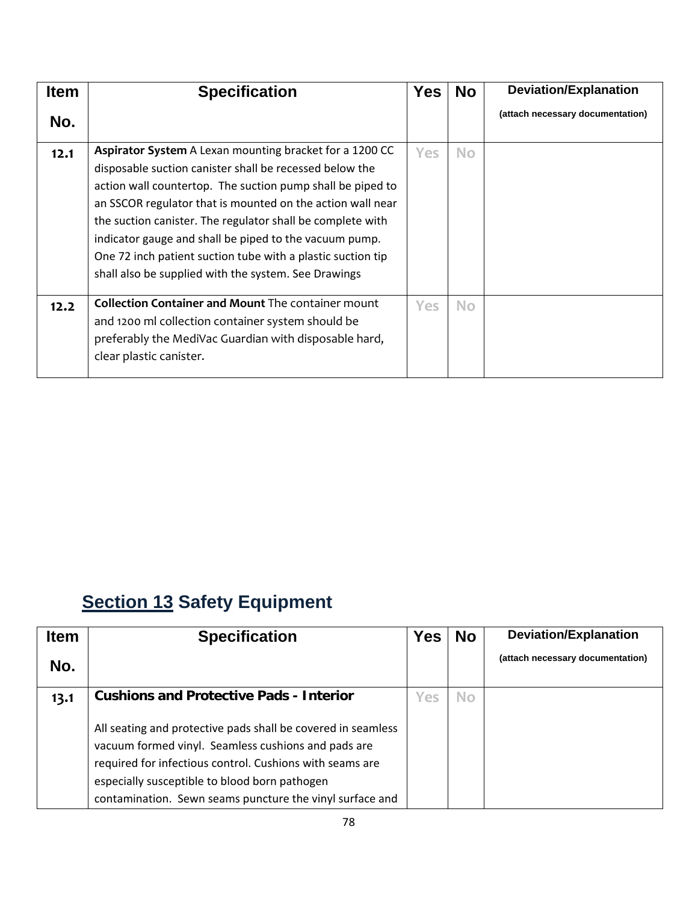| <b>Item</b> | <b>Specification</b>                                                                                                                                                                                                                                                                                                                                                                                                                                                                          | <b>Yes</b> | <b>No</b> | <b>Deviation/Explanation</b>     |
|-------------|-----------------------------------------------------------------------------------------------------------------------------------------------------------------------------------------------------------------------------------------------------------------------------------------------------------------------------------------------------------------------------------------------------------------------------------------------------------------------------------------------|------------|-----------|----------------------------------|
| No.         |                                                                                                                                                                                                                                                                                                                                                                                                                                                                                               |            |           | (attach necessary documentation) |
| 12.1        | Aspirator System A Lexan mounting bracket for a 1200 CC<br>disposable suction canister shall be recessed below the<br>action wall countertop. The suction pump shall be piped to<br>an SSCOR regulator that is mounted on the action wall near<br>the suction canister. The regulator shall be complete with<br>indicator gauge and shall be piped to the vacuum pump.<br>One 72 inch patient suction tube with a plastic suction tip<br>shall also be supplied with the system. See Drawings | <b>Yes</b> | No.       |                                  |
| 12.2        | <b>Collection Container and Mount The container mount</b><br>and 1200 ml collection container system should be<br>preferably the MediVac Guardian with disposable hard,<br>clear plastic canister.                                                                                                                                                                                                                                                                                            | Yes        | <b>No</b> |                                  |

## **Section 13 Safety Equipment**

| <b>Item</b> | <b>Specification</b>                                                                                                                                                                                                                                                                         | Yes | <b>No</b> | <b>Deviation/Explanation</b>     |
|-------------|----------------------------------------------------------------------------------------------------------------------------------------------------------------------------------------------------------------------------------------------------------------------------------------------|-----|-----------|----------------------------------|
| No.         |                                                                                                                                                                                                                                                                                              |     |           | (attach necessary documentation) |
| 13.1        | <b>Cushions and Protective Pads - Interior</b>                                                                                                                                                                                                                                               | Yes | <b>No</b> |                                  |
|             | All seating and protective pads shall be covered in seamless<br>vacuum formed vinyl. Seamless cushions and pads are<br>required for infectious control. Cushions with seams are<br>especially susceptible to blood born pathogen<br>contamination. Sewn seams puncture the vinyl surface and |     |           |                                  |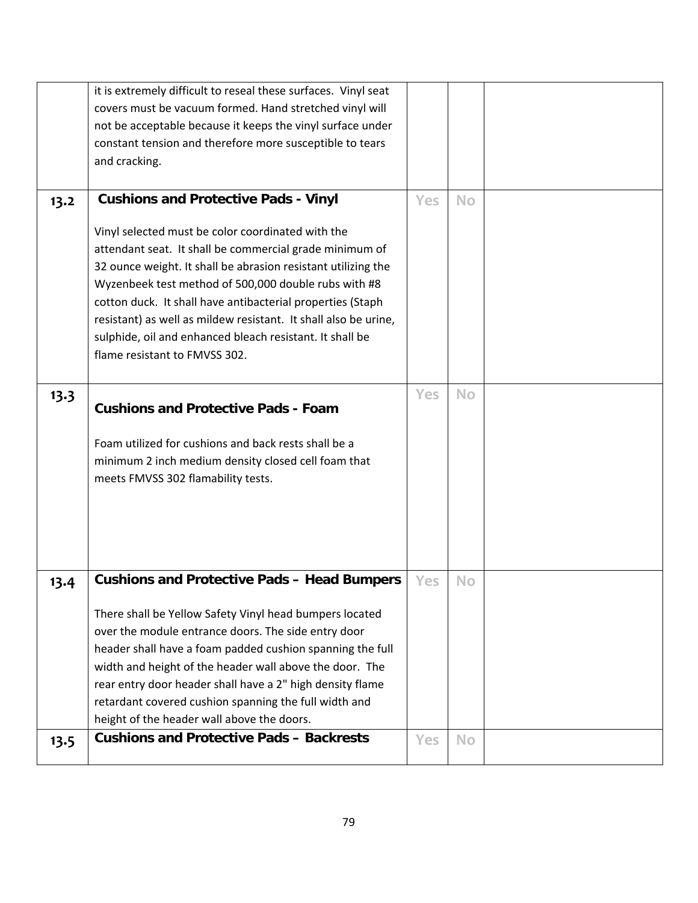|      | it is extremely difficult to reseal these surfaces. Vinyl seat  |            |           |  |
|------|-----------------------------------------------------------------|------------|-----------|--|
|      | covers must be vacuum formed. Hand stretched vinyl will         |            |           |  |
|      | not be acceptable because it keeps the vinyl surface under      |            |           |  |
|      | constant tension and therefore more susceptible to tears        |            |           |  |
|      | and cracking.                                                   |            |           |  |
|      |                                                                 |            |           |  |
| 13.2 | <b>Cushions and Protective Pads - Vinyl</b>                     | <b>Yes</b> | <b>No</b> |  |
|      |                                                                 |            |           |  |
|      | Vinyl selected must be color coordinated with the               |            |           |  |
|      | attendant seat. It shall be commercial grade minimum of         |            |           |  |
|      | 32 ounce weight. It shall be abrasion resistant utilizing the   |            |           |  |
|      | Wyzenbeek test method of 500,000 double rubs with #8            |            |           |  |
|      | cotton duck. It shall have antibacterial properties (Staph      |            |           |  |
|      | resistant) as well as mildew resistant. It shall also be urine, |            |           |  |
|      | sulphide, oil and enhanced bleach resistant. It shall be        |            |           |  |
|      | flame resistant to FMVSS 302.                                   |            |           |  |
|      |                                                                 |            |           |  |
| 13.3 |                                                                 | <b>Yes</b> | <b>No</b> |  |
|      | <b>Cushions and Protective Pads - Foam</b>                      |            |           |  |
|      |                                                                 |            |           |  |
|      | Foam utilized for cushions and back rests shall be a            |            |           |  |
|      | minimum 2 inch medium density closed cell foam that             |            |           |  |
|      | meets FMVSS 302 flamability tests.                              |            |           |  |
|      |                                                                 |            |           |  |
|      |                                                                 |            |           |  |
|      |                                                                 |            |           |  |
|      |                                                                 |            |           |  |
|      |                                                                 |            |           |  |
| 13.4 | <b>Cushions and Protective Pads - Head Bumpers</b>              | <b>Yes</b> | <b>No</b> |  |
|      |                                                                 |            |           |  |
|      | There shall be Yellow Safety Vinyl head bumpers located         |            |           |  |
|      | over the module entrance doors. The side entry door             |            |           |  |
|      | header shall have a foam padded cushion spanning the full       |            |           |  |
|      | width and height of the header wall above the door. The         |            |           |  |
|      | rear entry door header shall have a 2" high density flame       |            |           |  |
|      | retardant covered cushion spanning the full width and           |            |           |  |
|      | height of the header wall above the doors.                      |            |           |  |
| 13.5 | <b>Cushions and Protective Pads - Backrests</b>                 | <b>Yes</b> | <b>No</b> |  |
|      |                                                                 |            |           |  |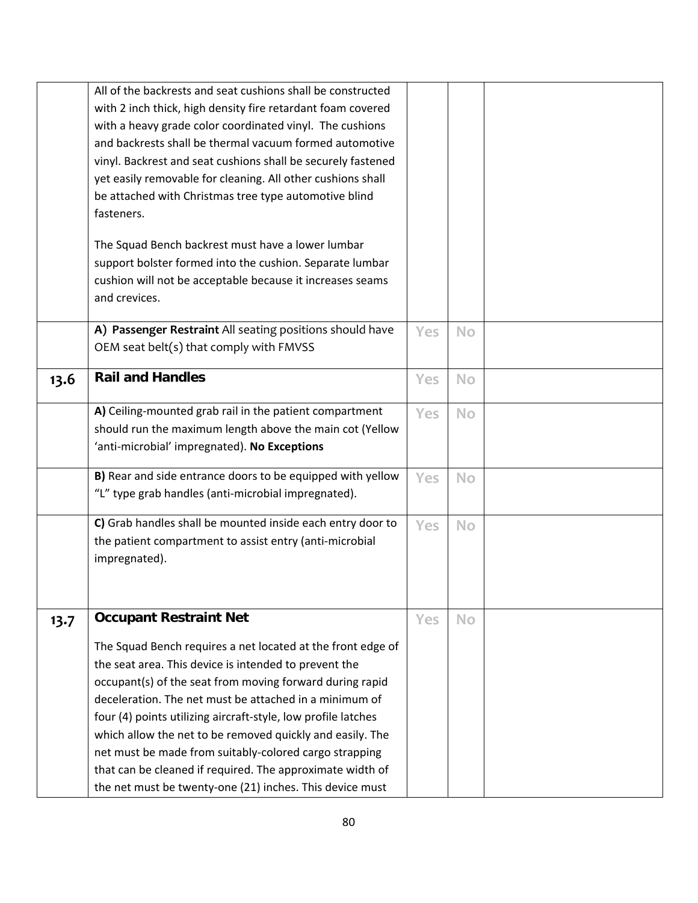|      | All of the backrests and seat cushions shall be constructed<br>with 2 inch thick, high density fire retardant foam covered<br>with a heavy grade color coordinated vinyl. The cushions<br>and backrests shall be thermal vacuum formed automotive<br>vinyl. Backrest and seat cushions shall be securely fastened<br>yet easily removable for cleaning. All other cushions shall<br>be attached with Christmas tree type automotive blind<br>fasteners.<br>The Squad Bench backrest must have a lower lumbar<br>support bolster formed into the cushion. Separate lumbar<br>cushion will not be acceptable because it increases seams<br>and crevices. |     |           |  |
|------|--------------------------------------------------------------------------------------------------------------------------------------------------------------------------------------------------------------------------------------------------------------------------------------------------------------------------------------------------------------------------------------------------------------------------------------------------------------------------------------------------------------------------------------------------------------------------------------------------------------------------------------------------------|-----|-----------|--|
|      | A) Passenger Restraint All seating positions should have<br>OEM seat belt(s) that comply with FMVSS                                                                                                                                                                                                                                                                                                                                                                                                                                                                                                                                                    | Yes | <b>No</b> |  |
| 13.6 | <b>Rail and Handles</b>                                                                                                                                                                                                                                                                                                                                                                                                                                                                                                                                                                                                                                | Yes | No        |  |
|      | A) Ceiling-mounted grab rail in the patient compartment<br>should run the maximum length above the main cot (Yellow<br>'anti-microbial' impregnated). No Exceptions                                                                                                                                                                                                                                                                                                                                                                                                                                                                                    | Yes | <b>No</b> |  |
|      | B) Rear and side entrance doors to be equipped with yellow<br>"L" type grab handles (anti-microbial impregnated).                                                                                                                                                                                                                                                                                                                                                                                                                                                                                                                                      | Yes | <b>No</b> |  |
|      | C) Grab handles shall be mounted inside each entry door to<br>the patient compartment to assist entry (anti-microbial<br>impregnated).                                                                                                                                                                                                                                                                                                                                                                                                                                                                                                                 | Yes | <b>No</b> |  |
| 13.7 | <b>Occupant Restraint Net</b>                                                                                                                                                                                                                                                                                                                                                                                                                                                                                                                                                                                                                          | Yes | <b>No</b> |  |
|      | The Squad Bench requires a net located at the front edge of<br>the seat area. This device is intended to prevent the<br>occupant(s) of the seat from moving forward during rapid<br>deceleration. The net must be attached in a minimum of<br>four (4) points utilizing aircraft-style, low profile latches<br>which allow the net to be removed quickly and easily. The<br>net must be made from suitably-colored cargo strapping<br>that can be cleaned if required. The approximate width of<br>the net must be twenty-one (21) inches. This device must                                                                                            |     |           |  |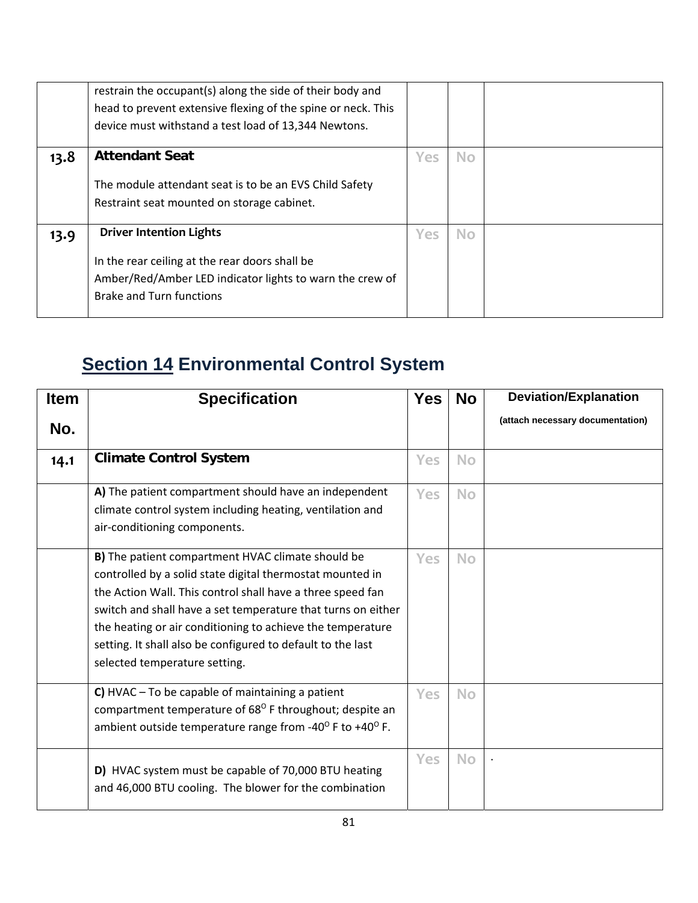|      | restrain the occupant(s) along the side of their body and<br>head to prevent extensive flexing of the spine or neck. This<br>device must withstand a test load of 13,344 Newtons. |     |     |  |
|------|-----------------------------------------------------------------------------------------------------------------------------------------------------------------------------------|-----|-----|--|
| 13.8 | <b>Attendant Seat</b><br>The module attendant seat is to be an EVS Child Safety<br>Restraint seat mounted on storage cabinet.                                                     | Yes | No. |  |
| 13.9 | <b>Driver Intention Lights</b><br>In the rear ceiling at the rear doors shall be<br>Amber/Red/Amber LED indicator lights to warn the crew of<br><b>Brake and Turn functions</b>   | Yes | No. |  |

### **Section 14 Environmental Control System**

| <b>Item</b> | <b>Specification</b>                                                                                                                                                                                                                                                                                                                                                                                       | <b>Yes</b> | <b>No</b> | <b>Deviation/Explanation</b>     |
|-------------|------------------------------------------------------------------------------------------------------------------------------------------------------------------------------------------------------------------------------------------------------------------------------------------------------------------------------------------------------------------------------------------------------------|------------|-----------|----------------------------------|
| No.         |                                                                                                                                                                                                                                                                                                                                                                                                            |            |           | (attach necessary documentation) |
| 14.1        | <b>Climate Control System</b>                                                                                                                                                                                                                                                                                                                                                                              | Yes        | <b>No</b> |                                  |
|             | A) The patient compartment should have an independent<br>climate control system including heating, ventilation and<br>air-conditioning components.                                                                                                                                                                                                                                                         | Yes        | <b>No</b> |                                  |
|             | B) The patient compartment HVAC climate should be<br>controlled by a solid state digital thermostat mounted in<br>the Action Wall. This control shall have a three speed fan<br>switch and shall have a set temperature that turns on either<br>the heating or air conditioning to achieve the temperature<br>setting. It shall also be configured to default to the last<br>selected temperature setting. | Yes        | <b>No</b> |                                  |
|             | C) HVAC $-$ To be capable of maintaining a patient<br>compartment temperature of 68 <sup>0</sup> F throughout; despite an<br>ambient outside temperature range from -40° F to +40° F.                                                                                                                                                                                                                      | Yes        | <b>No</b> |                                  |
|             | D) HVAC system must be capable of 70,000 BTU heating<br>and 46,000 BTU cooling. The blower for the combination                                                                                                                                                                                                                                                                                             | Yes        | <b>No</b> |                                  |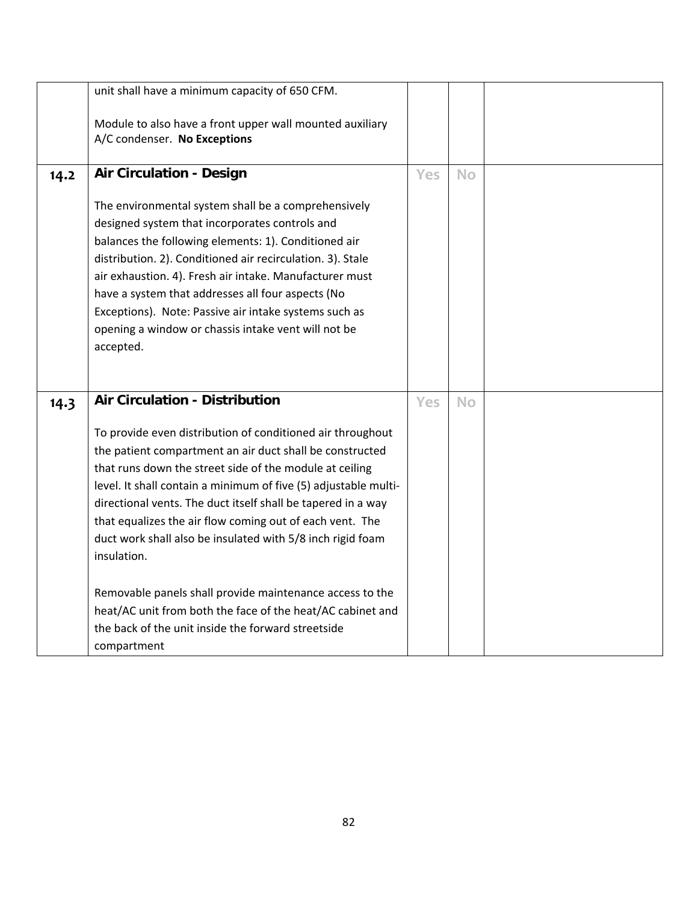|      | unit shall have a minimum capacity of 650 CFM.                                                                                                                                                                                                                                                                                                                                                                                                                           |            |           |  |
|------|--------------------------------------------------------------------------------------------------------------------------------------------------------------------------------------------------------------------------------------------------------------------------------------------------------------------------------------------------------------------------------------------------------------------------------------------------------------------------|------------|-----------|--|
|      | Module to also have a front upper wall mounted auxiliary                                                                                                                                                                                                                                                                                                                                                                                                                 |            |           |  |
|      | A/C condenser. No Exceptions                                                                                                                                                                                                                                                                                                                                                                                                                                             |            |           |  |
| 14.2 | <b>Air Circulation - Design</b>                                                                                                                                                                                                                                                                                                                                                                                                                                          | <b>Yes</b> | <b>No</b> |  |
|      | The environmental system shall be a comprehensively<br>designed system that incorporates controls and<br>balances the following elements: 1). Conditioned air<br>distribution. 2). Conditioned air recirculation. 3). Stale<br>air exhaustion. 4). Fresh air intake. Manufacturer must<br>have a system that addresses all four aspects (No<br>Exceptions). Note: Passive air intake systems such as<br>opening a window or chassis intake vent will not be<br>accepted. |            |           |  |
| 14.3 | <b>Air Circulation - Distribution</b>                                                                                                                                                                                                                                                                                                                                                                                                                                    | Yes        | <b>No</b> |  |
|      | To provide even distribution of conditioned air throughout<br>the patient compartment an air duct shall be constructed<br>that runs down the street side of the module at ceiling<br>level. It shall contain a minimum of five (5) adjustable multi-<br>directional vents. The duct itself shall be tapered in a way<br>that equalizes the air flow coming out of each vent. The<br>duct work shall also be insulated with 5/8 inch rigid foam<br>insulation.            |            |           |  |
|      | Removable panels shall provide maintenance access to the<br>heat/AC unit from both the face of the heat/AC cabinet and<br>the back of the unit inside the forward streetside<br>compartment                                                                                                                                                                                                                                                                              |            |           |  |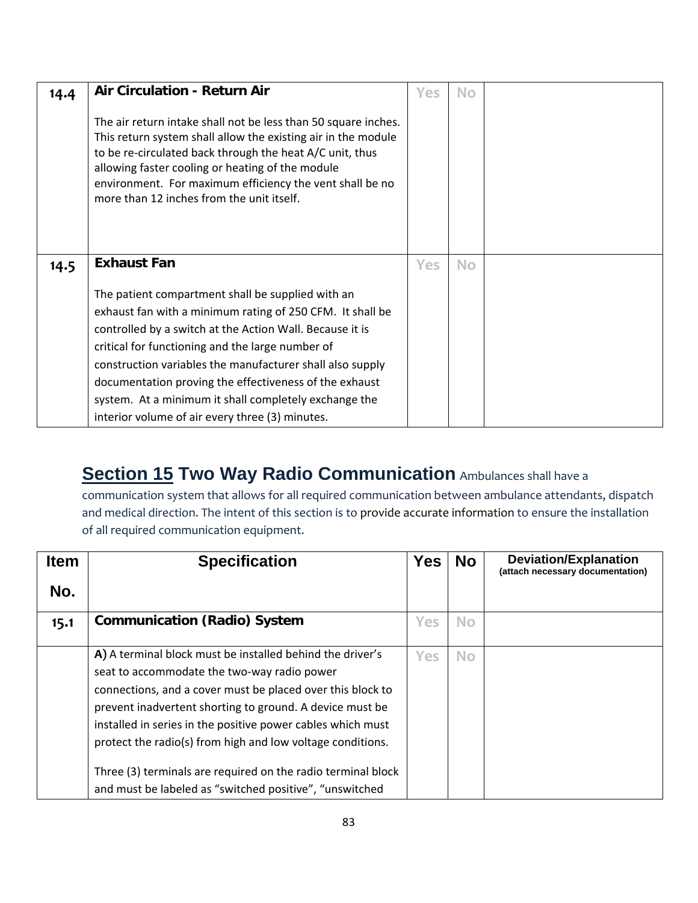| 14.4 | <b>Air Circulation - Return Air</b>                                                                                                                                                                                                                                                                                                                                                                                                                               | <b>Yes</b> | <b>No</b> |  |
|------|-------------------------------------------------------------------------------------------------------------------------------------------------------------------------------------------------------------------------------------------------------------------------------------------------------------------------------------------------------------------------------------------------------------------------------------------------------------------|------------|-----------|--|
|      | The air return intake shall not be less than 50 square inches.<br>This return system shall allow the existing air in the module<br>to be re-circulated back through the heat A/C unit, thus<br>allowing faster cooling or heating of the module<br>environment. For maximum efficiency the vent shall be no<br>more than 12 inches from the unit itself.                                                                                                          |            |           |  |
| 14.5 | <b>Exhaust Fan</b>                                                                                                                                                                                                                                                                                                                                                                                                                                                | Yes        | <b>No</b> |  |
|      | The patient compartment shall be supplied with an<br>exhaust fan with a minimum rating of 250 CFM. It shall be<br>controlled by a switch at the Action Wall. Because it is<br>critical for functioning and the large number of<br>construction variables the manufacturer shall also supply<br>documentation proving the effectiveness of the exhaust<br>system. At a minimum it shall completely exchange the<br>interior volume of air every three (3) minutes. |            |           |  |

#### **Section 15 Two Way Radio Communication** Ambulances shall have a

communication system that allows for all required communication between ambulance attendants, dispatch and medical direction. The intent of this section is to provide accurate information to ensure the installation of all required communication equipment.

| <b>Item</b> | <b>Specification</b>                                         | <b>Yes</b> | <b>No</b> | <b>Deviation/Explanation</b><br>(attach necessary documentation) |
|-------------|--------------------------------------------------------------|------------|-----------|------------------------------------------------------------------|
| No.         |                                                              |            |           |                                                                  |
| 15.1        | <b>Communication (Radio) System</b>                          | Yes        | <b>No</b> |                                                                  |
|             | A) A terminal block must be installed behind the driver's    | Yes        | <b>No</b> |                                                                  |
|             | seat to accommodate the two-way radio power                  |            |           |                                                                  |
|             | connections, and a cover must be placed over this block to   |            |           |                                                                  |
|             | prevent inadvertent shorting to ground. A device must be     |            |           |                                                                  |
|             | installed in series in the positive power cables which must  |            |           |                                                                  |
|             | protect the radio(s) from high and low voltage conditions.   |            |           |                                                                  |
|             | Three (3) terminals are required on the radio terminal block |            |           |                                                                  |
|             | and must be labeled as "switched positive", "unswitched      |            |           |                                                                  |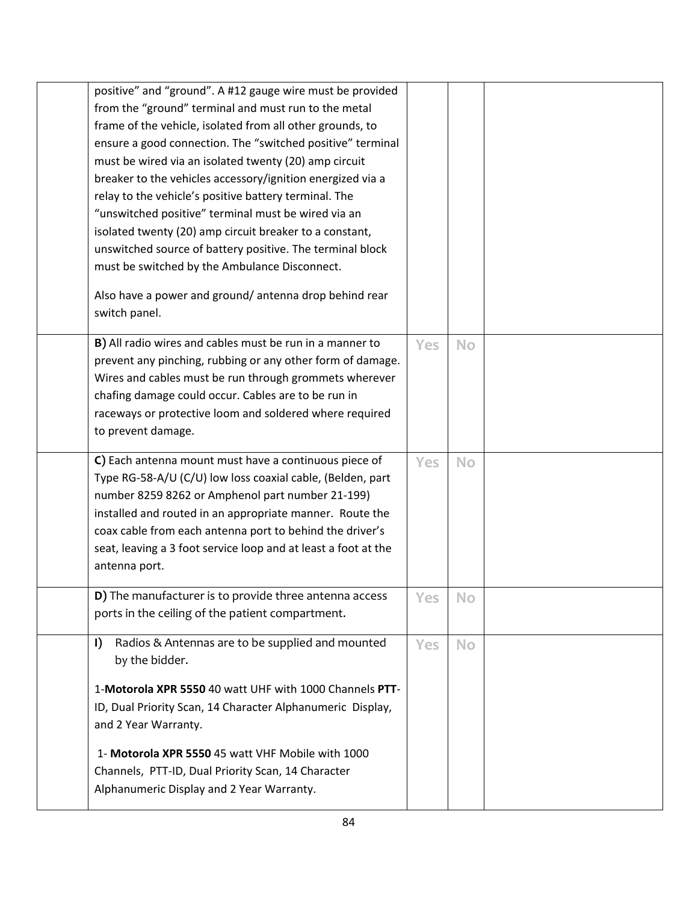| positive" and "ground". A #12 gauge wire must be provided<br>from the "ground" terminal and must run to the metal<br>frame of the vehicle, isolated from all other grounds, to<br>ensure a good connection. The "switched positive" terminal<br>must be wired via an isolated twenty (20) amp circuit<br>breaker to the vehicles accessory/ignition energized via a<br>relay to the vehicle's positive battery terminal. The<br>"unswitched positive" terminal must be wired via an<br>isolated twenty (20) amp circuit breaker to a constant,<br>unswitched source of battery positive. The terminal block<br>must be switched by the Ambulance Disconnect. |            |           |  |
|--------------------------------------------------------------------------------------------------------------------------------------------------------------------------------------------------------------------------------------------------------------------------------------------------------------------------------------------------------------------------------------------------------------------------------------------------------------------------------------------------------------------------------------------------------------------------------------------------------------------------------------------------------------|------------|-----------|--|
| Also have a power and ground/antenna drop behind rear<br>switch panel.                                                                                                                                                                                                                                                                                                                                                                                                                                                                                                                                                                                       |            |           |  |
| B) All radio wires and cables must be run in a manner to<br>prevent any pinching, rubbing or any other form of damage.<br>Wires and cables must be run through grommets wherever<br>chafing damage could occur. Cables are to be run in<br>raceways or protective loom and soldered where required<br>to prevent damage.                                                                                                                                                                                                                                                                                                                                     | Yes        | <b>No</b> |  |
| C) Each antenna mount must have a continuous piece of<br>Type RG-58-A/U (C/U) low loss coaxial cable, (Belden, part<br>number 8259 8262 or Amphenol part number 21-199)<br>installed and routed in an appropriate manner. Route the<br>coax cable from each antenna port to behind the driver's<br>seat, leaving a 3 foot service loop and at least a foot at the<br>antenna port.                                                                                                                                                                                                                                                                           | <b>Yes</b> | <b>No</b> |  |
| <b>D</b> ) The manufacturer is to provide three antenna access<br>ports in the ceiling of the patient compartment.                                                                                                                                                                                                                                                                                                                                                                                                                                                                                                                                           | Yes        | No        |  |
| Radios & Antennas are to be supplied and mounted<br>$\mathbf{I}$<br>by the bidder.<br>1-Motorola XPR 5550 40 watt UHF with 1000 Channels PTT-<br>ID, Dual Priority Scan, 14 Character Alphanumeric Display,<br>and 2 Year Warranty.                                                                                                                                                                                                                                                                                                                                                                                                                          | Yes        | <b>No</b> |  |
| 1- Motorola XPR 5550 45 watt VHF Mobile with 1000<br>Channels, PTT-ID, Dual Priority Scan, 14 Character<br>Alphanumeric Display and 2 Year Warranty.                                                                                                                                                                                                                                                                                                                                                                                                                                                                                                         |            |           |  |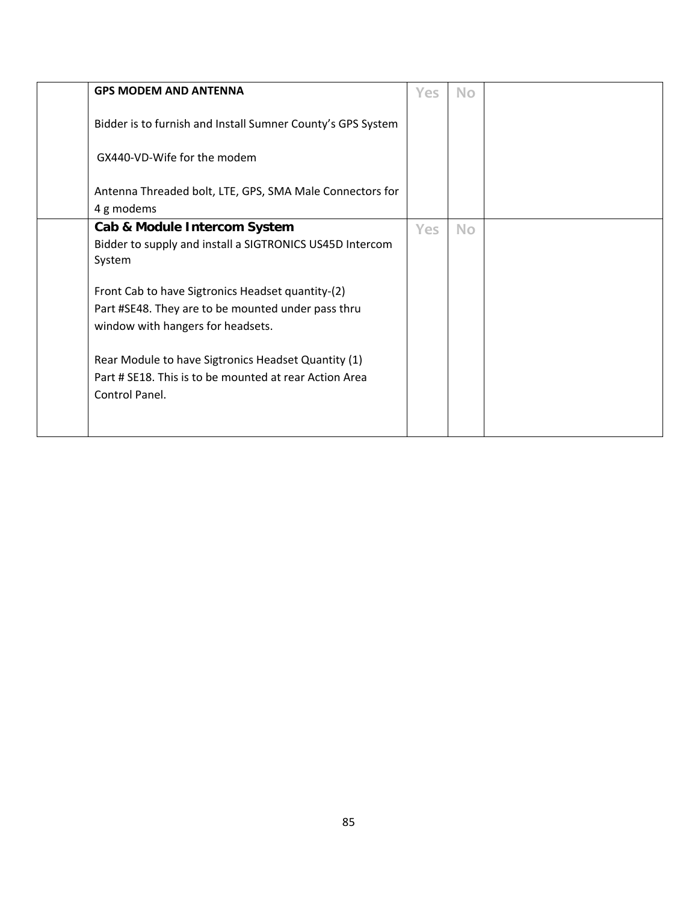| <b>GPS MODEM AND ANTENNA</b>                                                                                                                 | <b>Yes</b> | <b>No</b> |  |
|----------------------------------------------------------------------------------------------------------------------------------------------|------------|-----------|--|
| Bidder is to furnish and Install Sumner County's GPS System                                                                                  |            |           |  |
| GX440-VD-Wife for the modem                                                                                                                  |            |           |  |
| Antenna Threaded bolt, LTE, GPS, SMA Male Connectors for<br>4 g modems                                                                       |            |           |  |
| Cab & Module Intercom System<br>Bidder to supply and install a SIGTRONICS US45D Intercom<br>System                                           | Yes        | <b>No</b> |  |
| Front Cab to have Sigtronics Headset quantity-(2)<br>Part #SE48. They are to be mounted under pass thru<br>window with hangers for headsets. |            |           |  |
| Rear Module to have Sigtronics Headset Quantity (1)<br>Part # SE18. This is to be mounted at rear Action Area<br>Control Panel.              |            |           |  |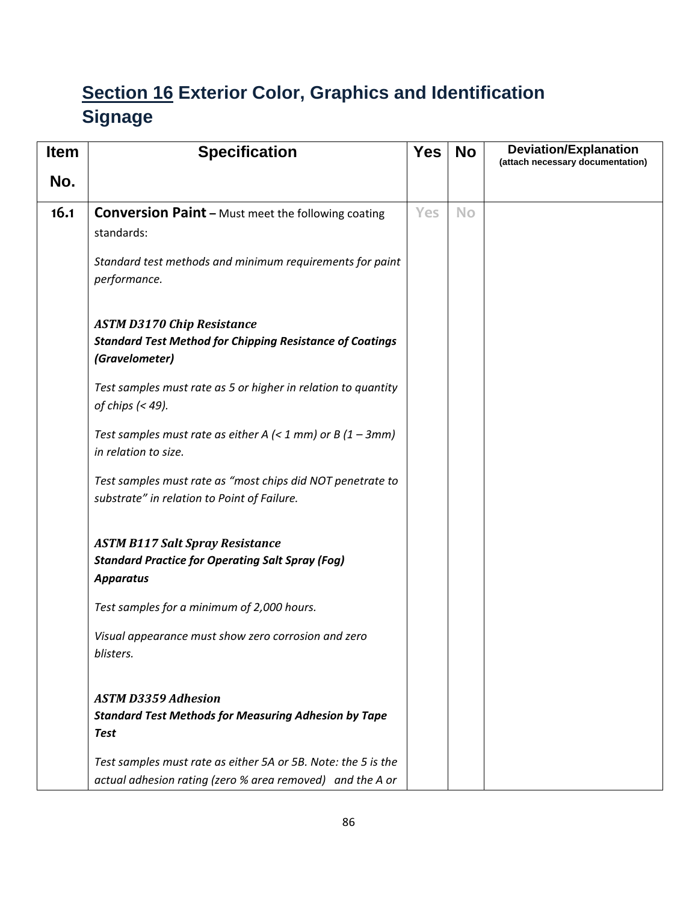#### **Section 16 Exterior Color, Graphics and Identification Signage**

| <b>Item</b> | <b>Specification</b>                                                                                                                   | <b>Yes</b> | <b>No</b> | <b>Deviation/Explanation</b><br>(attach necessary documentation) |
|-------------|----------------------------------------------------------------------------------------------------------------------------------------|------------|-----------|------------------------------------------------------------------|
| No.         |                                                                                                                                        |            |           |                                                                  |
| 16.1        | <b>Conversion Paint - Must meet the following coating</b><br>standards:<br>Standard test methods and minimum requirements for paint    | Yes        | <b>No</b> |                                                                  |
|             | performance.<br><b>ASTM D3170 Chip Resistance</b><br><b>Standard Test Method for Chipping Resistance of Coatings</b><br>(Gravelometer) |            |           |                                                                  |
|             | Test samples must rate as 5 or higher in relation to quantity<br>of chips $(49).$                                                      |            |           |                                                                  |
|             | Test samples must rate as either A $\left($ < 1 mm) or B $\left(1 - 3mm\right)$<br>in relation to size.                                |            |           |                                                                  |
|             | Test samples must rate as "most chips did NOT penetrate to<br>substrate" in relation to Point of Failure.                              |            |           |                                                                  |
|             | <b>ASTM B117 Salt Spray Resistance</b><br><b>Standard Practice for Operating Salt Spray (Fog)</b><br><b>Apparatus</b>                  |            |           |                                                                  |
|             | Test samples for a minimum of 2,000 hours.                                                                                             |            |           |                                                                  |
|             | Visual appearance must show zero corrosion and zero<br>blisters.                                                                       |            |           |                                                                  |
|             | <b>ASTM D3359 Adhesion</b>                                                                                                             |            |           |                                                                  |
|             | <b>Standard Test Methods for Measuring Adhesion by Tape</b><br><b>Test</b>                                                             |            |           |                                                                  |
|             | Test samples must rate as either 5A or 5B. Note: the 5 is the<br>actual adhesion rating (zero % area removed) and the A or             |            |           |                                                                  |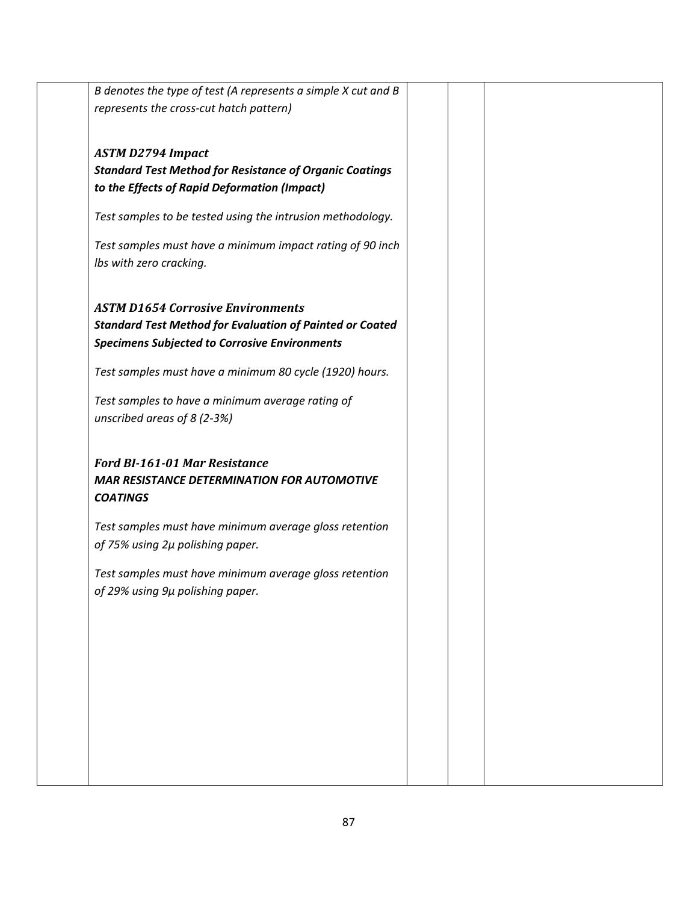| B denotes the type of test (A represents a simple X cut and B   |  |  |
|-----------------------------------------------------------------|--|--|
| represents the cross-cut hatch pattern)                         |  |  |
|                                                                 |  |  |
| <b>ASTM D2794 Impact</b>                                        |  |  |
| <b>Standard Test Method for Resistance of Organic Coatings</b>  |  |  |
| to the Effects of Rapid Deformation (Impact)                    |  |  |
|                                                                 |  |  |
| Test samples to be tested using the intrusion methodology.      |  |  |
| Test samples must have a minimum impact rating of 90 inch       |  |  |
| Ibs with zero cracking.                                         |  |  |
|                                                                 |  |  |
|                                                                 |  |  |
| <b>ASTM D1654 Corrosive Environments</b>                        |  |  |
| <b>Standard Test Method for Evaluation of Painted or Coated</b> |  |  |
| <b>Specimens Subjected to Corrosive Environments</b>            |  |  |
| Test samples must have a minimum 80 cycle (1920) hours.         |  |  |
| Test samples to have a minimum average rating of                |  |  |
| unscribed areas of 8 (2-3%)                                     |  |  |
|                                                                 |  |  |
| <b>Ford BI-161-01 Mar Resistance</b>                            |  |  |
| <b>MAR RESISTANCE DETERMINATION FOR AUTOMOTIVE</b>              |  |  |
| <b>COATINGS</b>                                                 |  |  |
|                                                                 |  |  |
| Test samples must have minimum average gloss retention          |  |  |
| of 75% using 2µ polishing paper.                                |  |  |
| Test samples must have minimum average gloss retention          |  |  |
| of 29% using 9µ polishing paper.                                |  |  |
|                                                                 |  |  |
|                                                                 |  |  |
|                                                                 |  |  |
|                                                                 |  |  |
|                                                                 |  |  |
|                                                                 |  |  |
|                                                                 |  |  |
|                                                                 |  |  |
|                                                                 |  |  |
|                                                                 |  |  |
|                                                                 |  |  |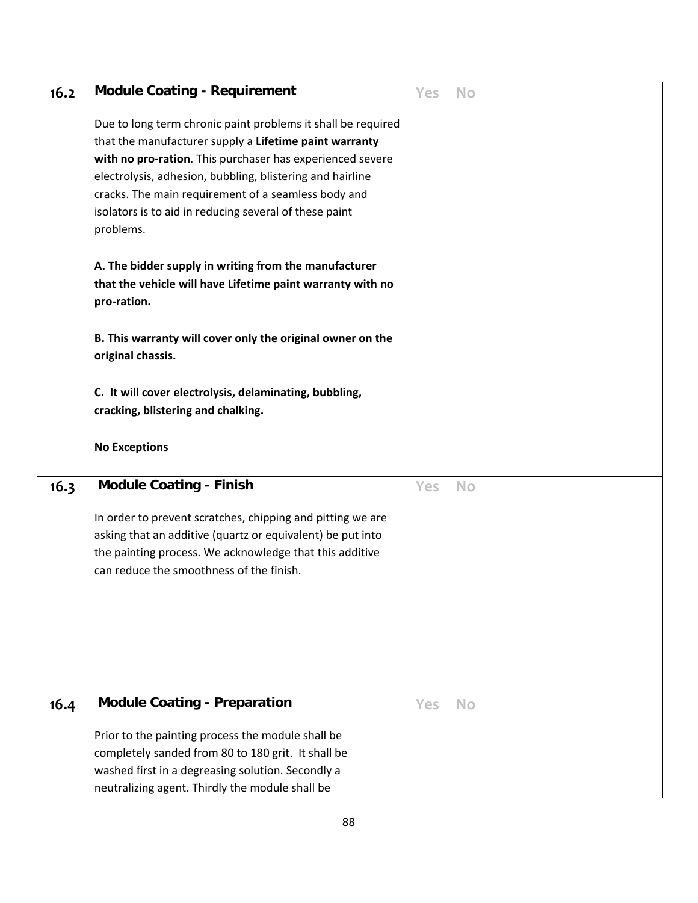| 16.2 | <b>Module Coating - Requirement</b>                                                                                                                                                                                                                                                                                                                                            | Yes | <b>No</b> |  |
|------|--------------------------------------------------------------------------------------------------------------------------------------------------------------------------------------------------------------------------------------------------------------------------------------------------------------------------------------------------------------------------------|-----|-----------|--|
|      | Due to long term chronic paint problems it shall be required<br>that the manufacturer supply a Lifetime paint warranty<br>with no pro-ration. This purchaser has experienced severe<br>electrolysis, adhesion, bubbling, blistering and hairline<br>cracks. The main requirement of a seamless body and<br>isolators is to aid in reducing several of these paint<br>problems. |     |           |  |
|      | A. The bidder supply in writing from the manufacturer<br>that the vehicle will have Lifetime paint warranty with no<br>pro-ration.                                                                                                                                                                                                                                             |     |           |  |
|      | B. This warranty will cover only the original owner on the<br>original chassis.                                                                                                                                                                                                                                                                                                |     |           |  |
|      | C. It will cover electrolysis, delaminating, bubbling,<br>cracking, blistering and chalking.                                                                                                                                                                                                                                                                                   |     |           |  |
|      |                                                                                                                                                                                                                                                                                                                                                                                |     |           |  |
|      | <b>No Exceptions</b>                                                                                                                                                                                                                                                                                                                                                           |     |           |  |
| 16.3 | <b>Module Coating - Finish</b>                                                                                                                                                                                                                                                                                                                                                 | Yes | <b>No</b> |  |
|      | In order to prevent scratches, chipping and pitting we are<br>asking that an additive (quartz or equivalent) be put into<br>the painting process. We acknowledge that this additive<br>can reduce the smoothness of the finish.                                                                                                                                                |     |           |  |
| 16.4 | <b>Module Coating - Preparation</b>                                                                                                                                                                                                                                                                                                                                            | Yes | <b>No</b> |  |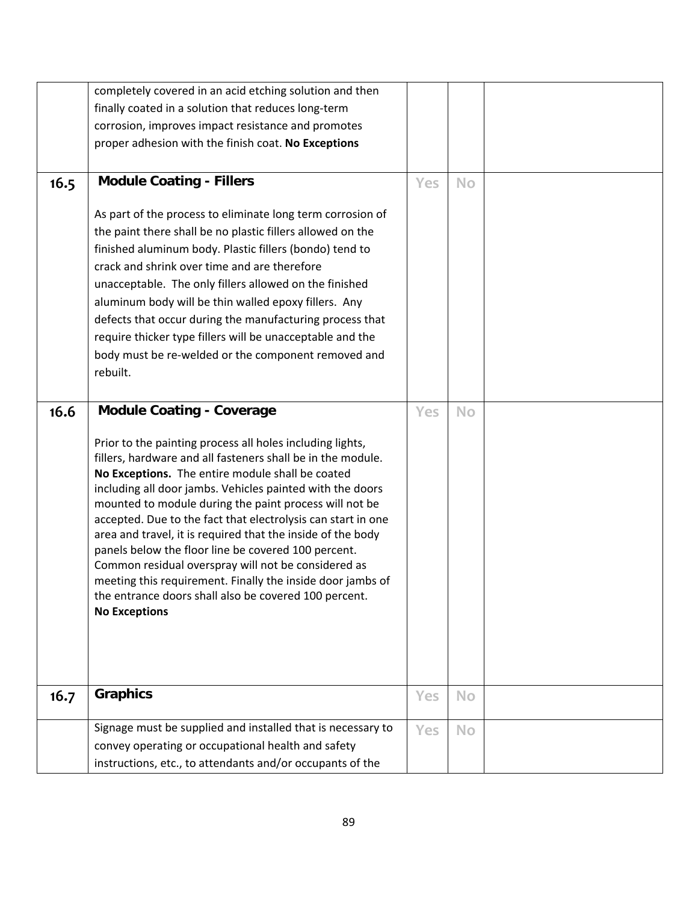|      | completely covered in an acid etching solution and then                                                                                                                                                                                                                                                                                                                                                                                                                                                                                                                                                                                                                                         |            |           |  |
|------|-------------------------------------------------------------------------------------------------------------------------------------------------------------------------------------------------------------------------------------------------------------------------------------------------------------------------------------------------------------------------------------------------------------------------------------------------------------------------------------------------------------------------------------------------------------------------------------------------------------------------------------------------------------------------------------------------|------------|-----------|--|
|      | finally coated in a solution that reduces long-term                                                                                                                                                                                                                                                                                                                                                                                                                                                                                                                                                                                                                                             |            |           |  |
|      | corrosion, improves impact resistance and promotes                                                                                                                                                                                                                                                                                                                                                                                                                                                                                                                                                                                                                                              |            |           |  |
|      | proper adhesion with the finish coat. No Exceptions                                                                                                                                                                                                                                                                                                                                                                                                                                                                                                                                                                                                                                             |            |           |  |
|      |                                                                                                                                                                                                                                                                                                                                                                                                                                                                                                                                                                                                                                                                                                 |            |           |  |
| 16.5 | <b>Module Coating - Fillers</b>                                                                                                                                                                                                                                                                                                                                                                                                                                                                                                                                                                                                                                                                 | <b>Yes</b> | <b>No</b> |  |
|      |                                                                                                                                                                                                                                                                                                                                                                                                                                                                                                                                                                                                                                                                                                 |            |           |  |
|      | As part of the process to eliminate long term corrosion of                                                                                                                                                                                                                                                                                                                                                                                                                                                                                                                                                                                                                                      |            |           |  |
|      | the paint there shall be no plastic fillers allowed on the                                                                                                                                                                                                                                                                                                                                                                                                                                                                                                                                                                                                                                      |            |           |  |
|      | finished aluminum body. Plastic fillers (bondo) tend to                                                                                                                                                                                                                                                                                                                                                                                                                                                                                                                                                                                                                                         |            |           |  |
|      | crack and shrink over time and are therefore                                                                                                                                                                                                                                                                                                                                                                                                                                                                                                                                                                                                                                                    |            |           |  |
|      | unacceptable. The only fillers allowed on the finished                                                                                                                                                                                                                                                                                                                                                                                                                                                                                                                                                                                                                                          |            |           |  |
|      | aluminum body will be thin walled epoxy fillers. Any                                                                                                                                                                                                                                                                                                                                                                                                                                                                                                                                                                                                                                            |            |           |  |
|      | defects that occur during the manufacturing process that                                                                                                                                                                                                                                                                                                                                                                                                                                                                                                                                                                                                                                        |            |           |  |
|      | require thicker type fillers will be unacceptable and the                                                                                                                                                                                                                                                                                                                                                                                                                                                                                                                                                                                                                                       |            |           |  |
|      | body must be re-welded or the component removed and                                                                                                                                                                                                                                                                                                                                                                                                                                                                                                                                                                                                                                             |            |           |  |
|      | rebuilt.                                                                                                                                                                                                                                                                                                                                                                                                                                                                                                                                                                                                                                                                                        |            |           |  |
|      |                                                                                                                                                                                                                                                                                                                                                                                                                                                                                                                                                                                                                                                                                                 |            |           |  |
| 16.6 | <b>Module Coating - Coverage</b>                                                                                                                                                                                                                                                                                                                                                                                                                                                                                                                                                                                                                                                                | <b>Yes</b> | <b>No</b> |  |
|      | Prior to the painting process all holes including lights,<br>fillers, hardware and all fasteners shall be in the module.<br>No Exceptions. The entire module shall be coated<br>including all door jambs. Vehicles painted with the doors<br>mounted to module during the paint process will not be<br>accepted. Due to the fact that electrolysis can start in one<br>area and travel, it is required that the inside of the body<br>panels below the floor line be covered 100 percent.<br>Common residual overspray will not be considered as<br>meeting this requirement. Finally the inside door jambs of<br>the entrance doors shall also be covered 100 percent.<br><b>No Exceptions</b> |            |           |  |
| 16.7 | <b>Graphics</b>                                                                                                                                                                                                                                                                                                                                                                                                                                                                                                                                                                                                                                                                                 | Yes        | <b>No</b> |  |
|      |                                                                                                                                                                                                                                                                                                                                                                                                                                                                                                                                                                                                                                                                                                 |            |           |  |
|      | Signage must be supplied and installed that is necessary to                                                                                                                                                                                                                                                                                                                                                                                                                                                                                                                                                                                                                                     |            |           |  |
|      | convey operating or occupational health and safety                                                                                                                                                                                                                                                                                                                                                                                                                                                                                                                                                                                                                                              | Yes        | <b>No</b> |  |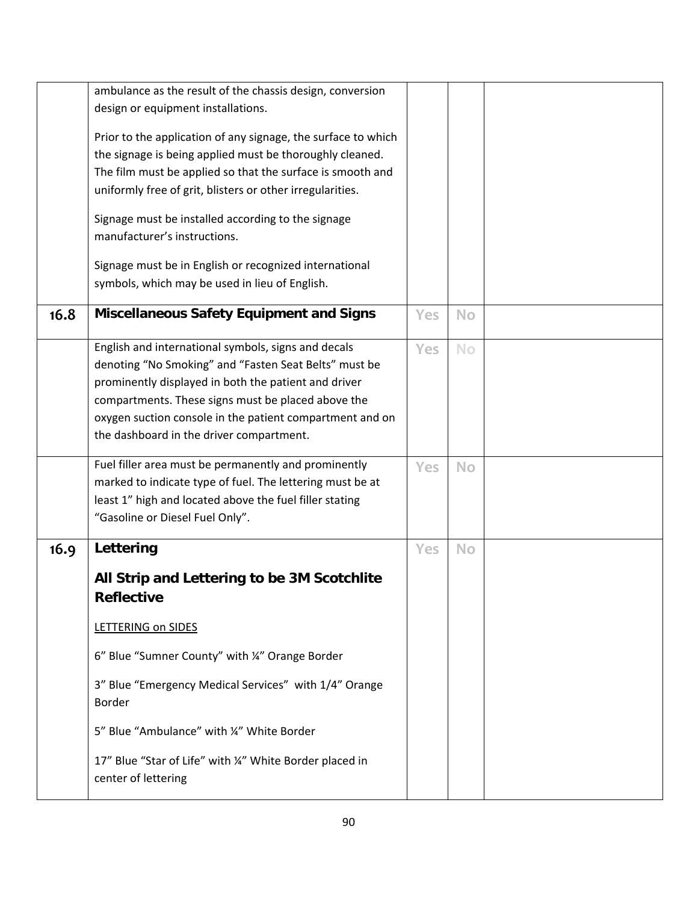|      | ambulance as the result of the chassis design, conversion<br>design or equipment installations.                           |            |           |  |
|------|---------------------------------------------------------------------------------------------------------------------------|------------|-----------|--|
|      |                                                                                                                           |            |           |  |
|      | Prior to the application of any signage, the surface to which<br>the signage is being applied must be thoroughly cleaned. |            |           |  |
|      | The film must be applied so that the surface is smooth and                                                                |            |           |  |
|      | uniformly free of grit, blisters or other irregularities.                                                                 |            |           |  |
|      |                                                                                                                           |            |           |  |
|      | Signage must be installed according to the signage                                                                        |            |           |  |
|      | manufacturer's instructions.                                                                                              |            |           |  |
|      | Signage must be in English or recognized international                                                                    |            |           |  |
|      | symbols, which may be used in lieu of English.                                                                            |            |           |  |
|      |                                                                                                                           |            |           |  |
| 16.8 | <b>Miscellaneous Safety Equipment and Signs</b>                                                                           | Yes        | No        |  |
|      | English and international symbols, signs and decals                                                                       | Yes        | No        |  |
|      | denoting "No Smoking" and "Fasten Seat Belts" must be                                                                     |            |           |  |
|      | prominently displayed in both the patient and driver                                                                      |            |           |  |
|      | compartments. These signs must be placed above the                                                                        |            |           |  |
|      | oxygen suction console in the patient compartment and on                                                                  |            |           |  |
|      | the dashboard in the driver compartment.                                                                                  |            |           |  |
|      | Fuel filler area must be permanently and prominently                                                                      | <b>Yes</b> | <b>No</b> |  |
|      | marked to indicate type of fuel. The lettering must be at                                                                 |            |           |  |
|      | least 1" high and located above the fuel filler stating                                                                   |            |           |  |
|      | "Gasoline or Diesel Fuel Only".                                                                                           |            |           |  |
| 16.9 | Lettering                                                                                                                 | Yes        | <b>No</b> |  |
|      | All Strip and Lettering to be 3M Scotchlite                                                                               |            |           |  |
|      | <b>Reflective</b>                                                                                                         |            |           |  |
|      | LETTERING on SIDES                                                                                                        |            |           |  |
|      | 6" Blue "Sumner County" with ¼" Orange Border                                                                             |            |           |  |
|      | 3" Blue "Emergency Medical Services" with 1/4" Orange<br>Border                                                           |            |           |  |
|      | 5" Blue "Ambulance" with ¼" White Border                                                                                  |            |           |  |
|      | 17" Blue "Star of Life" with ¼" White Border placed in<br>center of lettering                                             |            |           |  |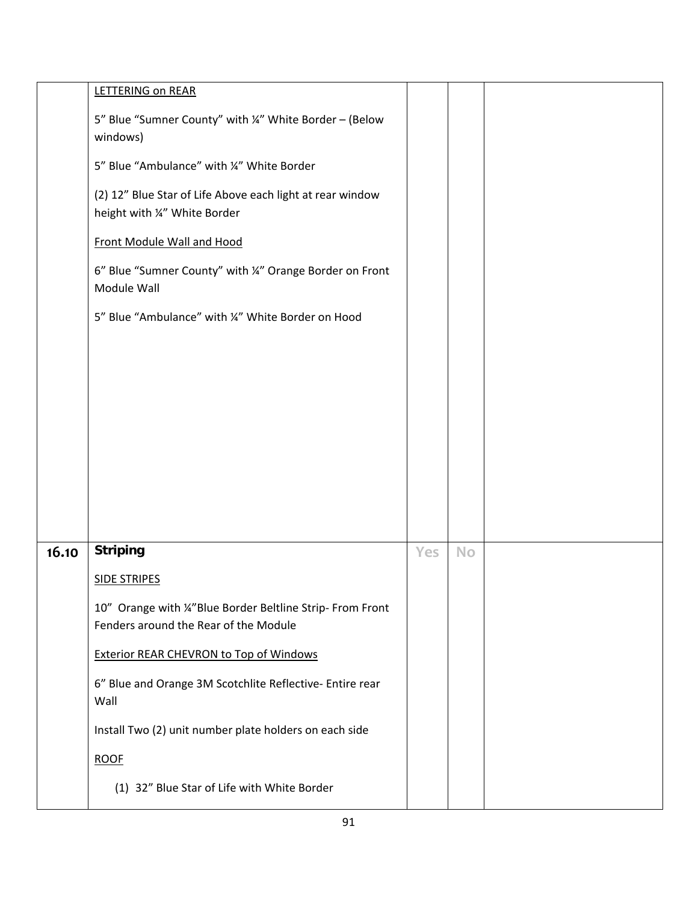|       | LETTERING on REAR                                                                                |     |           |  |
|-------|--------------------------------------------------------------------------------------------------|-----|-----------|--|
|       | 5" Blue "Sumner County" with ¼" White Border - (Below<br>windows)                                |     |           |  |
|       | 5" Blue "Ambulance" with ¼" White Border                                                         |     |           |  |
|       | (2) 12" Blue Star of Life Above each light at rear window<br>height with ¼" White Border         |     |           |  |
|       | Front Module Wall and Hood                                                                       |     |           |  |
|       | 6" Blue "Sumner County" with ¼" Orange Border on Front<br>Module Wall                            |     |           |  |
|       | 5" Blue "Ambulance" with ¼" White Border on Hood                                                 |     |           |  |
|       |                                                                                                  |     |           |  |
|       |                                                                                                  |     |           |  |
|       |                                                                                                  |     |           |  |
|       |                                                                                                  |     |           |  |
|       |                                                                                                  |     |           |  |
|       |                                                                                                  |     |           |  |
|       |                                                                                                  |     |           |  |
| 16.10 | <b>Striping</b>                                                                                  | Yes | <b>No</b> |  |
|       | <b>SIDE STRIPES</b>                                                                              |     |           |  |
|       | 10" Orange with ¼"Blue Border Beltline Strip-From Front<br>Fenders around the Rear of the Module |     |           |  |
|       | <b>Exterior REAR CHEVRON to Top of Windows</b>                                                   |     |           |  |
|       | 6" Blue and Orange 3M Scotchlite Reflective- Entire rear<br>Wall                                 |     |           |  |
|       | Install Two (2) unit number plate holders on each side                                           |     |           |  |
|       | <b>ROOF</b>                                                                                      |     |           |  |
|       | (1) 32" Blue Star of Life with White Border                                                      |     |           |  |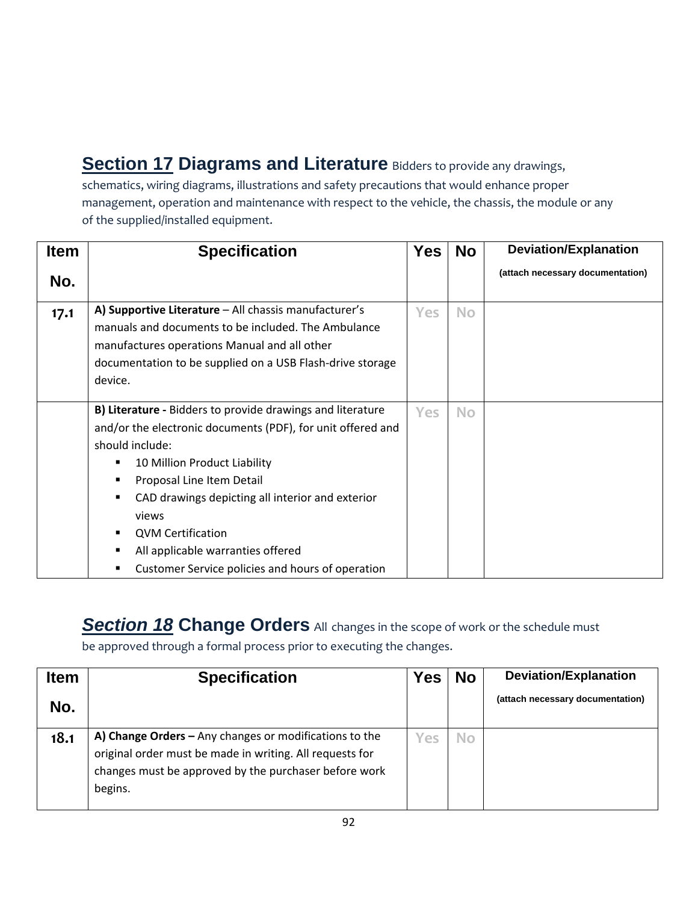**Section 17 Diagrams and Literature** Bidders to provide any drawings,

schematics, wiring diagrams, illustrations and safety precautions that would enhance proper management, operation and maintenance with respect to the vehicle, the chassis, the module or any of the supplied/installed equipment.

| <b>Item</b> | <b>Specification</b>                                                                                                                                                                                                                                                                                                                                                                                          | <b>Yes</b> | <b>No</b> | <b>Deviation/Explanation</b>     |
|-------------|---------------------------------------------------------------------------------------------------------------------------------------------------------------------------------------------------------------------------------------------------------------------------------------------------------------------------------------------------------------------------------------------------------------|------------|-----------|----------------------------------|
| No.         |                                                                                                                                                                                                                                                                                                                                                                                                               |            |           | (attach necessary documentation) |
| 17.1        | A) Supportive Literature - All chassis manufacturer's<br>manuals and documents to be included. The Ambulance<br>manufactures operations Manual and all other<br>documentation to be supplied on a USB Flash-drive storage<br>device.                                                                                                                                                                          |            | <b>No</b> |                                  |
|             | B) Literature - Bidders to provide drawings and literature<br>and/or the electronic documents (PDF), for unit offered and<br>should include:<br>10 Million Product Liability<br>Proposal Line Item Detail<br>CAD drawings depicting all interior and exterior<br>$\blacksquare$<br>views<br><b>QVM Certification</b><br>All applicable warranties offered<br>Customer Service policies and hours of operation | <b>Yes</b> | <b>No</b> |                                  |

**Section 18 Change Orders** All changes in the scope of work or the schedule must

be approved through a formal process prior to executing the changes.

| <b>Item</b> | <b>Specification</b>                                                                                                                                                                     | Yes | <b>No</b> | <b>Deviation/Explanation</b>     |
|-------------|------------------------------------------------------------------------------------------------------------------------------------------------------------------------------------------|-----|-----------|----------------------------------|
| No.         |                                                                                                                                                                                          |     |           | (attach necessary documentation) |
| 18.1        | A) Change Orders $-$ Any changes or modifications to the<br>original order must be made in writing. All requests for<br>changes must be approved by the purchaser before work<br>begins. | Yes | No        |                                  |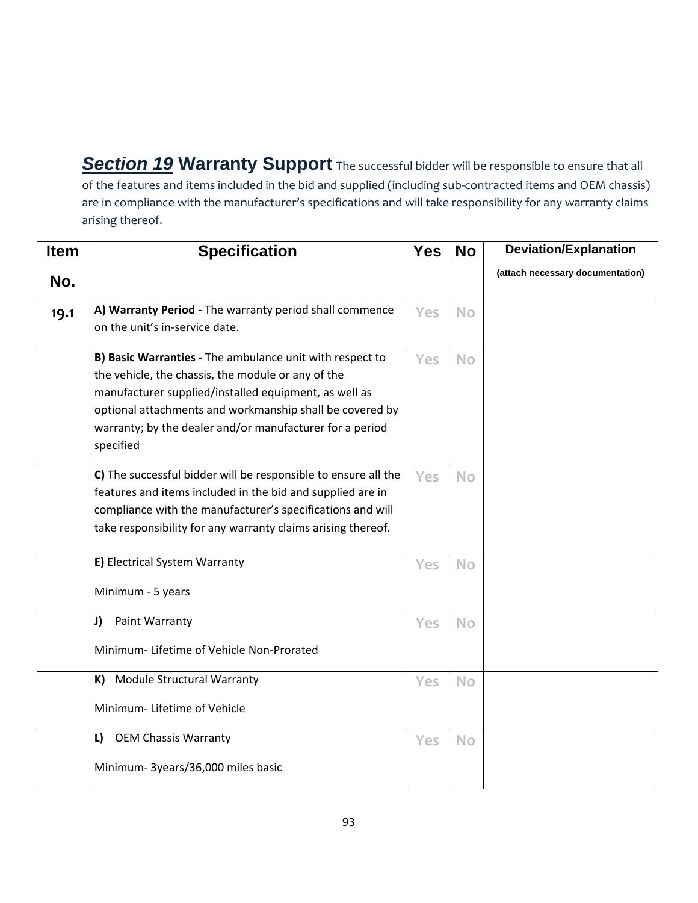**Section 19 Warranty Support** The successful bidder will be responsible to ensure that all of the features and items included in the bid and supplied (including sub‐contracted items and OEM chassis) are in compliance with the manufacturer's specifications and will take responsibility for any warranty claims arising thereof.

| <b>Item</b> | <b>Specification</b>                                                                                                                                                                                                                                                                                         | <b>Yes</b> | <b>No</b> | <b>Deviation/Explanation</b>     |
|-------------|--------------------------------------------------------------------------------------------------------------------------------------------------------------------------------------------------------------------------------------------------------------------------------------------------------------|------------|-----------|----------------------------------|
| No.         |                                                                                                                                                                                                                                                                                                              |            |           | (attach necessary documentation) |
| 19.1        | A) Warranty Period - The warranty period shall commence<br>on the unit's in-service date.                                                                                                                                                                                                                    | Yes        | <b>No</b> |                                  |
|             | B) Basic Warranties - The ambulance unit with respect to<br>the vehicle, the chassis, the module or any of the<br>manufacturer supplied/installed equipment, as well as<br>optional attachments and workmanship shall be covered by<br>warranty; by the dealer and/or manufacturer for a period<br>specified | <b>Yes</b> | <b>No</b> |                                  |
|             | C) The successful bidder will be responsible to ensure all the<br>features and items included in the bid and supplied are in<br>compliance with the manufacturer's specifications and will<br>take responsibility for any warranty claims arising thereof.                                                   | Yes        | <b>No</b> |                                  |
|             | E) Electrical System Warranty<br>Minimum - 5 years                                                                                                                                                                                                                                                           | Yes        | <b>No</b> |                                  |
|             | J)<br>Paint Warranty<br>Minimum-Lifetime of Vehicle Non-Prorated                                                                                                                                                                                                                                             | Yes        | <b>No</b> |                                  |
|             | K) Module Structural Warranty<br>Minimum-Lifetime of Vehicle                                                                                                                                                                                                                                                 | <b>Yes</b> | <b>No</b> |                                  |
|             | L) OEM Chassis Warranty<br>Minimum- 3years/36,000 miles basic                                                                                                                                                                                                                                                | Yes        | <b>No</b> |                                  |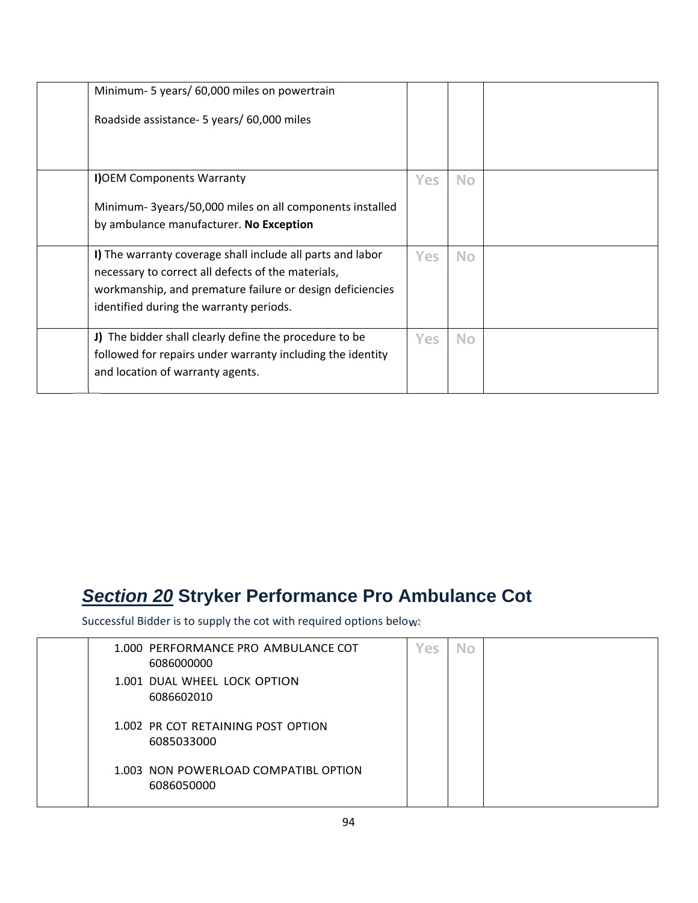| Minimum- 5 years/ 60,000 miles on powertrain               |            |           |  |
|------------------------------------------------------------|------------|-----------|--|
| Roadside assistance - 5 years/ 60,000 miles                |            |           |  |
|                                                            |            |           |  |
| I) OEM Components Warranty                                 | <b>Yes</b> | <b>No</b> |  |
| Minimum-3years/50,000 miles on all components installed    |            |           |  |
| by ambulance manufacturer. No Exception                    |            |           |  |
| I) The warranty coverage shall include all parts and labor | Yes:       | <b>No</b> |  |
| necessary to correct all defects of the materials,         |            |           |  |
| workmanship, and premature failure or design deficiencies  |            |           |  |
| identified during the warranty periods.                    |            |           |  |
| J) The bidder shall clearly define the procedure to be     | <b>Yes</b> | <b>No</b> |  |
| followed for repairs under warranty including the identity |            |           |  |
| and location of warranty agents.                           |            |           |  |

#### *Section 20* **Stryker Performance Pro Ambulance Cot**

Successful Bidder is to supply the cot with required options below:

| 1.000 PERFORMANCE PRO AMBULANCE COT<br>6086000000  | Yes | No |  |
|----------------------------------------------------|-----|----|--|
| 1.001 DUAL WHEEL LOCK OPTION<br>6086602010         |     |    |  |
| 1.002 PR COT RETAINING POST OPTION<br>6085033000   |     |    |  |
| 1.003 NON POWERLOAD COMPATIBL OPTION<br>6086050000 |     |    |  |